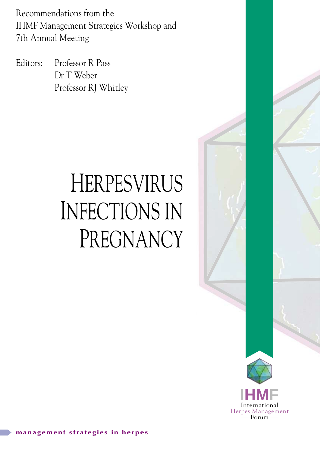Recommendations from the IHMF Management Strategies Workshop and 7th Annual Meeting

Editors: Professor R Pass Dr T Weber Professor RJ Whitley

# HERPESVIRUS INFECTIONS IN PREGNANCY

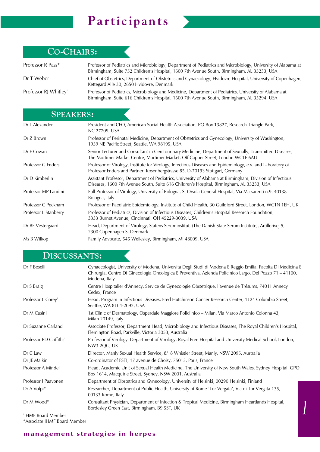# **Participants**

 $\epsilon$ 



| Professor R Pass*                 | Professor of Pediatrics and Microbiology, Department of Pediatrics and Microbiology, University of Alabama at<br>Birmingham, Suite 752 Children's Hospital, 1600 7th Avenue South, Birmingham, AL 35233, USA |
|-----------------------------------|--------------------------------------------------------------------------------------------------------------------------------------------------------------------------------------------------------------|
| Dr T Weber                        | Chief of Obstetrics, Department of Obstetrics and Gynaecology, Hvidovre Hospital, University of Copenhagen,<br>Kettegard Alle 30, 2650 Hvidovre, Denmark                                                     |
| Professor RJ Whitley <sup>+</sup> | Professor of Pediatrics, Microbiology and Medicine, Department of Pediatrics, University of Alabama at<br>Birmingham, Suite 616 Children's Hospital, 1600 7th Avenue South, Birmingham, AL 35294, USA        |

# **SPEAKERS:**

| Dr L Alexander        | President and CEO, American Social Health Association, PO Box 13827, Research Triangle Park,<br><b>NC 27709, USA</b>                                                                                    |
|-----------------------|---------------------------------------------------------------------------------------------------------------------------------------------------------------------------------------------------------|
| Dr Z Brown            | Professor of Perinatal Medicine, Department of Obstetrics and Gynecology, University of Washington,<br>1959 NE Pacific Street, Seattle, WA 98195, USA                                                   |
| Dr F Cowan            | Senior Lecturer and Consultant in Genitourinary Medicine, Department of Sexually, Transmitted Diseases,<br>The Mortimer Market Centre, Mortimer Market, Off Capper Street, London WC1E 6AU              |
| Professor G Enders    | Professor of Virology, Institute for Virology, Infectious Diseases and Epidemiology, e.v. and Laboratory of<br>Professor Enders and Partner, Rosenbergstrasse 85, D-70193 Stuttgart, Germany            |
| Dr D Kimberlin        | Assistant Professor, Department of Pediatrics, University of Alabama at Birmingham, Division of Infectious<br>Diseases, 1600 7th Avenue South, Suite 616 Children's Hospital, Birmingham, AL 35233, USA |
| Professor MP Landini  | Full Professor of Virology, University of Bologna, St Orsola General Hospital, Via Massarenti n.9, 40138<br>Bologna, Italy                                                                              |
| Professor C Peckham   | Professor of Paediatric Epidemiology, Institute of Child Health, 30 Guildford Street, London, WC1N 1EH, UK                                                                                              |
| Professor L Stanberry | Professor of Pediatrics, Division of Infectious Diseases, Children's Hospital Research Foundation,<br>3333 Burnet Avenue, Cincinnati, OH 45229-3039, USA                                                |
| Dr BF Vestergaard     | Head, Department of Virology, Statens Seruminstitut, (The Danish State Serum Institute), Artillerivej 5,<br>2300 Copenhagen S, Denmark                                                                  |
| Ms B Wilkop           | Family Advocate, 545 Wellesley, Birmingham, MI 48009, USA                                                                                                                                               |

# **DISCUSSANTS:**

| Dr F Boselli                        | Gynaecologist, University of Modena, Universita Degli Studi di Modena E Reggio Emilia, Facolta Di Medicina E<br>Chirurgia, Centro Di Ginecologia Oncologica E Preventiva, Azienda Policinico Largo, Del Pozzo 71 – 41100,<br>Modena, Italy |
|-------------------------------------|--------------------------------------------------------------------------------------------------------------------------------------------------------------------------------------------------------------------------------------------|
| Dr S Braig                          | Centre Hospitalier d'Annecy, Service de Gynecologie Obstetrique, l'avenue de Trésums, 74011 Annecy<br>Cedex, France                                                                                                                        |
| Professor L Corey <sup>+</sup>      | Head, Program in Infectious Diseases, Fred Hutchinson Cancer Research Center, 1124 Columbia Street,<br>Seattle, WA 8104-2092, USA                                                                                                          |
| Dr M Cusini                         | 1st Clinic of Dermatology, Osperdale Maggiore Policlinico – Milan, Via Marco Antonio Colonna 43,<br>Milan 20149, Italy                                                                                                                     |
| Dr Suzanne Garland                  | Associate Professor, Department Head, Microbiology and Infectious Diseases, The Royal Children's Hospital,<br>Flemington Road, Parkville, Victoria 3053, Australia                                                                         |
| Professor PD Griffiths <sup>+</sup> | Professor of Virology, Department of Virology, Royal Free Hospital and University Medical School, London,<br>NW3 2QG, UK                                                                                                                   |
| Dr C Law                            | Director, Manly Sexual Health Service, 8/18 Whistler Street, Manly, NSW 2095, Australia                                                                                                                                                    |
| Dr JE Malkin <sup>+</sup>           | Co-ordinator of FSTI, 17 avenue de Choisy, 75013, Paris, France                                                                                                                                                                            |
| Professor A Mindel                  | Head, Academic Unit of Sexual Health Medicine, The University of New South Wales, Sydney Hospital, GPO<br>Box 1614, Macquirie Street, Sydney, NSW 2001, Australia                                                                          |
| Professor J Paavonen                | Department of Obstetrics and Gynecology, University of Helsinki, 00290 Helsinki, Finland                                                                                                                                                   |
| Dr A Volpi*                         | Researcher, Department of Public Health, University of Rome 'Tor Vergata', Via di Tor Vergata 135,<br>00133 Rome, Italy                                                                                                                    |
| Dr M Wood*                          | Consultant Physician, Department of Infection & Tropical Medicine, Birmingham Heartlands Hospital,<br>Bordesley Green East, Birmingham, B9 5ST, UK                                                                                         |
| <sup>†</sup> IHMF Board Member      |                                                                                                                                                                                                                                            |

† IHMF Board Member \*Associate IHMF Board Member

### **management strategies in herpes**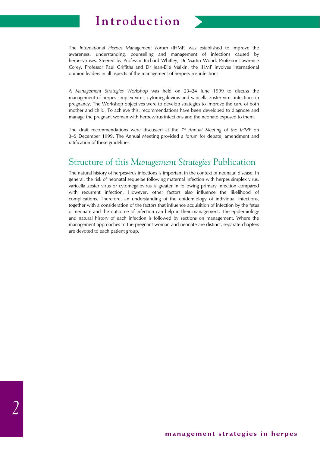# **Introduction**

The *International Herpes Management Forum* (IHMF) was established to improve the awareness, understanding, counselling and management of infections caused by herpesviruses. Steered by Professor Richard Whitley, Dr Martin Wood, Professor Lawrence Corey, Professor Paul Griffiths and Dr Jean-Elie Malkin, the IHMF involves international opinion leaders in all aspects of the management of herpesvirus infections.

A *Management Strategies Workshop* was held on 23–24 June 1999 to discuss the management of herpes simplex virus, cytomegalovirus and varicella zoster virus infections in pregnancy. The Workshop objectives were to develop strategies to improve the care of both mother and child. To achieve this, recommendations have been developed to diagnose and manage the pregnant woman with herpesvirus infections and the neonate exposed to them.

The draft recommendations were discussed at the *7th Annual Meeting of the IHMF* on 3–5 December 1999. The Annual Meeting provided a forum for debate, amendment and ratification of these guidelines.

## Structure of this *Management Strategies* Publication

The natural history of herpesvirus infections is important in the context of neonatal disease. In general, the risk of neonatal sequelae following maternal infection with herpes simplex virus, varicella zoster virus or cytomegalovirus is greater in following primary infection compared with recurrent infection. However, other factors also influence the likelihood of complications. Therefore, an understanding of the epidemiology of individual infections, together with a consideration of the factors that influence acquisition of infection by the fetus or neonate and the outcome of infection can help in their management. The epidemiology and natural history of each infection is followed by sections on management. Where the management approaches to the pregnant woman and neonate are distinct, separate chapters are devoted to each patient group.

*2*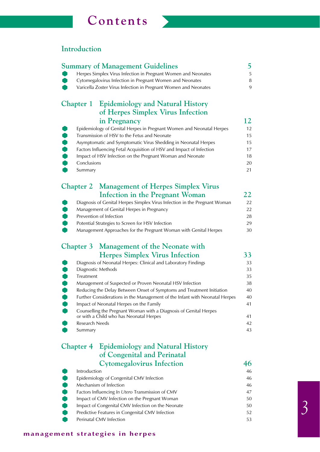# **Contents**



### **Introduction**

| $\bullet$<br>œ                              | <b>Summary of Management Guidelines</b><br>Herpes Simplex Virus Infection in Pregnant Women and Neonates<br>Cytomegalovirus Infection in Pregnant Women and Neonates<br>Varicella Zoster Virus Infection in Pregnant Women and Neonates                                                                                                     | 5<br>5<br>8<br>9                             |
|---------------------------------------------|---------------------------------------------------------------------------------------------------------------------------------------------------------------------------------------------------------------------------------------------------------------------------------------------------------------------------------------------|----------------------------------------------|
|                                             | <b>Chapter 1</b> Epidemiology and Natural History<br>of Herpes Simplex Virus Infection                                                                                                                                                                                                                                                      |                                              |
| U<br><b>PODDO</b><br>Conclusions<br>Summary | in Pregnancy<br>Epidemiology of Genital Herpes in Pregnant Women and Neonatal Herpes<br>Transmission of HSV to the Fetus and Neonate<br>Asymptomatic and Symptomatic Virus Shedding in Neonatal Herpes<br>Factors Influencing Fetal Acquisition of HSV and Impact of Infection<br>Impact of HSV Infection on the Pregnant Woman and Neonate | 12<br>12<br>15<br>15<br>17<br>18<br>20<br>21 |
| <b>Chapter 2</b>                            | <b>Management of Herpes Simplex Virus</b>                                                                                                                                                                                                                                                                                                   |                                              |
| $\bullet$<br>$\bullet$<br>$\bullet$         | Infection in the Pregnant Woman<br>Diagnosis of Genital Herpes Simplex Virus Infection in the Pregnant Woman<br>Management of Genital Herpes in Pregnancy<br>Prevention of Infection<br>Potential Strategies to Screen for HSV Infection<br>Management Approaches for the Pregnant Woman with Genital Herpes                                | 22<br>22<br>22<br>28<br>29<br>30             |
|                                             | Chapter 3 Management of the Neonate with                                                                                                                                                                                                                                                                                                    |                                              |
|                                             | <b>Herpes Simplex Virus Infection</b>                                                                                                                                                                                                                                                                                                       | 33                                           |
|                                             | Diagnosis of Neonatal Herpes: Clinical and Laboratory Findings                                                                                                                                                                                                                                                                              | 33                                           |
|                                             | Diagnostic Methods                                                                                                                                                                                                                                                                                                                          | 33                                           |
| $\bullet$<br>Treatment                      |                                                                                                                                                                                                                                                                                                                                             | 35                                           |
| $\bullet$                                   | Management of Suspected or Proven Neonatal HSV Infection                                                                                                                                                                                                                                                                                    | 38                                           |
|                                             | Reducing the Delay Between Onset of Symptoms and Treatment Initiation                                                                                                                                                                                                                                                                       | 40                                           |
| O                                           | Further Considerations in the Management of the Infant with Neonatal Herpes                                                                                                                                                                                                                                                                 | 40                                           |
|                                             | Impact of Neonatal Herpes on the Family                                                                                                                                                                                                                                                                                                     | 41                                           |
|                                             | Counselling the Pregnant Woman with a Diagnosis of Genital Herpes                                                                                                                                                                                                                                                                           | 41                                           |
|                                             | or with a Child who has Neonatal Herpes<br>Research Needs                                                                                                                                                                                                                                                                                   | 42                                           |
| Summary                                     |                                                                                                                                                                                                                                                                                                                                             | 43                                           |
|                                             | Chapter 4 Epidemiology and Natural History                                                                                                                                                                                                                                                                                                  |                                              |
|                                             | of Congenital and Perinatal                                                                                                                                                                                                                                                                                                                 |                                              |
|                                             | <b>Cytomegalovirus Infection</b>                                                                                                                                                                                                                                                                                                            | 46                                           |
| Introduction                                |                                                                                                                                                                                                                                                                                                                                             | 46                                           |
|                                             | Epidemiology of Congenital CMV Infection                                                                                                                                                                                                                                                                                                    | 46                                           |
| <b>POPULA</b>                               | Mechanism of Infection                                                                                                                                                                                                                                                                                                                      | 46                                           |
|                                             | Factors Influencing In Utero Transmission of CMV                                                                                                                                                                                                                                                                                            | 47                                           |
|                                             | Impact of CMV Infection on the Pregnant Woman                                                                                                                                                                                                                                                                                               | 50                                           |
|                                             | Impact of Congenital CMV Infection on the Neonate                                                                                                                                                                                                                                                                                           | 50                                           |
|                                             | Predictive Features in Congenital CMV Infection<br>Perinatal CMV Infection                                                                                                                                                                                                                                                                  | 52<br>53                                     |
|                                             |                                                                                                                                                                                                                                                                                                                                             |                                              |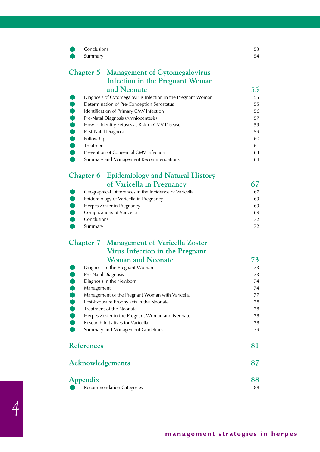| Conclusions<br>Summary  |                                                                                       | 53<br>54 |
|-------------------------|---------------------------------------------------------------------------------------|----------|
|                         | <b>Chapter 5</b> Management of Cytomegalovirus                                        |          |
|                         | <b>Infection in the Pregnant Woman</b>                                                |          |
|                         | and Neonate                                                                           | 55       |
|                         | Diagnosis of Cytomegalovirus Infection in the Pregnant Woman                          | 55       |
| <b></b>                 | Determination of Pre-Conception Serostatus                                            | 55       |
|                         | Identification of Primary CMV Infection                                               | 56       |
|                         | Pre-Natal Diagnosis (Amniocentesis)                                                   | 57       |
| <b>POPPS</b>            | How to Identify Fetuses at Risk of CMV Disease                                        | 59       |
|                         | Post-Natal Diagnosis                                                                  | 59       |
| Follow-Up               |                                                                                       | 60       |
| Treatment               | Prevention of Congenital CMV Infection                                                | 61<br>63 |
|                         | Summary and Management Recommendations                                                | 64       |
|                         |                                                                                       |          |
|                         | Chapter 6 Epidemiology and Natural History                                            |          |
|                         | of Varicella in Pregnancy                                                             | 67       |
|                         | Geographical Differences in the Incidence of Varicella                                | 67       |
| $\bullet$               | Epidemiology of Varicella in Pregnancy                                                | 69       |
|                         | Herpes Zoster in Pregnancy                                                            | 69       |
| $\bullet$               | Complications of Varicella                                                            | 69       |
| Conclusions             |                                                                                       | 72       |
| Summary                 |                                                                                       | 72       |
|                         | <b>Chapter 7</b> Management of Varicella Zoster                                       |          |
|                         | Virus Infection in the Pregnant                                                       |          |
|                         | <b>Woman and Neonate</b>                                                              | 73       |
|                         | Diagnosis in the Pregnant Woman                                                       | 73       |
|                         | Pre-Natal Diagnosis                                                                   | 73       |
|                         | Diagnosis in the Newborn                                                              | 74       |
| Management              |                                                                                       | 74       |
|                         | Management of the Pregnant Woman with Varicella                                       | 77       |
|                         | Post-Exposure Prophylaxis in the Neonate                                              | 78       |
| $\bullet$               | Treatment of the Neonate                                                              | 78       |
|                         | Herpes Zoster in the Pregnant Woman and Neonate<br>Research Initiatives for Varicella | 78<br>78 |
|                         | Summary and Management Guidelines                                                     | 79       |
|                         |                                                                                       |          |
| <b>References</b>       |                                                                                       | 81       |
| <b>Acknowledgements</b> |                                                                                       | 87       |
| Appendix                |                                                                                       | 88       |
|                         | <b>Recommendation Categories</b>                                                      | 88       |

**management strategies in herpes**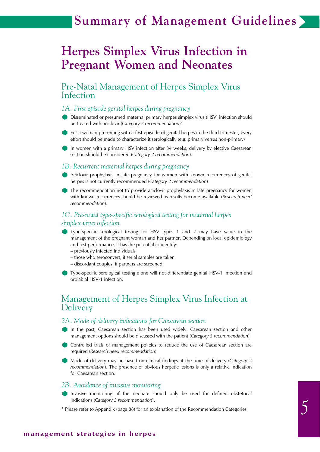# **Summary of Management Guidelines**

# **Herpes Simplex Virus Infection in Pregnant Women and Neonates**

### Pre-Natal Management of Herpes Simplex Virus Infection

#### *1A. First episode genital herpes during pregnancy*

Disseminated or presumed maternal primary herpes simplex virus (HSV) infection should be treated with aciclovir (*Category 2 recommendation*)\*

For a woman presenting with a first episode of genital herpes in the third trimester, every effort should be made to characterize it serologically (e.g. primary versus non-primary)

In women with a primary HSV infection after 34 weeks, delivery by elective Caesarean section should be considered (*Category 2 recommendation*).

#### *1B. Recurrent maternal herpes during pregnancy*

Aciclovir prophylaxis in late pregnancy for women with known recurrences of genital herpes is not currently recommended (*Category 2 recommendation*)

The recommendation not to provide aciclovir prophylaxis in late pregnancy for women with known recurrences should be reviewed as results become available (*Research need recommendation*).

#### *1C. Pre-natal type-specific serological testing for maternal herpes simplex virus infection*

Type-specific serological testing for HSV types 1 and 2 may have value in the management of the pregnant woman and her partner. Depending on local epidemiology and test performance, it has the potential to identify:

- previously infected individuals
- those who seroconvert, if serial samples are taken
- discordant couples, if partners are screened

Type-specific serological testing alone will not differentiate genital HSV-1 infection and orolabial HSV-1 infection.

### Management of Herpes Simplex Virus Infection at Delivery

#### *2A. Mode of delivery indications for Caesarean section*

- In the past, Caesarean section has been used widely. Caesarean section and other management options should be discussed with the patient (*Category 3 recommendation*)
- Controlled trials of management policies to reduce the use of Caesarean section are required (*Research need recommendation*)

Mode of delivery may be based on clinical findings at the time of delivery (*Category 2 recommendation*). The presence of obvious herpetic lesions is only a relative indication for Caesarean section.

#### *2B. Avoidance of invasive monitoring*

- Invasive monitoring of the neonate should only be used for defined obstetrical indications (*Category 3 recommendation*).
- \* Please refer to Appendix (page 88) for an explanation of the Recommendation Categories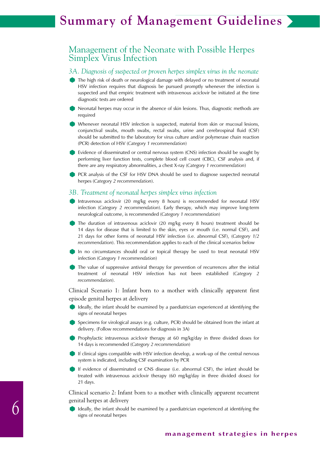# **Summary of Management Guidelines**

### Management of the Neonate with Possible Herpes Simplex Virus Infection

#### *3A. Diagnosis of suspected or proven herpes simplex virus in the neonate*

- The high risk of death or neurological damage with delayed or no treatment of neonatal HSV infection requires that diagnosis be pursued promptly whenever the infection is suspected and that empiric treatment with intravenous aciclovir be initiated at the time diagnostic tests are ordered
- Neonatal herpes may occur in the absence of skin lesions. Thus, diagnostic methods are required
- Whenever neonatal HSV infection is suspected, material from skin or mucosal lesions, conjunctival swabs, mouth swabs, rectal swabs, urine and cerebrospinal fluid (CSF) should be submitted to the laboratory for virus culture and/or polymerase chain reaction (PCR) detection of HSV (*Category 1 recommendation*)
- Evidence of disseminated or central nervous system (CNS) infection should be sought by performing liver function tests, complete blood cell count (CBC), CSF analysis and, if there are any respiratory abnormalities, a chest X-ray (*Category 1 recommendation*)

PCR analysis of the CSF for HSV DNA should be used to diagnose suspected neonatal herpes (*Category 2 recommendation*).

#### *3B. Treatment of neonatal herpes simplex virus infection*

- Intravenous aciclovir (20 mg/kg every 8 hours) is recommended for neonatal HSV infection (*Category 2 recommendation*). Early therapy, which may improve long-term neurological outcome, is recommended (*Category 1 recommendation*)
- The duration of intravenous aciclovir (20 mg/kg every 8 hours) treatment should be 14 days for disease that is limited to the skin, eyes or mouth (i.e. normal CSF), and 21 days for other forms of neonatal HSV infection (i.e. abnormal CSF), (*Category 1/2 recommendation*). This recommendation applies to each of the clinical scenarios below
- In no circumstances should oral or topical therapy be used to treat neonatal HSV infection (*Category 1 recommendation*)
- The value of suppressive antiviral therapy for prevention of recurrences after the initial treatment of neonatal HSV infection has not been established (*Category 2 recommendation*).

Clinical Scenario 1: Infant born to a mother with clinically apparent first episode genital herpes at delivery

- I Ideally, the infant should be examined by a paediatrician experienced at identifying the signs of neonatal herpes
- Specimens for virological assays (e.g. culture, PCR) should be obtained from the infant at delivery. (Follow recommendations for diagnosis in 3A)
- Prophylactic intravenous aciclovir therapy at 60 mg/kg/day in three divided doses for 14 days is recommended (*Category 2 recommendation*)
- If clinical signs compatible with HSV infection develop, a work-up of the central nervous system is indicated, including CSF examination by PCR
- If evidence of disseminated or CNS disease (i.e. abnormal CSF), the infant should be treated with intravenous aciclovir therapy (60 mg/kg/day in three divided doses) for 21 days.

Clinical scenario 2: Infant born to a mother with clinically apparent recurrent genital herpes at delivery

Ideally, the infant should be examined by a paediatrician experienced at identifying the signs of neonatal herpes

*6*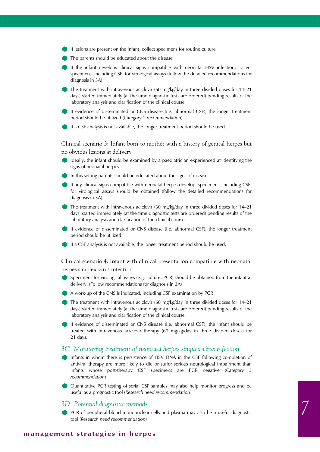- If lesions are present on the infant, collect specimens for routine culture
- The parents should be educated about the disease
- If the infant develops clinical signs compatible with neonatal HSV infection, collect specimens, including CSF, for virological assays (follow the detailed recommendations for diagnosis in 3A)
- The treatment with intravenous aciclovir (60 mg/kg/day in three divided doses for 14-21 days) started immediately (at the time diagnostic tests are ordered) pending results of the laboratory analysis and clarification of the clinical course
- If evidence of disseminated or CNS disease (i.e. abnormal CSF), the longer treatment period should be utilized (*Category 2 recommendation*)
- If a CSF analysis is not available, the longer treatment period should be used.

Clinical scenario 3: Infant born to mother with a history of genital herpes but no obvious lesions at delivery

- Ideally, the infant should be examined by a paediatrician experienced at identifying the signs of neonatal herpes
- In this setting parents should be educated about the signs of disease
- If any clinical signs compatible with neonatal herpes develop, specimens, including CSF, for virological assays should be obtained (follow the detailed recommendations for diagnosis in 3A)
- The treatment with intravenous aciclovir (60 mg/kg/day in three divided doses for 14-21 days) started immediately (at the time diagnostic tests are ordered) pending results of the laboratory analysis and clarification of the clinical course
- If evidence of disseminated or CNS disease (i.e. abnormal CSF), the longer treatment period should be utilized
- If a CSF analysis is not available, the longer treatment period should be used.

Clinical scenario 4: Infant with clinical presentation compatible with neonatal herpes simplex virus infection

- Specimens for virological assays (e.g. culture, PCR) should be obtained from the infant at delivery. (Follow recommendations for diagnosis in 3A)
- A work-up of the CNS is indicated, including CSF examination by PCR
- The treatment with intravenous aciclovir (60 mg/kg/day in three divided doses for 14–21 days) started immediately (at the time diagnostic tests are ordered) pending results of the laboratory analysis and clarification of the clinical course

If evidence of disseminated or CNS disease (i.e. abnormal CSF), the infant should be treated with intravenous aciclovir therapy (60 mg/kg/day in three divided doses) for 21 days.

#### *3C. Monitoring treatment of neonatal herpes simplex virus infection*

- Infants in whom there is persistence of HSV DNA in the CSF following completion of antiviral therapy are more likely to die or suffer serious neurological impairment than infants whose post-therapy CSF specimens are PCR negative (*Category 3 recommendation*)
- Quantitative PCR testing of serial CSF samples may also help monitor progress and be useful as a prognostic tool (*Research need recommendation*).

#### *3D. Potential diagnostic methods*

PCR of peripheral blood mononuclear cells and plasma may also be a useful diagnostic tool (*Research need recommendation*)

#### **management strategies in herpes**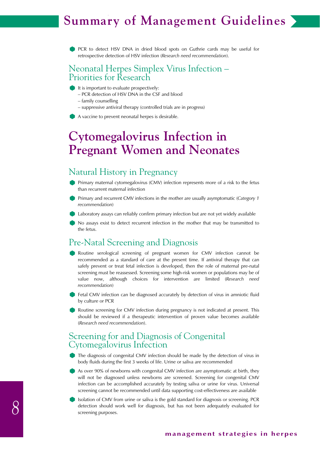# **Chapter X Summary of Management Guidelines**

PCR to detect HSV DNA in dried blood spots on Guthrie cards may be useful for retrospective detection of HSV infection (*Research need recommendation*).

### Neonatal Herpes Simplex Virus Infection – Priorities for Research

- $\blacksquare$  It is important to evaluate prospectively:
	- PCR detection of HSV DNA in the CSF and blood
	- family counselling
	- suppressive antiviral therapy (controlled trials are in progress)
- A vaccine to prevent neonatal herpes is desirable.

# **Cytomegalovirus Infection in Pregnant Women and Neonates**

# Natural History in Pregnancy

- Primary maternal cytomegalovirus (CMV) infection represents more of a risk to the fetus than recurrent maternal infection
- Primary and recurrent CMV infections in the mother are usually asymptomatic (*Category 1 recommendation*)
- Laboratory assays can reliably confirm primary infection but are not yet widely available
- No assays exist to detect recurrent infection in the mother that may be transmitted to the fetus.

### Pre-Natal Screening and Diagnosis

- Routine serological screening of pregnant women for CMV infection cannot be recommended as a standard of care at the present time. If antiviral therapy that can safely prevent or treat fetal infection is developed, then the role of maternal pre-natal screening must be reassessed. Screening some high-risk women or populations may be of value now, although choices for intervention are limited (*Research need recommendation*)
- Fetal CMV infection can be diagnosed accurately by detection of virus in amniotic fluid by culture or PCR
- Routine screening for CMV infection during pregnancy is not indicated at present. This should be reviewed if a therapeutic intervention of proven value becomes available (*Research need recommendation*).

### Screening for and Diagnosis of Congenital Cytomegalovirus Infection

- The diagnosis of congenital CMV infection should be made by the detection of virus in body fluids during the first 3 weeks of life. Urine or saliva are recommended
- As over 90% of newborns with congenital CMV infection are asymptomatic at birth, they will not be diagnosed unless newborns are screened. Screening for congenital CMV infection can be accomplished accurately by testing saliva or urine for virus. Universal screening cannot be recommended until data supporting cost-effectiveness are available
- Isolation of CMV from urine or saliva is the gold standard for diagnosis or screening. PCR detection should work well for diagnosis, but has not been adequately evaluated for screening purposes.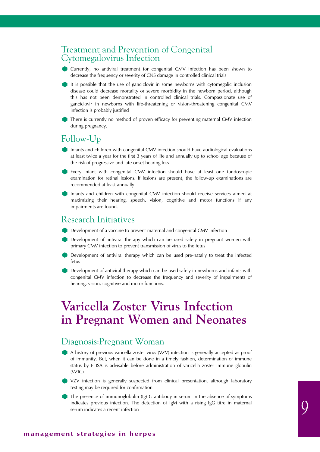### Treatment and Prevention of Congenital Cytomegalovirus Infection

- Currently, no antiviral treatment for congenital CMV infection has been shown to decrease the frequency or severity of CNS damage in controlled clinical trials
- It is possible that the use of ganciclovir in some newborns with cytomegalic inclusion disease could decrease mortality or severe morbidity in the newborn period, although this has not been demonstrated in controlled clinical trials. Compassionate use of ganciclovir in newborns with life-threatening or vision-threatening congenital CMV infection is probably justified
- There is currently no method of proven efficacy for preventing maternal CMV infection during pregnancy.

# Follow-Up

- Infants and children with congenital CMV infection should have audiological evaluations at least twice a year for the first 3 years of life and annually up to school age because of the risk of progressive and late onset hearing loss
- Every infant with congenital CMV infection should have at least one fundoscopic examination for retinal lesions. If lesions are present, the follow-up examinations are recommended at least annually
- Infants and children with congenital CMV infection should receive services aimed at maximizing their hearing, speech, vision, cognitive and motor functions if any impairments are found.

### Research Initiatives

- Development of a vaccine to prevent maternal and congenital CMV infection
- Development of antiviral therapy which can be used safely in pregnant women with primary CMV infection to prevent transmission of virus to the fetus
- Development of antiviral therapy which can be used pre-natally to treat the infected fetus
- Development of antiviral therapy which can be used safely in newborns and infants with congenital CMV infection to decrease the frequency and severity of impairments of hearing, vision, cognitive and motor functions.

# **Varicella Zoster Virus Infection in Pregnant Women and Neonates**

# Diagnosis:Pregnant Woman

- A history of previous varicella zoster virus (VZV) infection is generally accepted as proof of immunity. But, when it can be done in a timely fashion, determination of immune status by ELISA is advisable before administration of varicella zoster immune globulin (VZIG)
- VZV infection is generally suspected from clinical presentation, although laboratory testing may be required for confirmation
- The presence of immunoglobulin (Ig) G antibody in serum in the absence of symptoms indicates previous infection. The detection of IgM with a rising IgG titre in maternal serum indicates a recent infection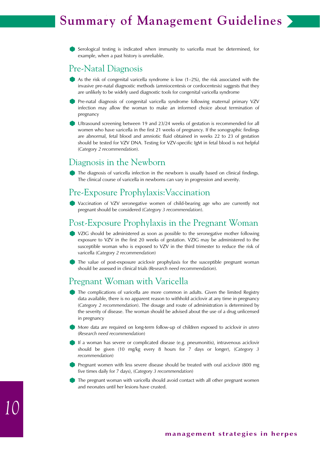# **Chapter X Summary of Management Guidelines**

Serological testing is indicated when immunity to varicella must be determined, for example, when a past history is unreliable.

### Pre-Natal Diagnosis

- As the risk of congenital varicella syndrome is low  $(1-2\%)$ , the risk associated with the invasive pre-natal diagnostic methods (amniocentesis or cordocentesis) suggests that they are unlikely to be widely used diagnostic tools for congenital varicella syndrome
- Pre-natal diagnosis of congenital varicella syndrome following maternal primary VZV infection may allow the woman to make an informed choice about termination of pregnancy
- Ultrasound screening between 19 and 23/24 weeks of gestation is recommended for all women who have varicella in the first 21 weeks of pregnancy. If the sonographic findings are abnormal, fetal blood and amniotic fluid obtained in weeks 22 to 23 of gestation should be tested for VZV DNA. Testing for VZV-specific IgM in fetal blood is not helpful (*Category 2 recommendation*).

# Diagnosis in the Newborn

The diagnosis of varicella infection in the newborn is usually based on clinical findings. The clinical course of varicella in newborns can vary in progression and severity.

### Pre-Exposure Prophylaxis:Vaccination

Vaccination of VZV seronegative women of child-bearing age who are currently not pregnant should be considered (*Category 3 recommendation*).

# Post-Exposure Prophylaxis in the Pregnant Woman

- VZIG should be administered as soon as possible to the seronegative mother following exposure to VZV in the first 20 weeks of gestation. VZIG may be administered to the susceptible woman who is exposed to VZV in the third trimester to reduce the risk of varicella (*Category 2 recommendation*)
- The value of post-exposure aciclovir prophylaxis for the susceptible pregnant woman should be assessed in clinical trials (*Research need recommendation*).

# Pregnant Woman with Varicella

- The complications of varicella are more common in adults. Given the limited Registry data available, there is no apparent reason to withhold aciclovir at any time in pregnancy (*Category 2 recommendation*). The dosage and route of administration is determined by the severity of disease. The woman should be advised about the use of a drug unlicensed in pregnancy
- More data are required on long-term follow-up of children exposed to aciclovir *in utero* (*Research need recommendation*)
- If a woman has severe or complicated disease (e.g. pneumonitis), intravenous aciclovir should be given (10 mg/kg every 8 hours for 7 days or longer), (*Category 3 recommendation*)
- Pregnant women with less severe disease should be treated with oral aciclovir (800 mg five times daily for 7 days), (*Category 3 recommendation*)
- The pregnant woman with varicella should avoid contact with all other pregnant women and neonates until her lesions have crusted.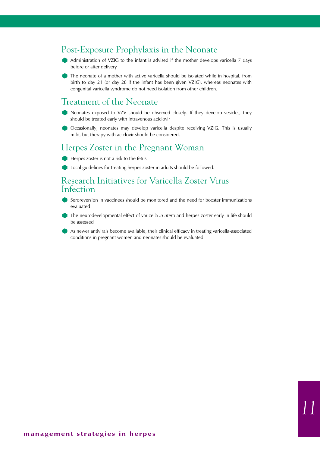# Post-Exposure Prophylaxis in the Neonate

- Administration of VZIG to the infant is advised if the mother develops varicella 7 days before or after delivery
- The neonate of a mother with active varicella should be isolated while in hospital, from birth to day 21 (or day 28 if the infant has been given VZIG), whereas neonates with congenital varicella syndrome do not need isolation from other children.

### Treatment of the Neonate

- Neonates exposed to VZV should be observed closely. If they develop vesicles, they should be treated early with intravenous aciclovir
- Occasionally, neonates may develop varicella despite receiving VZIG. This is usually mild, but therapy with aciclovir should be considered.

### Herpes Zoster in the Pregnant Woman

- Herpes zoster is not a risk to the fetus
- **Local guidelines for treating herpes zoster in adults should be followed.**

### Research Initiatives for Varicella Zoster Virus Infection

- Seroreversion in vaccinees should be monitored and the need for booster immunizations evaluated
- The neurodevelopmental effect of varicella *in utero* and herpes zoster early in life should be assessed
- As newer antivirals become available, their clinical efficacy in treating varicella-associated conditions in pregnant women and neonates should be evaluated.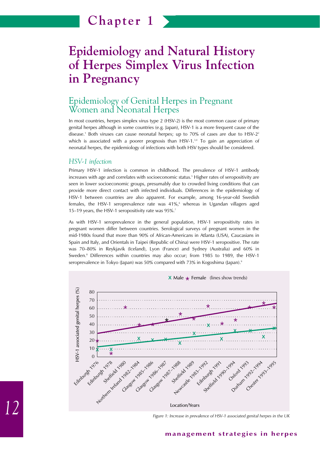# **Epidemiology and Natural History of Herpes Simplex Virus Infection in Pregnancy**

# Epidemiology of Genital Herpes in Pregnant Women and Neonatal Herpes

In most countries, herpes simplex virus type 2 (HSV-2) is the most common cause of primary genital herpes although in some countries (e.g. Japan), HSV-1 is a more frequent cause of the disease.<sup>1</sup> Both viruses can cause neonatal herpes; up to 70% of cases are due to  $HSV-2<sup>2</sup>$ which is associated with a poorer prognosis than HSV-1. $34$  To gain an appreciation of neonatal herpes, the epidemiology of infections with both HSV types should be considered.

#### *HSV-1 infection*

Primary HSV-1 infection is common in childhood. The prevalence of HSV-1 antibody increases with age and correlates with socioeconomic status.<sup>5</sup> Higher rates of seropositivity are seen in lower socioeconomic groups, presumably due to crowded living conditions that can provide more direct contact with infected individuals. Differences in the epidemiology of HSV-1 between countries are also apparent. For example, among 16-year-old Swedish females, the HSV-1 seroprevalence rate was 41%,<sup>6</sup> whereas in Ugandan villagers aged 15–19 years, the HSV-1 seropositivity rate was 95%.7

As with HSV-1 seroprevalence in the general population, HSV-1 seropositivity rates in pregnant women differ between countries. Serological surveys of pregnant women in the mid-1980s found that more than 90% of African-Americans in Atlanta (USA), Caucasians in Spain and Italy, and Orientals in Taipei (Republic of China) were HSV-1 seropositive. The rate was 70–80% in Reykjavik (Iceland), Lyon (France) and Sydney (Australia) and 60% in Sweden.<sup>8</sup> Differences within countries may also occur; from 1985 to 1989, the HSV-1 seroprevalence in Tokyo (Japan) was 50% compared with 73% in Kogoshima (Japan).<sup>9</sup>



*Figure 1: Increase in prevalence of HSV-1 associated genital herpes in the UK*

#### **management strategies in herpes**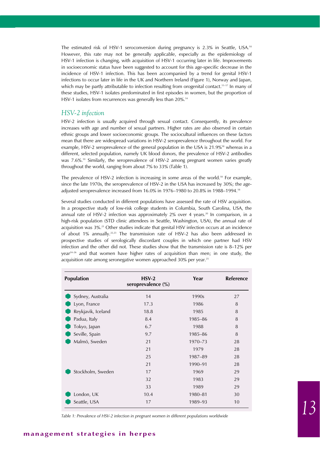The estimated risk of HSV-1 seroconversion during pregnancy is 2.3% in Seattle, USA.<sup>10</sup> However, this rate may not be generally applicable, especially as the epidemiology of HSV-1 infection is changing, with acquisition of HSV-1 occurring later in life. Improvements in socioeconomic status have been suggested to account for this age-specific decrease in the incidence of HSV-1 infection. This has been accompanied by a trend for genital HSV-1 infections to occur later in life in the UK and Northern Ireland (Figure 1), Norway and Japan, which may be partly attributable to infection resulting from orogenital contact.<sup>11-17</sup> In many of these studies, HSV-1 isolates predominated in first episodes in women, but the proportion of HSV-1 isolates from recurrences was generally less than 20%.<sup>14</sup>

#### *HSV-2 infection*

HSV-2 infection is usually acquired through sexual contact. Consequently, its prevalence increases with age and number of sexual partners. Higher rates are also observed in certain ethnic groups and lower socioeconomic groups. The sociocultural influences on these factors mean that there are widespread variations in HSV-2 seroprevalence throughout the world. For example, HSV-2 seroprevalence of the general population in the USA is 21.9%<sup>18</sup> whereas in a different, selected population, namely UK blood donors, the prevalence of HSV-2 antibodies was 7.6%.<sup>19</sup> Similarly, the seroprevalence of HSV-2 among pregnant women varies greatly throughout the world, ranging from about 7% to 33% (Table 1).

The prevalence of HSV-2 infection is increasing in some areas of the world.<sup>18</sup> For example, since the late 1970s, the seroprevalence of HSV-2 in the USA has increased by 30%; the ageadjusted seroprevalence increased from 16.0% in 1976–1980 to 20.8% in 1988–1994.18

Several studies conducted in different populations have assessed the rate of HSV acquisition. In a prospective study of low-risk college students in Columbia, South Carolina, USA, the annual rate of HSV-2 infection was approximately  $2\%$  over 4 years.<sup>20</sup> In comparison, in a high-risk population (STD clinic attendees in Seattle, Washington, USA), the annual rate of acquisition was 3%.<sup>21</sup> Other studies indicate that genital HSV infection occurs at an incidence of about 1% annually.<sup>22,23</sup> The transmission rate of HSV-2 has also been addressed in prospective studies of serologically discordant couples in which one partner had HSV infection and the other did not. These studies show that the transmission rate is 8–12% per year<sup>24–26</sup> and that women have higher rates of acquisition than men; in one study, the acquisition rate among seronegative women approached 30% per year.<sup>25</sup>

| <b>Population</b>  | $HSV-2$<br>seroprevalence (%) | Year    | Reference |
|--------------------|-------------------------------|---------|-----------|
| Sydney, Australia  | 14                            | 1990s   | 27        |
| Lyon, France       | 17.3                          | 1986    | 8         |
| Reykjavik, Iceland | 18.8                          | 1985    | 8         |
| Padua, Italy       | 8.4                           | 1985-86 | 8         |
| Tokyo, Japan       | 6.7                           | 1988    | 8         |
| Seville, Spain     | 9.7                           | 1985-86 | 8         |
| Malmö, Sweden      | 21                            | 1970-73 | 28        |
|                    | 21                            | 1979    | 28        |
|                    | 25                            | 1987-89 | 28        |
|                    | 21                            | 1990-91 | 28        |
| Stockholm, Sweden  | 17                            | 1969    | 29        |
|                    | 32                            | 1983    | 29        |
|                    | 33                            | 1989    | 29        |
| London, UK         | 10.4                          | 1980-81 | 30        |
| Seattle, USA       | 17                            | 1989-93 | 10        |

*Table 1: Prevalence of HSV-2 infection in pregnant women in different populations worldwide*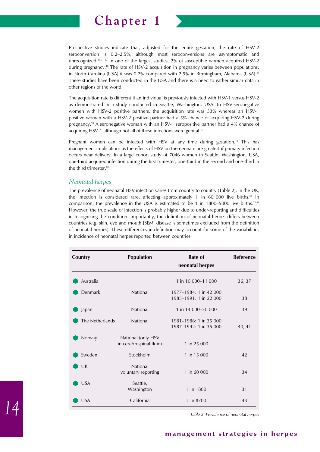

Prospective studies indicate that, adjusted for the entire gestation, the rate of HSV-2 seroconversion is 0.2–2.5%, although most seroconversions are asymptomatic and unrecognized.<sup>10,31-33</sup> In one of the largest studies, 2% of susceptible women acquired HSV-2 during pregnancy.10 The rate of HSV-2 acquisition in pregnancy varies between populations: in North Carolina (USA) it was 0.2% compared with 2.5% in Birmingham, Alabama (USA).<sup>33</sup> These studies have been conducted in the USA and there is a need to gather similar data in other regions of the world.

The acquisition rate is different if an individual is previously infected with HSV-1 versus HSV-2 as demonstrated in a study conducted in Seattle, Washington, USA. In HSV-seronegative women with HSV-2 positive partners, the acquisition rate was 33% whereas an HSV-1 positive woman with a HSV-2 positive partner had a 5% chance of acquiring HSV-2 during pregnancy.<sup>10</sup> A seronegative woman with an HSV-1 seropositive partner had a 4% chance of acquiring HSV-1 although not all of these infections were genital.<sup>10</sup>

Pregnant women can be infected with HSV at any time during gestation.<sup>10</sup> This has management implications as the effects of HSV on the neonate are greatest if primary infection occurs near delivery. In a large cohort study of 7046 women in Seattle, Washington, USA, one-third acquired infection during the first trimester, one-third in the second and one-third in the third trimester.<sup>10</sup>

#### *Neonatal herpes*

The prevalence of neonatal HSV infection varies from country to country (Table 2). In the UK, the infection is considered rare, affecting approximately 1 in 60 000 live births. $34 \text{ In}$ comparison, the prevalence in the USA is estimated to be 1 in 1800–5000 live births.<sup>31,35</sup> However, the true scale of infection is probably higher due to under-reporting and difficulties in recognizing the condition. Importantly, the definition of neonatal herpes differs between countries (e.g. skin, eye and mouth [SEM] disease is sometimes excluded from the definition of neonatal herpes). These differences in definition may account for some of the variabilities in incidence of neonatal herpes reported between countries.

| Country         | <b>Population</b>                             | Rate of<br>neonatal herpes                       | Reference |  |
|-----------------|-----------------------------------------------|--------------------------------------------------|-----------|--|
| Australia       |                                               | 1 in 10 000-11 000                               | 36, 37    |  |
| Denmark         | <b>National</b>                               | 1977-1984: 1 in 42 000<br>1985-1991: 1 in 22 000 | 38        |  |
| Japan           | <b>National</b>                               | 1 in 14 000-20 000                               | 39        |  |
| The Netherlands | <b>National</b>                               | 1981-1986: 1 in 35 000<br>1987-1992: 1 in 35 000 | 40, 41    |  |
| Norway          | National (only HSV<br>in cerebrospinal fluid) | 1 in 25 000                                      |           |  |
| Sweden          | Stockholm                                     | 1 in 15 000                                      | 42        |  |
| UK              | <b>National</b><br>voluntary reporting        | 1 in 60 000                                      | 34        |  |
| <b>USA</b>      | Seattle,<br>Washington                        | 1 in 1800                                        | 31        |  |
| <b>USA</b>      | California                                    | 1 in 8700                                        | 43        |  |

*Table 2: Prevalence of neonatal herpes*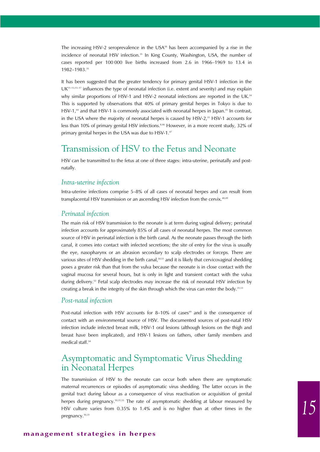The increasing HSV-2 seroprevalence in the USA $18$  has been accompanied by a rise in the incidence of neonatal HSV infection.<sup>35</sup> In King County, Washington, USA, the number of cases reported per 100 000 live births increased from 2.6 in 1966–1969 to 13.4 in 1982–1983.35

It has been suggested that the greater tendency for primary genital HSV-1 infection in the  $UK<sup>11–13,15–17</sup>$  influences the type of neonatal infection (i.e. extent and severity) and may explain why similar proportions of HSV-1 and HSV-2 neonatal infections are reported in the UK.<sup>34</sup> This is supported by observations that 40% of primary genital herpes in Tokyo is due to HSV-1,<sup>44</sup> and that HSV-1 is commonly associated with neonatal herpes in Japan.<sup>45</sup> In contrast, in the USA where the majority of neonatal herpes is caused by HSV-2,<sup>33</sup> HSV-1 accounts for less than 10% of primary genital HSV infections.<sup>8,46</sup> However, in a more recent study, 32% of primary genital herpes in the USA was due to HSV-1.47

### Transmission of HSV to the Fetus and Neonate

HSV can be transmitted to the fetus at one of three stages: intra-uterine, perinatally and postnatally.

#### *Intra-uterine infection*

Intra-uterine infections comprise 5–8% of all cases of neonatal herpes and can result from transplacental HSV transmission or an ascending HSV infection from the cervix.<sup>48,49</sup>

#### *Perinatal infection*

The main risk of HSV transmission to the neonate is at term during vaginal delivery; perinatal infection accounts for approximately 85% of all cases of neonatal herpes. The most common source of HSV in perinatal infection is the birth canal. As the neonate passes through the birth canal, it comes into contact with infected secretions; the site of entry for the virus is usually the eye, nasopharynx or an abrasion secondary to scalp electrodes or forceps. There are various sites of HSV shedding in the birth canal,<sup>50,51</sup> and it is likely that cervicovaginal shedding poses a greater risk than that from the vulva because the neonate is in close contact with the vaginal mucosa for several hours, but is only in light and transient contact with the vulva during delivery.52 Fetal scalp electrodes may increase the risk of neonatal HSV infection by creating a break in the integrity of the skin through which the virus can enter the body. $31,53$ 

#### *Post-natal infection*

Post-natal infection with HSV accounts for  $8-10\%$  of cases<sup>49</sup> and is the consequence of contact with an environmental source of HSV. The documented sources of post-natal HSV infection include infected breast milk, HSV-1 oral lesions (although lesions on the thigh and breast have been implicated), and HSV-1 lesions on fathers, other family members and medical staff.<sup>54</sup>

# Asymptomatic and Symptomatic Virus Shedding in Neonatal Herpes

The transmission of HSV to the neonate can occur both when there are symptomatic maternal recurrences or episodes of asymptomatic virus shedding. The latter occurs in the genital tract during labour as a consequence of virus reactivation or acquisition of genital herpes during pregnancy.<sup>10,31,55</sup> The rate of asymptomatic shedding at labour measured by HSV culture varies from 0.35% to 1.4% and is no higher than at other times in the pregnancy.<sup>10,31</sup>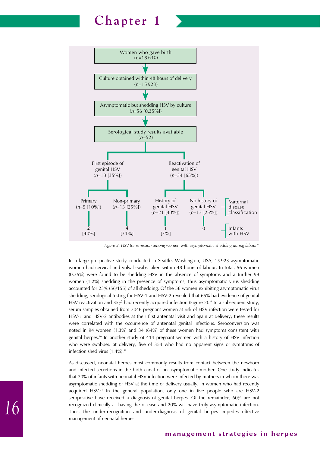

*Figure 2: HSV transmission among women with asymptomatic shedding during labour31*

In a large prospective study conducted in Seattle, Washington, USA, 15 923 asymptomatic women had cervical and vulval swabs taken within 48 hours of labour. In total, 56 women (0.35%) were found to be shedding HSV in the absence of symptoms and a further 99 women (1.2%) shedding in the presence of symptoms; thus asymptomatic virus shedding accounted for 23% (56/155) of all shedding. Of the 56 women exhibiting asymptomatic virus shedding, serological testing for HSV-1 and HSV-2 revealed that 65% had evidence of genital HSV reactivation and 35% had recently acquired infection (Figure 2).<sup>31</sup> In a subsequent study, serum samples obtained from 7046 pregnant women at risk of HSV infection were tested for HSV-1 and HSV-2 antibodies at their first antenatal visit and again at delivery; these results were correlated with the occurrence of antenatal genital infections. Seroconversion was noted in 94 women (1.3%) and 34 (64%) of these women had symptoms consistent with genital herpes.10 In another study of 414 pregnant women with a history of HSV infection who were swabbed at delivery, five of 354 who had no apparent signs or symptoms of infection shed virus  $(1.4\%)$ .<sup>56</sup>

As discussed, neonatal herpes most commonly results from contact between the newborn and infected secretions in the birth canal of an asymptomatic mother. One study indicates that 70% of infants with neonatal HSV infection were infected by mothers in whom there was asymptomatic shedding of HSV at the time of delivery usually, in women who had recently acquired HSV.<sup>31</sup> In the general population, only one in five people who are HSV-2 seropositive have received a diagnosis of genital herpes. Of the remainder, 60% are not recognized clinically as having the disease and 20% will have truly asymptomatic infection. Thus, the under-recognition and under-diagnosis of genital herpes impedes effective management of neonatal herpes.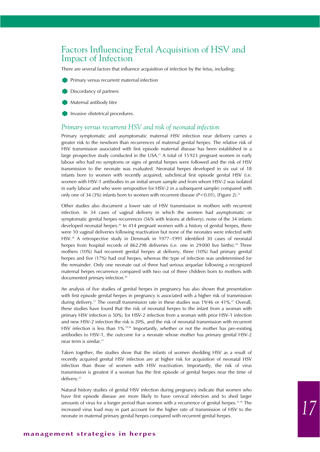### Factors Influencing Fetal Acquisition of HSV and Impact of Infection

There are several factors that influence acquisition of infection by the fetus, including:

- **Primary versus recurrent maternal infection**
- Discordancy of partners
- **Maternal antibody titre**
- Invasive obstetrical procedures.

#### *Primary versus recurrent HSV and risk of neonatal infection*

Primary symptomatic and asymptomatic maternal HSV infection near delivery carries a greater risk to the newborn than recurrences of maternal genital herpes. The relative risk of HSV transmission associated with first episode maternal disease has been established in a large prospective study conducted in the USA.<sup>31</sup> A total of 15923 pregnant women in early labour who had no symptoms or signs of genital herpes were followed and the risk of HSV transmission to the neonate was evaluated. Neonatal herpes developed in six out of 18 infants born to women with recently acquired, subclinical first episode genital HSV (i.e. women with HSV-1 antibodies in an initial serum sample and from whom HSV-2 was isolated in early labour and who were seropositive for HSV-2 in a subsequent sample) compared with only one of 34 (3%) infants born to women with recurrent disease (P<0.01), (Figure 2).<sup>31</sup>

Other studies also document a lower rate of HSV transmission in mothers with recurrent infection. In 34 cases of vaginal delivery in which the women had asymptomatic or symptomatic genital herpes recurrences (56% with lesions at delivery), none of the 34 infants developed neonatal herpes.<sup>26</sup> In 414 pregnant women with a history of genital herpes, there were 10 vaginal deliveries following reactivation but none of the neonates were infected with HSV.56 A retrospective study in Denmark in 1977–1991 identified 30 cases of neonatal herpes from hospital records of 862298 deliveries (i.e. one in 29000 live births).<sup>38</sup> Three mothers (10%) had recurrent genital herpes at delivery, three (10%) had primary genital herpes and five (17%) had oral herpes, whereas the type of infection was undetermined for the remainder. Only one neonate out of three had serious sequelae following a recognized maternal herpes recurrence compared with two out of three children born to mothers with documented primary infection.<sup>38</sup>

An analysis of five studies of genital herpes in pregnancy has also shown that presentation with first episode genital herpes in pregnancy is associated with a higher risk of transmission during delivery.<sup>57</sup> The overall transmission rate in these studies was 19/46 or 41%.<sup>57</sup> Overall, these studies have found that the risk of neonatal herpes to the infant from a woman with primary HSV infection is 50%; for HSV-2 infection from a woman with prior HSV-1 infection and new HSV-2 infection the risk is 20%, and the risk of neonatal transmission with recurrent HSV infection is less than 1%.10,26 Importantly, whether or not the mother has pre-existing antibodies to HSV-1, the outcome for a neonate whose mother has primary genital HSV-2 near term is similar.31

Taken together, the studies show that the infants of women shedding HSV as a result of recently acquired genital HSV infection are at higher risk for acquisition of neonatal HSV infection than those of women with HSV reactivation. Importantly, the risk of virus transmission is greatest if a woman has the first episode of genital herpes near the time of delivery.<sup>31</sup>

Natural history studies of genital HSV infection during pregnancy indicate that women who have first episode disease are more likely to have cervical infection and to shed larger amounts of virus for a longer period than women with a recurrence of genital herpes.<sup>31,58</sup> The increased virus load may in part account for the higher rate of transmission of HSV to the neonate in maternal primary genital herpes compared with recurrent genital herpes.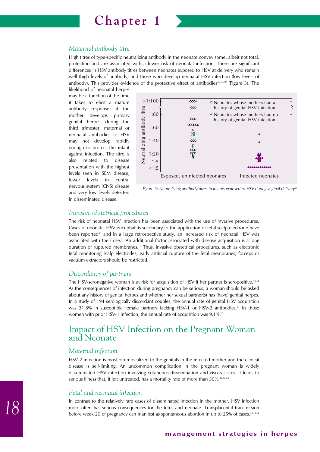

#### *Maternal antibody titre*

High titres of type-specific neutralizing antibody in the neonate convey some, albeit not total, protection and are associated with a lower risk of neonatal infection. There are significant differences in HSV antibody titres between neonates exposed to HSV at delivery who remain well (high levels of antibody) and those who develop neonatal HSV infection (low levels of antibody). This provides evidence of the protective effect of antibodies<sup>26,59,60</sup> (Figure 3). The

likelihood of neonatal herpes may be a function of the time it takes to elicit a mature antibody response; if the mother develops primary genital herpes during the third trimester, maternal or neonatal antibodies to HSV may not develop rapidly enough to protect the infant against infection. The titre is also related to disease presentation with the highest levels seen in SEM disease, lower levels in central nervous system (CNS) disease and very low levels detected in disseminated disease.





#### *Invasive obstetrical procedures*

The risk of neonatal HSV infection has been associated with the use of invasive procedures. Cases of neonatal HSV encephalitis secondary to the application of fetal scalp electrode have been reported<sup>53</sup> and in a large retrospective study, an increased risk of neonatal HSV was associated with their use.<sup>31</sup> An additional factor associated with disease acquisition is a long duration of ruptured membranes.10 Thus, invasive obstetrical procedures, such as electronic fetal monitoring scalp electrodes, early artificial rupture of the fetal membranes, forceps or vacuum extractors should be restricted.

#### *Discordancy of partners*

The HSV-seronegative woman is at risk for acquisition of HSV if her partner is seropositive.<sup>10,61</sup> As the consequences of infection during pregnancy can be serious, a woman should be asked about any history of genital herpes and whether her sexual partner(s) has (have) genital herpes. In a study of 194 serologically discordant couples, the annual rate of genital HSV acquisition was 31.8% in susceptible female partners lacking HSV-1 or HSV-2 antibodies.<sup>61</sup> In those women with prior HSV-1 infection, the annual rate of acquisition was 9.1%.<sup>61</sup>

### Impact of HSV Infection on the Pregnant Woman and Neonate

#### *Maternal infection*

HSV-2 infection is most often localized to the genitals in the infected mother and the clinical disease is self-limiting. An uncommon complication in the pregnant woman is widely disseminated HSV infection involving cutaneous dissemination and visceral sites. It leads to serious illness that, if left untreated, has a mortality rate of more than 50%.<sup>32,62,63</sup>

#### *Fetal and neonatal infection*

In contrast to the relatively rare cases of disseminated infection in the mother, HSV infection more often has serious consequences for the fetus and neonate. Transplacental transmission before week 20 of pregnancy can manifest as spontaneous abortion in up to 25% of cases.<sup>32,48,64</sup>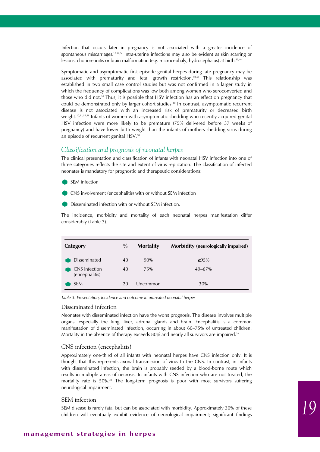Infection that occurs later in pregnancy is not associated with a greater incidence of spontaneous miscarriages.<sup>10,52,64</sup> Intra-uterine infections may also be evident as skin scarring or lesions, chorioretinitis or brain malformation (e.g. microcephaly, hydrocephalus) at birth.<sup>33,48</sup>

Symptomatic and asymptomatic first episode genital herpes during late pregnancy may be associated with prematurity and fetal growth restriction.50,58 This relationship was established in two small case control studies but was not confirmed in a larger study in which the frequency of complications was low both among women who seroconverted and those who did not.10 Thus, it is possible that HSV infection has an effect on pregnancy that could be demonstrated only by larger cohort studies.10 In contrast, asymptomatic recurrent disease is not associated with an increased risk of prematurity or decreased birth weight.10,51,56,58 Infants of women with asymptomatic shedding who recently acquired genital HSV infection were more likely to be premature (75% delivered before 37 weeks of pregnancy) and have lower birth weight than the infants of mothers shedding virus during an episode of recurrent genital HSV.<sup>58</sup>

#### *Classification and prognosis of neonatal herpes*

The clinical presentation and classification of infants with neonatal HSV infection into one of three categories reflects the site and extent of virus replication. The classification of infected neonates is mandatory for prognostic and therapeutic considerations:

- SEM infection
- CNS involvement (encephalitis) with or without SEM infection
- Disseminated infection with or without SEM infection.

The incidence, morbidity and mortality of each neonatal herpes manifestation differ considerably (Table 3).

| Category                        | $\%$ | <b>Mortality</b> | Morbidity (neurologically impaired) |
|---------------------------------|------|------------------|-------------------------------------|
| <b>Disseminated</b>             | 40   | 90%              | $\geq 95\%$                         |
| CNS infection<br>(encephalitis) | 40   | 75%              | $49 - 67%$                          |
| <b>SEM</b>                      | 20   | Uncommon         | 30%                                 |

*Table 3: Presentation, incidence and outcome in untreated neonatal herpes*

#### Disseminated infection

Neonates with disseminated infection have the worst prognosis. The disease involves multiple organs, especially the lung, liver, adrenal glands and brain. Encephalitis is a common manifestation of disseminated infection, occurring in about 60–75% of untreated children. Mortality in the absence of therapy exceeds 80% and nearly all survivors are impaired.<sup>33</sup>

#### CNS infection (encephalitis)

Approximately one-third of all infants with neonatal herpes have CNS infection only. It is thought that this represents axonal transmission of virus to the CNS. In contrast, in infants with disseminated infection, the brain is probably seeded by a blood-borne route which results in multiple areas of necrosis. In infants with CNS infection who are not treated, the mortality rate is  $50\%$ .<sup>33</sup> The long-term prognosis is poor with most survivors suffering neurological impairment.

#### SEM infection

SEM disease is rarely fatal but can be associated with morbidity. Approximately 30% of these children will eventually exhibit evidence of neurological impairment; significant findings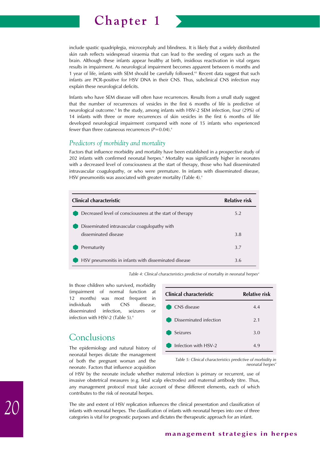

include spastic quadriplegia, microcephaly and blindness. It is likely that a widely distributed skin rash reflects widespread viraemia that can lead to the seeding of organs such as the brain. Although these infants appear healthy at birth, insidious reactivation in vital organs results in impairment. As neurological impairment becomes apparent between 6 months and 1 year of life, infants with SEM should be carefully followed.<sup>65</sup> Recent data suggest that such infants are PCR-positive for HSV DNA in their CNS. Thus, subclinical CNS infection may explain these neurological deficits.

Infants who have SEM disease will often have recurrences. Results from a small study suggest that the number of recurrences of vesicles in the first 6 months of life is predictive of neurological outcome.4 In the study, among infants with HSV-2 SEM infection, four (29%) of 14 infants with three or more recurrences of skin vesicles in the first 6 months of life developed neurological impairment compared with none of 15 infants who experienced fewer than three cutaneous recurrences  $(P=0.04)$ .<sup>4</sup>

#### *Predictors of morbidity and mortality*

Factors that influence morbidity and mortality have been established in a prospective study of 202 infants with confirmed neonatal herpes.4 Mortality was significantly higher in neonates with a decreased level of consciousness at the start of therapy, those who had disseminated intravascular coagulopathy, or who were premature. In infants with disseminated disease, HSV pneumonitis was associated with greater mortality (Table 4).<sup>4</sup>

| Clinical characteristic                                              | Relative risk |
|----------------------------------------------------------------------|---------------|
| Decreased level of consciousness at the start of therapy             | 5.2           |
| Disseminated intravascular coagulopathy with<br>disseminated disease | 3.8           |
| Prematurity                                                          | 3.7           |
| HSV pneumonitis in infants with disseminated disease                 | 3.6           |

Table 4: Clinical characteristics predictive of mortality in neonatal herpes<sup>4</sup>

In those children who survived, morbidity (impairment of normal function at 12 months) was most frequent in<br>
individuals with CNS disease, individuals disseminated infection, seizures or infection with HSV-2 (Table 5).4

# Conclusions

The epidemiology and natural history of neonatal herpes dictate the management of both the pregnant woman and the neonate. Factors that influence acquisition

| Clinical characteristic | Relative risk |
|-------------------------|---------------|
| CNS disease             | 4.4           |
| Disseminated infection  | 2.1           |
| Seizures                | 3.0           |
| Infection with HSV-2    | 4.9           |

*Table 5: Clinical characteristics predictive of morbidity in neonatal herpes* 

of HSV by the neonate include whether maternal infection is primary or recurrent, use of invasive obstetrical measures (e.g. fetal scalp electrodes) and maternal antibody titre. Thus, any management protocol must take account of these different elements, each of which contributes to the risk of neonatal herpes.

The site and extent of HSV replication influences the clinical presentation and classification of infants with neonatal herpes. The classification of infants with neonatal herpes into one of three categories is vital for prognostic purposes and dictates the therapeutic approach for an infant.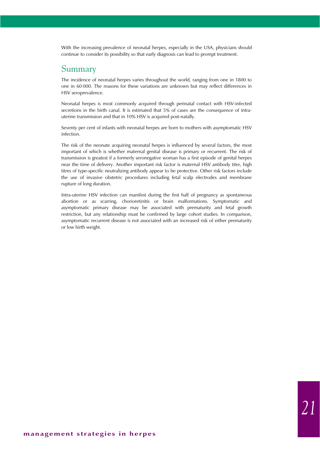With the increasing prevalence of neonatal herpes, especially in the USA, physicians should continue to consider its possibility so that early diagnosis can lead to prompt treatment.

### Summary

The incidence of neonatal herpes varies throughout the world, ranging from one in 1800 to one in 60 000. The reasons for these variations are unknown but may reflect differences in HSV seroprevalence.

Neonatal herpes is most commonly acquired through perinatal contact with HSV-infected secretions in the birth canal. It is estimated that 5% of cases are the consequence of intrauterine transmission and that in 10% HSV is acquired post-natally.

Seventy per cent of infants with neonatal herpes are born to mothers with asymptomatic HSV infection.

The risk of the neonate acquiring neonatal herpes is influenced by several factors, the most important of which is whether maternal genital disease is primary or recurrent. The risk of transmission is greatest if a formerly seronegative woman has a first episode of genital herpes near the time of delivery. Another important risk factor is maternal HSV antibody titre, high titres of type-specific neutralizing antibody appear to be protective. Other risk factors include the use of invasive obstetric procedures including fetal scalp electrodes and membrane rupture of long duration.

Intra-uterine HSV infection can manifest during the first half of pregnancy as spontaneous abortion or as scarring, chorioretinitis or brain malformations. Symptomatic and asymptomatic primary disease may be associated with prematurity and fetal growth restriction, but any relationship must be confirmed by large cohort studies. In comparison, asymptomatic recurrent disease is not associated with an increased risk of either prematurity or low birth weight.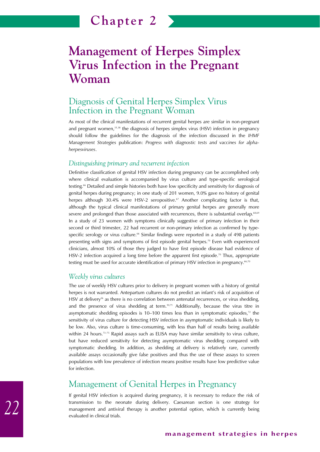# **Management of Herpes Simplex Virus Infection in the Pregnant Woman**

### Diagnosis of Genital Herpes Simplex Virus Infection in the Pregnant Woman

As most of the clinical manifestations of recurrent genital herpes are similar in non-pregnant and pregnant women,<sup>51,58</sup> the diagnosis of herpes simplex virus (HSV) infection in pregnancy should follow the guidelines for the diagnosis of the infection discussed in the *IHMF Management Strategies* publication: *Progress with diagnostic tests and vaccines for alphaherpesviruses*.

#### *Distinguishing primary and recurrent infection*

Definitive classification of genital HSV infection during pregnancy can be accomplished only where clinical evaluation is accompanied by virus culture and type-specific serological testing.66 Detailed and simple histories both have low specificity and sensitivity for diagnosis of genital herpes during pregnancy; in one study of 201 women, 9.0% gave no history of genital herpes although 30.4% were HSV-2 seropositive.<sup>67</sup> Another complicating factor is that, although the typical clinical manifestations of primary genital herpes are generally more severe and prolonged than those associated with recurrences, there is substantial overlap.<sup>68,69</sup> In a study of 23 women with symptoms clinically suggestive of primary infection in their second or third trimester, 22 had recurrent or non-primary infection as confirmed by typespecific serology or virus culture.<sup>66</sup> Similar findings were reported in a study of 498 patients presenting with signs and symptoms of first episode genital herpes.<sup>70</sup> Even with experienced clinicians, almost 10% of those they judged to have first episode disease had evidence of HSV-2 infection acquired a long time before the apparent first episode.<sup>70</sup> Thus, appropriate testing must be used for accurate identification of primary HSV infection in pregnancy.<sup>66,70</sup>

#### *Weekly virus cultures*

The use of weekly HSV cultures prior to delivery in pregnant women with a history of genital herpes is not warranted. Antepartum cultures do not predict an infant's risk of acquisition of HSV at delivery<sup>56</sup> as there is no correlation between antenatal recurrences, or virus shedding, and the presence of virus shedding at term.<sup>10,71</sup> Additionally, because the virus titre in asymptomatic shedding episodes is 10–100 times less than in symptomatic episodes, $72$  the sensitivity of virus culture for detecting HSV infection in asymptomatic individuals is likely to be low. Also, virus culture is time-consuming, with less than half of results being available within 24 hours.<sup> $73-75$ </sup> Rapid assays such as ELISA may have similar sensitivity to virus culture, but have reduced sensitivity for detecting asymptomatic virus shedding compared with symptomatic shedding. In addition, as shedding at delivery is relatively rare, currently available assays occasionally give false positives and thus the use of these assays to screen populations with low prevalence of infection means positive results have low predictive value for infection.

## Management of Genital Herpes in Pregnancy

If genital HSV infection is acquired during pregnancy, it is necessary to reduce the risk of transmission to the neonate during delivery. Caesarean section is one strategy for management and antiviral therapy is another potential option, which is currently being evaluated in clinical trials.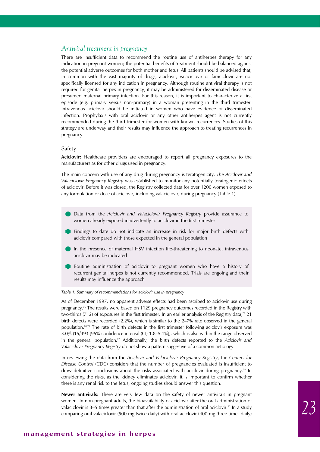#### *Antiviral treatment in pregnancy*

There are insufficient data to recommend the routine use of antiherpes therapy for any indication in pregnant women; the potential benefits of treatment should be balanced against the potential adverse outcomes for both mother and fetus. All patients should be advised that, in common with the vast majority of drugs, aciclovir, valaciclovir or famciclovir are not specifically licensed for any indication in pregnancy. Although routine antiviral therapy is not required for genital herpes in pregnancy, it may be administered for disseminated disease or presumed maternal primary infection. For this reason, it is important to characterize a first episode (e.g. primary versus non-primary) in a woman presenting in the third trimester. Intravenous aciclovir should be initiated in women who have evidence of disseminated infection. Prophylaxis with oral aciclovir or any other antiherpes agent is not currently recommended during the third trimester for women with known recurrences. Studies of this strategy are underway and their results may influence the approach to treating recurrences in pregnancy.

#### Safety

**Aciclovir:** Healthcare providers are encouraged to report all pregnancy exposures to the manufacturers as for other drugs used in pregnancy.

The main concern with use of any drug during pregnancy is teratogenicity. *The Aciclovir and Valaciclovir Pregnancy Registry* was established to monitor any potentially teratogenic effects of aciclovir. Before it was closed, the Registry collected data for over 1200 women exposed to any formulation or dose of aciclovir, including valaciclovir, during pregnancy (Table 1).

- Data from the *Aciclovir and Valaciclovir Pregnancy Registry* provide assurance to women already exposed inadvertently to aciclovir in the first trimester
- Findings to date do not indicate an increase in risk for major birth defects with aciclovir compared with those expected in the general population
- In the presence of maternal HSV infection life-threatening to neonate, intravenous aciclovir may be indicated
- Routine administration of aciclovir to pregnant women who have a history of recurrent genital herpes is not currently recommended. Trials are ongoing and their results may influence the approach

#### *Table 1: Summary of recommendations for aciclovir use in pregnancy*

As of December 1997, no apparent adverse effects had been ascribed to aciclovir use during pregnancy.76 The results were based on 1129 pregnancy outcomes recorded in the Registry with two-thirds (712) of exposures in the first trimester. In an earlier analysis of the Registry data,<sup>77</sup> 21 birth defects were recorded (2.2%), which is similar to the 2–7% rate observed in the general population.<sup>78,79</sup> The rate of birth defects in the first trimester following aciclovir exposure was 3.0% (15/493 [95% confidence interval (CI) 1.8–5.1%]), which is also within the range observed in the general population.77 Additionally, the birth defects reported to the *Aciclovir and Valaciclovir Pregnancy Registry* do not show a pattern suggestive of a common aetiology.

In reviewing the data from the *Aciclovir and Valaciclovir Pregnancy Registry*, the *Centers for Disease Control* (CDC) considers that the number of pregnancies evaluated is insufficient to draw definitive conclusions about the risks associated with aciclovir during pregnancy.<sup>78</sup> In considering the risks, as the kidney eliminates aciclovir, it is important to confirm whether there is any renal risk to the fetus; ongoing studies should answer this question.

**Newer antivirals:** There are very few data on the safety of newer antivirals in pregnant women. In non-pregnant adults, the bioavailability of aciclovir after the oral administration of valaciclovir is 3–5 times greater than that after the administration of oral aciclovir.<sup>80</sup> In a study comparing oral valaciclovir (500 mg twice daily) with oral aciclovir (400 mg three times daily)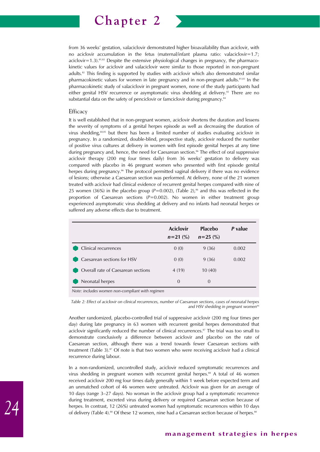

from 36 weeks' gestation, valaciclovir demonstrated higher bioavailability than aciclovir, with no aciclovir accumulation in the fetus (maternal/infant plasma ratio: valaciclovir=1.7;  $aciclov$ i $r=1.3$ ).<sup>81,82</sup> Despite the extensive physiological changes in pregnancy, the pharmacokinetic values for aciclovir and valaciclovir were similar to those reported in non-pregnant adults.82 This finding is supported by studies with aciclovir which also demonstrated similar pharmacokinetic values for women in late pregnancy and in non-pregnant adults.<sup>81,83</sup> In the pharmacokinetic study of valaciclovir in pregnant women, none of the study participants had either genital HSV recurrence or asymptomatic virus shedding at delivery.<sup>82</sup> There are no substantial data on the safety of penciclovir or famciclovir during pregnancy.<sup>84</sup>

#### **Efficacy**

It is well established that in non-pregnant women, aciclovir shortens the duration and lessens the severity of symptoms of a genital herpes episode as well as decreasing the duration of virus shedding,68,85 but there has been a limited number of studies evaluating aciclovir in pregnancy. In a randomized, double-blind, prospective study, aciclovir reduced the number of positive virus cultures at delivery in women with first episode genital herpes at any time during pregnancy and, hence, the need for Caesarean section.<sup>86</sup> The effect of oral suppressive aciclovir therapy (200 mg four times daily) from 36 weeks' gestation to delivery was compared with placebo in 46 pregnant women who presented with first episode genital herpes during pregnancy.<sup>86</sup> The protocol permitted vaginal delivery if there was no evidence of lesions; otherwise a Caesarean section was performed. At delivery, none of the 21 women treated with aciclovir had clinical evidence of recurrent genital herpes compared with nine of 25 women (36%) in the placebo group ( $P=0.002$ ), (Table 2),<sup>86</sup> and this was reflected in the proportion of Caesarean sections (*P*=0.002). No women in either treatment group experienced asymptomatic virus shedding at delivery and no infants had neonatal herpes or suffered any adverse effects due to treatment.

|                                                 | <b>Aciclovir</b><br>$n=21$ (%) | Placebo<br>$n = 25$ (%) | P value |
|-------------------------------------------------|--------------------------------|-------------------------|---------|
| Clinical recurrences                            | 0(0)                           | 9(36)                   | 0.002   |
| Caesarean sections for HSV                      | 0(0)                           | 9(36)                   | 0.002   |
| Overall rate of Caesarean sections              | 4 (19)                         | 10(40)                  |         |
| Neonatal herpes                                 | $\Omega$                       | $\Omega$                |         |
| Note: includes women non-compliant with regimen |                                |                         |         |

*Note: includes women non-compliant with regimen*

*Table 2: Effect of aciclovir on clinical recurrences, number of Caesarean sections, cases of neonatal herpes* and HSV shedding in pregnant women<sup>86</sup>

Another randomized, placebo-controlled trial of suppressive aciclovir (200 mg four times per day) during late pregnancy in 63 women with recurrent genital herpes demonstrated that aciclovir significantly reduced the number of clinical recurrences.<sup>87</sup> The trial was too small to demonstrate conclusively a difference between aciclovir and placebo on the rate of Caesarean section, although there was a trend towards fewer Caesarean sections with treatment (Table 3).<sup>87</sup> Of note is that two women who were receiving aciclovir had a clinical recurrence during labour.

In a non-randomized, uncontrolled study, aciclovir reduced symptomatic recurrences and virus shedding in pregnant women with recurrent genital herpes.<sup>88</sup> A total of 46 women received aciclovir 200 mg four times daily generally within 1 week before expected term and an unmatched cohort of 46 women were untreated. Aciclovir was given for an average of 10 days (range 3–27 days). No woman in the aciclovir group had a symptomatic recurrence during treatment, excreted virus during delivery or required Caesarean section because of herpes. In contrast, 12 (26%) untreated women had symptomatic recurrences within 10 days of delivery (Table 4).<sup>88</sup> Of these 12 women, nine had a Caesarean section because of herpes.<sup>88</sup>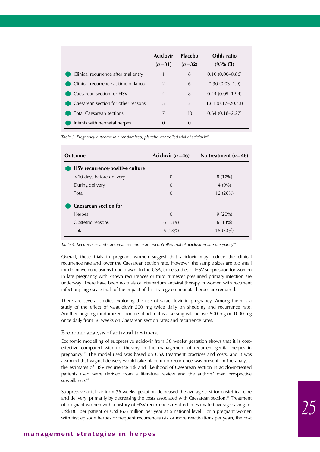|                                       | <b>Aciclovir</b><br>$(n=31)$ | Placebo<br>$(n=32)$ | Odds ratio<br>$(95\% \text{ Cl})$ |
|---------------------------------------|------------------------------|---------------------|-----------------------------------|
| Clinical recurrence after trial entry | 1                            | 8                   | $0.10(0.00-0.86)$                 |
| Clinical recurrence at time of labour | $\overline{2}$               | 6                   | $0.30(0.03-1.9)$                  |
| Caesarean section for HSV             | $\overline{4}$               | 8                   | $0.44(0.09-1.94)$                 |
| Caesarean section for other reasons   | 3                            | 2                   | $1.61(0.17-20.43)$                |
| <b>Total Caesarean sections</b>       | 7                            | 10                  | $0.64(0.18-2.27)$                 |
| Infants with neonatal herpes          | $\Omega$                     | $\Omega$            |                                   |

*Table 3: Pregnancy outcome in a randomized, placebo-controlled trial of aciclovir87*

| <b>Outcome</b>                  | Aciclovir $(n=46)$ | No treatment $(n=46)$ |
|---------------------------------|--------------------|-----------------------|
| HSV recurrence/positive culture |                    |                       |
| <10 days before delivery        | $\Omega$           | 8(17%)                |
| During delivery                 | $\Omega$           | 4(9%)                 |
| Total                           | $\Omega$           | 12(26%)               |
| <b>Caesarean section for</b>    |                    |                       |
| Herpes                          | $\Omega$           | $9(20\%)$             |
| Obstetric reasons               | 6(13%)             | 6(13%)                |
| Total                           | 6(13%)             | 15 (33%)              |

*Table 4: Recurrences and Caesarean section in an uncontrolled trial of aciclovir in late pregnancy88*

Overall, these trials in pregnant women suggest that aciclovir may reduce the clinical recurrence rate and lower the Caesarean section rate. However, the sample sizes are too small for definitive conclusions to be drawn. In the USA, three studies of HSV suppression for women in late pregnancy with known recurrences or third trimester presumed primary infection are underway. There have been no trials of intrapartum antiviral therapy in women with recurrent infection; large scale trials of the impact of this strategy on neonatal herpes are required.

There are several studies exploring the use of valaciclovir in pregnancy. Among them is a study of the effect of valaciclovir 500 mg twice daily on shedding and recurrence rate. Another ongoing randomized, double-blind trial is assessing valaciclovir 500 mg or 1000 mg once daily from 36 weeks on Caesarean section rates and recurrence rates.

#### Economic analysis of antiviral treatment

Economic modelling of suppressive aciclovir from 36 weeks' gestation shows that it is costeffective compared with no therapy in the management of recurrent genital herpes in pregnancy.89 The model used was based on USA treatment practices and costs, and it was assumed that vaginal delivery would take place if no recurrence was present. In the analysis, the estimates of HSV recurrence risk and likelihood of Caesarean section in aciclovir-treated patients used were derived from a literature review and the authors' own prospective surveillance.<sup>89</sup>

Suppressive aciclovir from 36 weeks' gestation decreased the average cost for obstetrical care and delivery, primarily by decreasing the costs associated with Caesarean section.<sup>89</sup> Treatment of pregnant women with a history of HSV recurrences resulted in estimated average savings of US\$183 per patient or US\$36.6 million per year at a national level. For a pregnant women with first episode herpes or frequent recurrences (six or more reactivations per year), the cost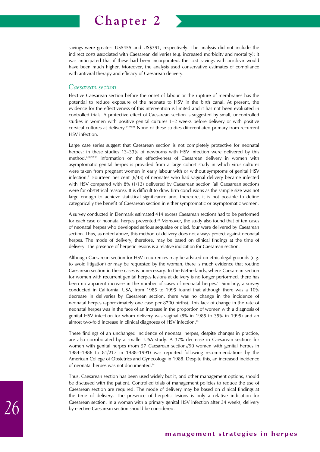

savings were greater: US\$455 and US\$391, respectively. The analysis did not include the indirect costs associated with Caesarean deliveries (e.g. increased morbidity and mortality); it was anticipated that if these had been incorporated, the cost savings with aciclovir would have been much higher. Moreover, the analysis used conservative estimates of compliance with antiviral therapy and efficacy of Caesarean delivery.

#### *Caesarean section*

Elective Caesarean section before the onset of labour or the rupture of membranes has the potential to reduce exposure of the neonate to HSV in the birth canal. At present, the evidence for the effectiveness of this intervention is limited and it has not been evaluated in controlled trials. A protective effect of Caesarean section is suggested by small, uncontrolled studies in women with positive genital cultures 1–2 weeks before delivery or with positive cervical cultures at delivery.64,90,91 None of these studies differentiated primary from recurrent HSV infection.

Large case series suggest that Caesarean section is not completely protective for neonatal herpes; in these studies 13–33% of newborns with HSV infection were delivered by this method.2,38,92,93 Information on the effectiveness of Caesarean delivery in women with asymptomatic genital herpes is provided from a large cohort study in which virus cultures were taken from pregnant women in early labour with or without symptoms of genital HSV infection.<sup>31</sup> Fourteen per cent  $(6/43)$  of neonates who had vaginal delivery became infected with HSV compared with 8% (1/13) delivered by Caesarean section (all Caesarean sections were for obstetrical reasons). It is difficult to draw firm conclusions as the sample size was not large enough to achieve statistical significance and, therefore, it is not possible to define categorically the benefit of Caesarean section in either symptomatic or asymptomatic women.

A survey conducted in Denmark estimated 414 excess Caesarean sections had to be performed for each case of neonatal herpes prevented.<sup>38</sup> Moreover, the study also found that of ten cases of neonatal herpes who developed serious sequelae or died, four were delivered by Caesarean section. Thus, as noted above, this method of delivery does not always protect against neonatal herpes. The mode of delivery, therefore, may be based on clinical findings at the time of delivery. The presence of herpetic lesions is a relative indication for Caesarean section.

Although Caesarean section for HSV recurrences may be advised on ethicolegal grounds (e.g. to avoid litigation) or may be requested by the woman, there is much evidence that routine Caesarean section in these cases is unnecessary. In the Netherlands, where Caesarean section for women with recurrent genital herpes lesions at delivery is no longer performed, there has been no apparent increase in the number of cases of neonatal herpes.<sup>41</sup> Similarly, a survey conducted in California, USA, from 1985 to 1995 found that although there was a 10% decrease in deliveries by Caesarean section, there was no change in the incidence of neonatal herpes (approximately one case per 8700 births). This lack of change in the rate of neonatal herpes was in the face of an increase in the proportion of women with a diagnosis of genital HSV infection for whom delivery was vaginal (8% in 1985 to 35% in 1995) and an almost two-fold increase in clinical diagnoses of HSV infection.<sup>43</sup>

These findings of an unchanged incidence of neonatal herpes, despite changes in practice, are also corroborated by a smaller USA study. A 37% decrease in Caesarean sections for women with genital herpes (from 57 Caesarean sections/90 women with genital herpes in 1984–1986 to 81/217 in 1988–1991) was reported following recommendations by the American College of Obstetrics and Gynecology in 1988. Despite this, an increased incidence of neonatal herpes was not documented.94

Thus, Caesarean section has been used widely but it, and other management options, should be discussed with the patient. Controlled trials of management policies to reduce the use of Caesarean section are required. The mode of delivery may be based on clinical findings at the time of delivery. The presence of herpetic lesions is only a relative indication for Caesarean section. In a woman with a primary genital HSV infection after 34 weeks, delivery by elective Caesarean section should be considered.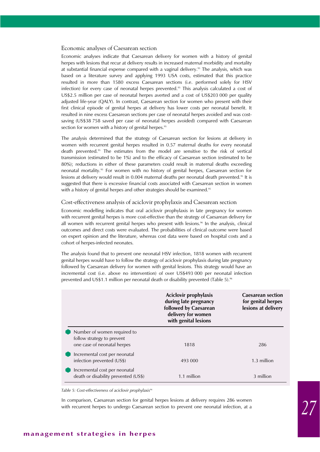#### Economic analyses of Caesarean section

Economic analyses indicate that Caesarean delivery for women with a history of genital herpes with lesions that recur at delivery results in increased maternal morbidity and mortality at substantial financial expense compared with a vaginal delivery.<sup>95</sup> The analysis, which was based on a literature survey and applying 1993 USA costs, estimated that this practice resulted in more than 1580 excess Caesarean sections (i.e. performed solely for HSV infection) for every case of neonatal herpes prevented.<sup>95</sup> This analysis calculated a cost of US\$2.5 million per case of neonatal herpes averted and a cost of US\$203 000 per quality adjusted life-year (QALY). In contrast, Caesarean section for women who present with their first clinical episode of genital herpes at delivery has lower costs per neonatal benefit. It resulted in nine excess Caesarean sections per case of neonatal herpes avoided and was costsaving (US\$38 758 saved per case of neonatal herpes avoided) compared with Caesarean section for women with a history of genital herpes.<sup>95</sup>

The analysis determined that the strategy of Caesarean section for lesions at delivery in women with recurrent genital herpes resulted in 0.57 maternal deaths for every neonatal death prevented.95 The estimates from the model are sensitive to the risk of vertical transmission (estimated to be 1%) and to the efficacy of Caesarean section (estimated to be 80%); reductions in either of these parameters could result in maternal deaths exceeding neonatal mortality.<sup>95</sup> For women with no history of genital herpes, Caesarean section for lesions at delivery would result in 0.004 maternal deaths per neonatal death prevented.<sup>95</sup> It is suggested that there is excessive financial costs associated with Caesarean section in women with a history of genital herpes and other strategies should be examined.<sup>95</sup>

#### Cost-effectiveness analysis of aciclovir prophylaxis and Caesarean section

Economic modelling indicates that oral aciclovir prophylaxis in late pregnancy for women with recurrent genital herpes is more cost-effective than the strategy of Caesarean delivery for all women with recurrent genital herpes who present with lesions.<sup>96</sup> In the analysis, clinical outcomes and direct costs were evaluated. The probabilities of clinical outcome were based on expert opinion and the literature, whereas cost data were based on hospital costs and a cohort of herpes-infected neonates.

The analysis found that to prevent one neonatal HSV infection, 1818 women with recurrent genital herpes would have to follow the strategy of aciclovir prophylaxis during late pregnancy followed by Caesarean delivery for women with genital lesions. This strategy would have an incremental cost (i.e. above no intervention) of over US\$493 000 per neonatal infection prevented and US\$1.1 million per neonatal death or disability prevented (Table 5).<sup>96</sup>

|                                                                                          | Aciclovir prophylaxis<br>during late pregnancy<br>followed by Caesarean<br>delivery for women<br>with genital lesions | <b>Caesarean section</b><br>for genital herpes<br>lesions at delivery |
|------------------------------------------------------------------------------------------|-----------------------------------------------------------------------------------------------------------------------|-----------------------------------------------------------------------|
| Number of women required to<br>follow strategy to prevent<br>one case of neonatal herpes | 1818                                                                                                                  | 286                                                                   |
| Incremental cost per neonatal<br>infection prevented (US\$)                              | 493 000                                                                                                               | 1.3 million                                                           |
| Incremental cost per neonatal<br>death or disability prevented (US\$)                    | 1.1 million                                                                                                           | 3 million                                                             |

Table 5: Cost-effectiveness of aciclovir prophylaxis<sup>96</sup>

In comparison, Caesarean section for genital herpes lesions at delivery requires 286 women with recurrent herpes to undergo Caesarean section to prevent one neonatal infection, at a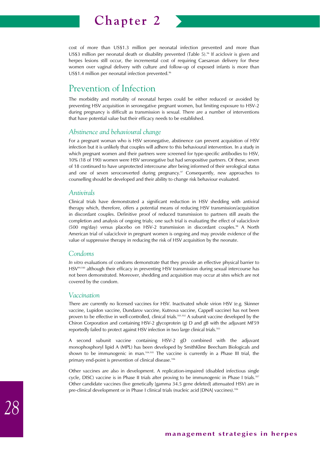

cost of more than US\$1.3 million per neonatal infection prevented and more than US\$3 million per neonatal death or disability prevented (Table  $5$ ).<sup>96</sup> If aciclovir is given and herpes lesions still occur, the incremental cost of requiring Caesarean delivery for these women over vaginal delivery with culture and follow-up of exposed infants is more than US\$1.4 million per neonatal infection prevented.<sup>96</sup>

# Prevention of Infection

The morbidity and mortality of neonatal herpes could be either reduced or avoided by preventing HSV acquisition in seronegative pregnant women, but limiting exposure to HSV-2 during pregnancy is difficult as transmission is sexual. There are a number of interventions that have potential value but their efficacy needs to be established.

#### *Abstinence and behavioural change*

For a pregnant woman who is HSV seronegative, abstinence can prevent acquisition of HSV infection but it is unlikely that couples will adhere to this behavioural intervention. In a study in which pregnant women and their partners were screened for type-specific antibodies to HSV, 10% (18 of 190) women were HSV seronegative but had seropositive partners. Of these, seven of 18 continued to have unprotected intercourse after being informed of their serological status and one of seven seroconverted during pregnancy. $97$  Consequently, new approaches to counselling should be developed and their ability to change risk behaviour evaluated.

#### *Antivirals*

Clinical trials have demonstrated a significant reduction in HSV shedding with antiviral therapy which, therefore, offers a potential means of reducing HSV transmission/acquisition in discordant couples. Definitive proof of reduced transmission to partners still awaits the completion and analysis of ongoing trials; one such trial is evaluating the effect of valaciclovir (500 mg/day) versus placebo on HSV-2 transmission in discordant couples.<sup>98</sup> A North American trial of valaciclovir in pregnant women is ongoing and may provide evidence of the value of suppressive therapy in reducing the risk of HSV acquisition by the neonate.

#### *Condoms*

*In vitro* evaluations of condoms demonstrate that they provide an effective physical barrier to HSV<sup>99,100</sup> although their efficacy in preventing HSV transmission during sexual intercourse has not been demonstrated. Moreover, shedding and acquisition may occur at sites which are not covered by the condom.

#### *Vaccination*

There are currently no licensed vaccines for HSV. Inactivated whole virion HSV (e.g. Skinner vaccine, Lupidon vaccine, Dundarov vaccine, Kutnova vaccine, Cappell vaccine) has not been proven to be effective in well-controlled, clinical trials.<sup>101,102</sup> A subunit vaccine developed by the Chiron Corporation and containing HSV-2 glycoprotein (g) D and gB with the adjuvant MF59 reportedly failed to protect against HSV infection in two large clinical trials.103

A second subunit vaccine containing HSV-2 gD combined with the adjuvant monophosphoryl lipid A (MPL) has been developed by SmithKline Beecham Biologicals and shown to be immunogenic in man.<sup>104,105</sup> The vaccine is currently in a Phase III trial, the primary end-point is prevention of clinical disease.<sup>106</sup>

Other vaccines are also in development. A replication-impaired (disabled infectious single cycle, DISC) vaccine is in Phase II trials after proving to be immunogenic in Phase I trials.<sup>107</sup> Other candidate vaccines (live genetically [gamma 34.5 gene deleted] attenuated HSV) are in pre-clinical development or in Phase I clinical trials (nucleic acid [DNA] vaccines).<sup>106</sup>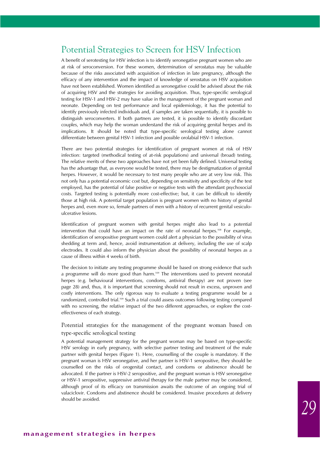## Potential Strategies to Screen for HSV Infection

A benefit of serotesting for HSV infection is to identify seronegative pregnant women who are at risk of seroconversion. For these women, determination of serostatus may be valuable because of the risks associated with acquisition of infection in late pregnancy, although the efficacy of any intervention and the impact of knowledge of serostatus on HSV acquisition have not been established. Women identified as seronegative could be advised about the risk of acquiring HSV and the strategies for avoiding acquisition. Thus, type-specific serological testing for HSV-1 and HSV-2 may have value in the management of the pregnant woman and neonate. Depending on test performance and local epidemiology, it has the potential to identify previously infected individuals and, if samples are taken sequentially, it is possible to distinguish seroconverters. If both partners are tested, it is possible to identify discordant couples, which may help the woman understand the risk of acquiring genital herpes and its implications. It should be noted that type-specific serological testing alone cannot differentiate between genital HSV-1 infection and possible orolabial HSV-1 infection.

There are two potential strategies for identification of pregnant women at risk of HSV infection: targeted (methodical testing of at-risk populations) and universal (broad) testing. The relative merits of these two approaches have not yet been fully defined. Universal testing has the advantage that, as everyone would be tested, there may be destigmatization of genital herpes. However, it would be necessary to test many people who are at very low risk. This not only has a potential economic cost but, depending on sensitivity and specificity of the test employed, has the potential of false positive or negative tests with the attendant psychosocial costs. Targeted testing is potentially more cost-effective; but, it can be difficult to identify those at high risk. A potential target population is pregnant women with no history of genital herpes and, even more so, female partners of men with a history of recurrent genital vesiculoulcerative lesions.

Identification of pregnant women with genital herpes might also lead to a potential intervention that could have an impact on the rate of neonatal herpes.108 For example, identification of seropositive pregnant women could alert a physician to the possibility of virus shedding at term and, hence, avoid instrumentation at delivery, including the use of scalp electrodes. It could also inform the physician about the possibility of neonatal herpes as a cause of illness within 4 weeks of birth.

The decision to initiate any testing programme should be based on strong evidence that such a programme will do more good than harm.109 The interventions used to prevent neonatal herpes (e.g. behavioural interventions, condoms, antiviral therapy) are not proven (see page 28) and, thus, it is important that screening should not result in excess, unproven and costly interventions. The only rigorous way to evaluate a testing programme would be a randomized, controlled trial.109 Such a trial could assess outcomes following testing compared with no screening, the relative impact of the two different approaches, or explore the costeffectiveness of each strategy.

#### Potential strategies for the management of the pregnant woman based on type-specific serological testing

A potential management strategy for the pregnant woman may be based on type-specific HSV serology in early pregnancy, with selective partner testing and treatment of the male partner with genital herpes (Figure 1). Here, counselling of the couple is mandatory. If the pregnant woman is HSV seronegative, and her partner is HSV-1 seropositive, they should be counselled on the risks of orogenital contact, and condoms or abstinence should be advocated. If the partner is HSV-2 seropositive, and the pregnant woman is HSV seronegative or HSV-1 seropositive, suppressive antiviral therapy for the male partner may be considered, although proof of its efficacy on transmission awaits the outcome of an ongoing trial of valaciclovir. Condoms and abstinence should be considered. Invasive procedures at delivery should be avoided.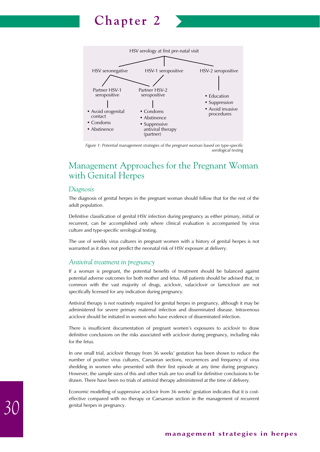

*Figure 1: Potential management strategies of the pregnant woman based on type-specific serological testing*

# Management Approaches for the Pregnant Woman with Genital Herpes

#### *Diagnosis*

The diagnosis of genital herpes in the pregnant woman should follow that for the rest of the adult population.

Definitive classification of genital HSV infection during pregnancy as either primary, initial or recurrent, can be accomplished only where clinical evaluation is accompanied by virus culture and type-specific serological testing.

The use of weekly virus cultures in pregnant women with a history of genital herpes is not warranted as it does not predict the neonatal risk of HSV exposure at delivery.

#### *Antiviral treatment in pregnancy*

If a woman is pregnant, the potential benefits of treatment should be balanced against potential adverse outcomes for both mother and fetus. All patients should be advised that, in common with the vast majority of drugs, aciclovir, valaciclovir or famciclovir are not specifically licensed for any indication during pregnancy.

Antiviral therapy is not routinely required for genital herpes in pregnancy, although it may be administered for severe primary maternal infection and disseminated disease. Intravenous aciclovir should be initiated in women who have evidence of disseminated infection.

There is insufficient documentation of pregnant women's exposures to aciclovir to draw definitive conclusions on the risks associated with aciclovir during pregnancy, including risks for the fetus.

In one small trial, aciclovir therapy from 36 weeks' gestation has been shown to reduce the number of positive virus cultures, Caesarean sections, recurrences and frequency of virus shedding in women who presented with their first episode at any time during pregnancy. However, the sample sizes of this and other trials are too small for definitive conclusions to be drawn. There have been no trials of antiviral therapy administered at the time of delivery.

Economic modelling of suppressive aciclovir from 36 weeks' gestation indicates that it is costeffective compared with no therapy or Caesarean section in the management of recurrent genital herpes in pregnancy.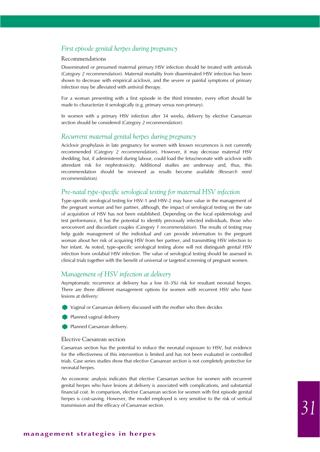#### *First episode genital herpes during pregnancy*

#### Recommendations

Disseminated or presumed maternal primary HSV infection should be treated with antivirals (*Category 2 recommendation*). Maternal mortality from disseminated HSV infection has been shown to decrease with empirical aciclovir, and the severe or painful symptoms of primary infection may be alleviated with antiviral therapy.

For a woman presenting with a first episode in the third trimester, every effort should be made to characterize it serologically (e.g. primary versus non-primary).

In women with a primary HSV infection after 34 weeks, delivery by elective Caesarean section should be considered (*Category 2 recommendation*).

#### *Recurrent maternal genital herpes during pregnancy*

Aciclovir prophylaxis in late pregnancy for women with known recurrences is not currently recommended (*Category 2 recommendation*). However, it may decrease maternal HSV shedding, but, if administered during labour, could load the fetus/neonate with aciclovir with attendant risk for nephrotoxicity. Additional studies are underway and, thus, this recommendation should be reviewed as results become available *(Research need recommendation).*

#### *Pre-natal type-specific serological testing for maternal HSV infection*

Type-specific serological testing for HSV-1 and HSV-2 may have value in the management of the pregnant woman and her partner, although, the impact of serological testing on the rate of acquisition of HSV has not been established. Depending on the local epidemiology and test performance, it has the potential to identify previously infected individuals, those who seroconvert and discordant couples (*Category 1 recommendation*). The results of testing may help guide management of the individual and can provide information to the pregnant woman about her risk of acquiring HSV from her partner, and transmitting HSV infection to her infant. As noted, type-specific serological testing alone will not distinguish genital HSV infection from orolabial HSV infection. The value of serological testing should be assessed in clinical trials together with the benefit of universal or targeted screening of pregnant women.

#### *Management of HSV infection at delivery*

Asymptomatic recurrence at delivery has a low (0–3%) risk for resultant neonatal herpes. There are three different management options for women with recurrent HSV who have lesions at delivery:

- Vaginal or Caesarean delivery discussed with the mother who then decides
- Planned vaginal delivery
- Planned Caesarean delivery.

#### Elective Caesarean section

Caesarean section has the potential to reduce the neonatal exposure to HSV, but evidence for the effectiveness of this intervention is limited and has not been evaluated in controlled trials. Case series studies show that elective Caesarean section is not completely protective for neonatal herpes.

An economic analysis indicates that elective Caesarean section for women with recurrent genital herpes who have lesions at delivery is associated with complications, and substantial financial cost. In comparison, elective Caesarean section for women with first episode genital herpes is cost-saving. However, the model employed is very sensitive to the risk of vertical transmission and the efficacy of Caesarean section.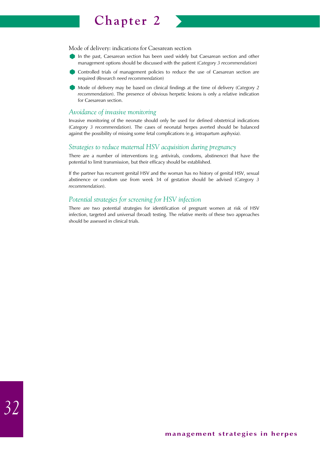

Mode of delivery: indications for Caesarean section

- In the past, Caesarean section has been used widely but Caesarean section and other management options should be discussed with the patient (*Category 3 recommendation*)
- Controlled trials of management policies to reduce the use of Caesarean section are required (*Research need recommendation*)
- Mode of delivery may be based on clinical findings at the time of delivery (*Category 2 recommendation*). The presence of obvious herpetic lesions is only a relative indication for Caesarean section.

#### *Avoidance of invasive monitoring*

Invasive monitoring of the neonate should only be used for defined obstetrical indications (*Category 3 recommendation*). The cases of neonatal herpes averted should be balanced against the possibility of missing some fetal complications (e.g. intrapartum asphyxia).

#### *Strategies to reduce maternal HSV acquisition during pregnancy*

There are a number of interventions (e.g. antivirals, condoms, abstinence) that have the potential to limit transmission, but their efficacy should be established.

If the partner has recurrent genital HSV and the woman has no history of genital HSV, sexual abstinence or condom use from week 34 of gestation should be advised (*Category 3 recommendation*).

#### *Potential strategies for screening for HSV infection*

There are two potential strategies for identification of pregnant women at risk of HSV infection, targeted and universal (broad) testing. The relative merits of these two approaches should be assessed in clinical trials.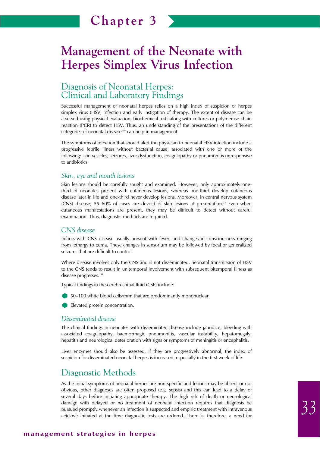# **Management of the Neonate with Herpes Simplex Virus Infection**

# Diagnosis of Neonatal Herpes: Clinical and Laboratory Findings

Successful management of neonatal herpes relies on a high index of suspicion of herpes simplex virus (HSV) infection and early instigation of therapy. The extent of disease can be assessed using physical evaluation, biochemical tests along with cultures or polymerase chain reaction (PCR) to detect HSV. Thus, an understanding of the presentations of the different categories of neonatal disease<sup>110</sup> can help in management.

The symptoms of infection that should alert the physician to neonatal HSV infection include a progressive febrile illness without bacterial cause, associated with one or more of the following: skin vesicles, seizures, liver dysfunction, coagulopathy or pneumonitis unresponsive to antibiotics.

#### *Skin, eye and mouth lesions*

Skin lesions should be carefully sought and examined. However, only approximately onethird of neonates present with cutaneous lesions, whereas one-third develop cutaneous disease later in life and one-third never develop lesions. Moreover, in central nervous system (CNS) disease, 55–60% of cases are devoid of skin lesions at presentation.33 Even when cutaneous manifestations are present, they may be difficult to detect without careful examination. Thus, diagnostic methods are required.

#### *CNS disease*

Infants with CNS disease usually present with fever, and changes in consciousness ranging from lethargy to coma. These changes in sensorium may be followed by focal or generalized seizures that are difficult to control.

Where disease involves only the CNS and is not disseminated, neonatal transmission of HSV to the CNS tends to result in unitemporal involvement with subsequent bitemporal illness as disease progresses.<sup>111</sup>

Typical findings in the cerebrospinal fluid (CSF) include:

50–100 white blood cells/mm<sup>3</sup> that are predominantly mononuclear

Elevated protein concentration.

#### *Disseminated disease*

The clinical findings in neonates with disseminated disease include jaundice, bleeding with associated coagulopathy, haemorrhagic pneumonitis, vascular instability, hepatomegaly, hepatitis and neurological deterioration with signs or symptoms of meningitis or encephalitis.

Liver enzymes should also be assessed. If they are progressively abnormal, the index of suspicion for disseminated neonatal herpes is increased, especially in the first week of life.

### Diagnostic Methods

As the initial symptoms of neonatal herpes are non-specific and lesions may be absent or not obvious, other diagnoses are often proposed (e.g. sepsis) and this can lead to a delay of several days before initiating appropriate therapy. The high risk of death or neurological damage with delayed or no treatment of neonatal infection requires that diagnosis be pursued promptly whenever an infection is suspected and empiric treatment with intravenous aciclovir initiated at the time diagnostic tests are ordered. There is, therefore, a need for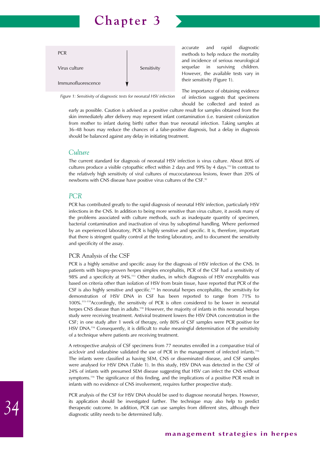

*Figure 1: Sensitivity of diagnostic tests for neonatal HSV infection*

accurate and rapid diagnostic methods to help reduce the mortality and incidence of serious neurological sequelae in surviving children. However, the available tests vary in their sensitivity (Figure 1).

The importance of obtaining evidence of infection suggests that specimens should be collected and tested as

early as possible. Caution is advised as a positive culture result for samples obtained from the skin immediately after delivery may represent infant contamination (i.e. transient colonization from mother to infant during birth) rather than true neonatal infection. Taking samples at 36–48 hours may reduce the chances of a false-positive diagnosis, but a delay in diagnosis should be balanced against any delay in initiating treatment.

#### *Culture*

The current standard for diagnosis of neonatal HSV infection is virus culture. About 80% of cultures produce a visible cytopathic effect within 2 days and 99% by 4 days.112 In contrast to the relatively high sensitivity of viral cultures of mucocutaneous lesions, fewer than 20% of newborns with CNS disease have positive virus cultures of the CSF.92

#### *PCR*

PCR has contributed greatly to the rapid diagnosis of neonatal HSV infection, particularly HSV infections in the CNS. In addition to being more sensitive than virus culture, it avoids many of the problems associated with culture methods, such as inadequate quantity of specimen, bacterial contamination and inactivation of virus by suboptimal handling. Where performed by an experienced laboratory, PCR is highly sensitive and specific. It is, therefore, important that there is stringent quality control at the testing laboratory, and to document the sensitivity and specificity of the assay.

#### PCR Analysis of the CSF

PCR is a highly sensitive and specific assay for the diagnosis of HSV infection of the CNS. In patients with biopsy-proven herpes simplex encephalitis, PCR of the CSF had a sensitivity of 98% and a specificity at 94%.113 Other studies, in which diagnosis of HSV encephalitis was based on criteria other than isolation of HSV from brain tissue, have reported that PCR of the CSF is also highly sensitive and specific.<sup>114</sup> In neonatal herpes encephalitis, the sensitivity for demonstration of HSV DNA in CSF has been reported to range from 71% to 100%.115–119Accordingly, the sensitivity of PCR is often considered to be lower in neonatal herpes CNS disease than in adults.<sup>118</sup> However, the majority of infants in this neonatal herpes study were receiving treatment. Antiviral treatment lowers the HSV DNA concentration in the CSF; in one study after 1 week of therapy, only 80% of CSF samples were PCR positive for HSV DNA.<sup>116</sup> Consequently, it is difficult to make meaningful determination of the sensitivity of a technique where patients are receiving treatment.

A retrospective analysis of CSF specimens from 77 neonates enrolled in a comparative trial of aciclovir and vidarabine validated the use of PCR in the management of infected infants.116 The infants were classified as having SEM, CNS or disseminated disease, and CSF samples were analysed for HSV DNA (Table 1). In this study, HSV DNA was detected in the CSF of 24% of infants with presumed SEM disease suggesting that HSV can infect the CNS without symptoms.<sup>116</sup> The significance of this finding, and the implications of a positive PCR result in infants with no evidence of CNS involvement, requires further prospective study.

PCR analysis of the CSF for HSV DNA should be used to diagnose neonatal herpes. However, its application should be investigated further. The technique may also help to predict therapeutic outcome. In addition, PCR can use samples from different sites, although their diagnostic utility needs to be determined fully.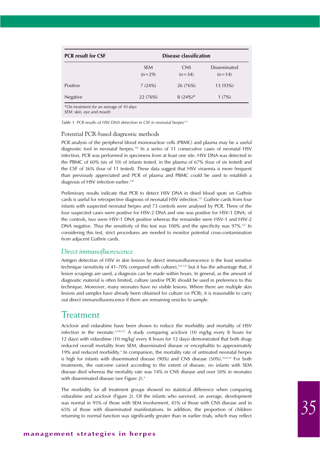| <b>PCR</b> result for CSF |                        | Disease classification |                                 |
|---------------------------|------------------------|------------------------|---------------------------------|
|                           | <b>SEM</b><br>$(n=29)$ | <b>CNS</b><br>$(n=34)$ | <b>Disseminated</b><br>$(n=14)$ |
| Positive                  | 7(24%)                 | 26(76%)                | 13 (93%)                        |
| Negative                  | 22 (76%)               | $8(24%)$ *             | 1(7%)                           |

*\*On treatment for an average of 10 days* 

*SEM: skin, eye and mouth*

*Table 1: PCR results of HSV DNA detection in CSF in neonatal herpes116*

#### Potential PCR-based diagnostic methods

PCR analysis of the peripheral blood mononuclear cells (PBMC) and plasma may be a useful diagnostic tool in neonatal herpes.120 In a series of 11 consecutive cases of neonatal HSV infection, PCR was performed in specimens from at least one site. HSV DNA was detected in the PBMC of 60% (six of 10) of infants tested, in the plasma of 67% (four of six tested) and the CSF of 36% (four of 11 tested). These data suggest that HSV viraemia is more frequent than previously appreciated and PCR of plasma and PBMC could be used to establish a diagnosis of HSV infection earlier.<sup>120</sup>

Preliminary results indicate that PCR to detect HSV DNA in dried blood spots on Guthrie cards is useful for retrospective diagnosis of neonatal HSV infection.<sup>121</sup> Guthrie cards from four infants with suspected neonatal herpes and 73 controls were analysed by PCR. Three of the four suspected cases were positive for HSV-2 DNA and one was positive for HSV-1 DNA; of the controls, two were HSV-1 DNA positive whereas the remainder were HSV-1 and HSV-2 DNA negative. Thus the sensitivity of this test was 100% and the specificity was 97%.<sup>121</sup> In considering this test, strict procedures are needed to monitor potential cross-contamination from adjacent Guthrie cards.

### *Direct immunofluorescence*

Antigen detection of HSV in skin lesions by direct immunofluorescence is the least sensitive technique (sensitivity of 41–70% compared with culture), $122-125$  but it has the advantage that, if lesion scrapings are used, a diagnosis can be made within hours. In general, as the amount of diagnostic material is often limited, culture (and/or PCR) should be used in preference to this technique. Moreover, many neonates have no visible lesions. Where there are multiple skin lesions and samples have already been obtained for culture (or PCR), it is reasonable to carry out direct immunofluorescence if there are remaining vesicles to sample.

## Treatment

Aciclovir and vidarabine have been shown to reduce the morbidity and mortality of HSV infection in the neonate.<sup>4,126,127</sup> A study comparing aciclovir (10 mg/kg every 8 hours for 12 days) with vidarabine (10 mg/kg/ every 8 hours for 12 days) demonstrated that both drugs reduced overall mortality from SEM, disseminated disease or encephalitis to approximately 19% and reduced morbidity.4 In comparison, the mortality rate of untreated neonatal herpes is high for infants with disseminated disease  $(90\%)$  and CNS disease  $(50\%)$ .<sup>32,62,63</sup> For both treatments, the outcome varied according to the extent of disease; no infants with SEM disease died whereas the mortality rate was 14% in CNS disease and over 50% in neonates with disseminated disease (see Figure 2).<sup>4</sup>

The morbidity for all treatment groups showed no statistical difference when comparing vidarabine and aciclovir (Figure 2). Of the infants who survived, on average, development was normal in 95% of those with SEM involvement, 45% of those with CNS disease and in 65% of those with disseminated manifestations. In addition, the proportion of children returning to normal function was significantly greater than in earlier trials, which may reflect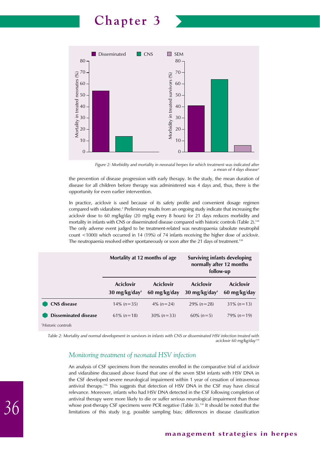

*Figure 2: Morbidity and mortality in neonatal herpes for which treatment was indicated after a mean of 4 days disease4*

the prevention of disease progression with early therapy. In the study, the mean duration of disease for all children before therapy was administered was 4 days and, thus, there is the opportunity for even earlier intervention.

In practice, aciclovir is used because of its safety profile and convenient dosage regimen compared with vidarabine.<sup>4</sup> Preliminary results from an ongoing study indicate that increasing the aciclovir dose to 60 mg/kg/day (20 mg/kg every 8 hours) for 21 days reduces morbidity and mortality in infants with CNS or disseminated disease compared with historic controls (Table 2).<sup>128</sup> The only adverse event judged to be treatment-related was neutropaenia (absolute neutrophil count <1000) which occurred in 14 (19%) of 74 infants receiving the higher dose of aciclovir. The neutropaenia resolved either spontaneously or soon after the 21 days of treatment.<sup>128</sup>

|                             | Mortality at 12 months of age                       |                           | <b>Surviving infants developing</b><br>normally after 12 months<br>follow-up |                                  |  |
|-----------------------------|-----------------------------------------------------|---------------------------|------------------------------------------------------------------------------|----------------------------------|--|
|                             | <b>Aciclovir</b><br>$30 \text{ mg/kg}/\text{day}^+$ | Aciclovir<br>60 mg/kg/day | <b>Aciclovir</b><br>$30 \text{ mg/kg/day}^+$                                 | <b>Aciclovir</b><br>60 mg/kg/day |  |
| <b>CNS</b> disease          | $14\% (n=35)$                                       | $4\% (n=24)$              | $29\% (n=28)$                                                                | $31\% (n=13)$                    |  |
| <b>Disseminated disease</b> | $61\%$ (n=18)                                       | $30\% (n=33)$             | $60\% (n=5)$                                                                 | $79\%$ (n=19)                    |  |
| <i>Historic controls</i>    |                                                     |                           |                                                                              |                                  |  |

*Table 2: Mortality and normal development in survivors in infants with CNS or disseminated HSV infection treated with aciclovir 60 mg/kg/day128*

## *Monitoring treatment of neonatal HSV infection*

An analysis of CSF specimens from the neonates enrolled in the comparative trial of aciclovir and vidarabine discussed above found that one of the seven SEM infants with HSV DNA in the CSF developed severe neurological impairment within 1 year of cessation of intravenous antiviral therapy.116 This suggests that detection of HSV DNA in the CSF may have clinical relevance. Moreover, infants who had HSV DNA detected in the CSF following completion of antiviral therapy were more likely to die or suffer serious neurological impairment than those whose post-therapy CSF specimens were PCR negative (Table 3).<sup>130</sup> It should be noted that the limitations of this study (e.g. possible sampling bias; differences in disease classification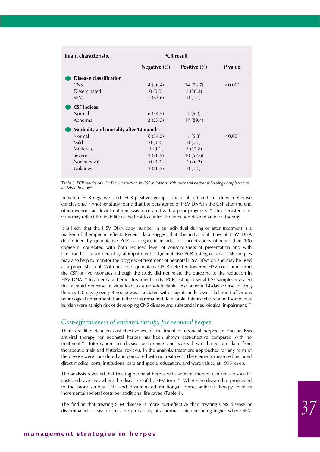| Infant characteristic                   |                 | <b>PCR</b> result      |         |
|-----------------------------------------|-----------------|------------------------|---------|
|                                         | Negative $(\%)$ | Positive $\frac{9}{6}$ | P value |
| Disease classification                  |                 |                        |         |
| <b>CNS</b>                              | 4(36.4)         | 14(73.7)               | < 0.001 |
| Disseminated                            | 0(0.0)          | 5(26.3)                |         |
| <b>SEM</b>                              | 7(63.6)         | 0(0.0)                 |         |
| <b>CSF</b> indices                      |                 |                        |         |
| Normal                                  | 6(54.5)         | 1(5.3)                 |         |
| Abnormal                                | 3(27.3)         | 17(89.4)               |         |
| Morbidity and mortality after 12 months |                 |                        |         |
| Normal                                  | 6(54.5)         | 1(5.3)                 | < 0.001 |
| Mild                                    | 0(0.0)          | 0(0.0)                 |         |
| Moderate                                | 1(9.1)          | 3(15.8)                |         |
| Severe                                  | 2(18.2)         | 10(52.6)               |         |
| Non-survival                            | 0(0.0)          | 5(26.3)                |         |
| Unknown                                 | 2(18.2)         | 0(0.0)                 |         |

*Table 3: PCR results of HSV DNA detection in CSF in infants with neonatal herpes following completion of* antiviral therapy<sup>13</sup>

between PCR-negative and PCR-positive groups) make it difficult to draw definitive conclusions.116 Another study found that the persistence of HSV DNA in the CSF after the end of intravenous aciclovir treatment was associated with a poor prognosis.118 This persistence of virus may reflect the inability of the host to control the infection despite antiviral therapy.

It is likely that the HSV DNA copy number in an individual during or after treatment is a marker of therapeutic effect. Recent data suggest that the initial CSF titre of HSV DNA determined by quantitative PCR is prognostic in adults; concentrations of more than 100 copies/ml correlated with both reduced level of consciousness at presentation and with likelihood of future neurological impairment.<sup>129</sup> Quantitative PCR testing of serial CSF samples may also help to monitor the progress of treatment of neonatal HSV infection and may be used as a prognostic tool. With aciclovir, quantitative PCR detected lowered HSV copy number in the CSF of five neonates although the study did not relate the outcome to the reduction in HSV DNA.<sup>115</sup> In a neonatal herpes treatment study, PCR testing of serial CSF samples revealed that a rapid decrease in virus load to a non-detectable level after a 14-day course of drug therapy (20 mg/kg every 8 hours) was associated with a significantly lower likelihood of serious neurological impairment than if the virus remained detectable. Infants who retained some virus burden were at high risk of developing CNS disease and substantial neurological impairment.128

## *Cost-effectiveness of antiviral therapy for neonatal herpes*

There are little data on cost-effectiveness of treatment of neonatal herpes. In one analysis antiviral therapy for neonatal herpes has been shown cost-effective compared with no treatment.131 Information on disease occurrence and survival was based on data from therapeutic trials and historical reviews. In the analysis, treatment approaches for any form of the disease were considered and compared with no treatment. The elements measured included direct medical costs, institutional care and special education, and were valued at 1995 levels.

The analysis revealed that treating neonatal herpes with antiviral therapy can reduce societal costs and save lives where the disease is of the SEM form.131 Where the disease has progressed to the more serious CNS and disseminated multiorgan forms, antiviral therapy involves incremental societal costs per additional life saved (Table 4).

The finding that treating SEM disease is more cost-effective than treating CNS disease or disseminated disease reflects the probability of a normal outcome being higher where SEM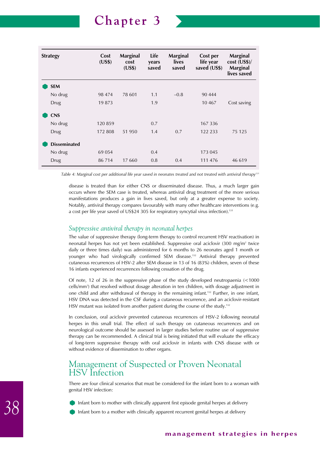

| <b>Strategy</b>     | Cost<br>(US\$) | <b>Marginal</b><br>cost<br>(US\$) | Life<br>years<br>saved | Marginal<br>lives<br>saved | Cost per<br>life year<br>saved (US\$) | <b>Marginal</b><br>$cost$ (US\$)/<br>Marginal<br>lives saved |
|---------------------|----------------|-----------------------------------|------------------------|----------------------------|---------------------------------------|--------------------------------------------------------------|
| <b>SEM</b>          |                |                                   |                        |                            |                                       |                                                              |
| No drug             | 98 474         | 78 601                            | 1.1                    | $-0.8$                     | 90 444                                |                                                              |
| <b>Drug</b>         | 19 873         |                                   | 1.9                    |                            | 10 4 6 7                              | Cost saving                                                  |
| <b>CNS</b>          |                |                                   |                        |                            |                                       |                                                              |
| No drug             | 120859         |                                   | 0.7                    |                            | 167 336                               |                                                              |
| Drug                | 172 808        | 51 950                            | 1.4                    | 0.7                        | 122 233                               | 75 125                                                       |
| <b>Disseminated</b> |                |                                   |                        |                            |                                       |                                                              |
| No drug             | 69 054         |                                   | 0.4                    |                            | 173 045                               |                                                              |
| Drug                | 86 714         | 17 660                            | 0.8                    | 0.4                        | 111 476                               | 46 619                                                       |

*Table 4: Marginal cost per additional life year saved in neonates treated and not treated with antiviral therapy131*

disease is treated than for either CNS or disseminated disease. Thus, a much larger gain occurs where the SEM case is treated, whereas antiviral drug treatment of the more serious manifestations produces a gain in lives saved, but only at a greater expense to society. Notably, antiviral therapy compares favourably with many other healthcare interventions (e.g. a cost per life year saved of US\$24 305 for respiratory syncytial virus infection).<sup>131</sup>

### *Suppressive antiviral therapy in neonatal herpes*

The value of suppressive therapy (long-term therapy to control recurrent HSV reactivation) in neonatal herpes has not yet been established. Suppressive oral aciclovir  $(300 \text{ mg/m}^2)$  twice daily or three times daily) was administered for 6 months to 26 neonates aged 1 month or younger who had virologically confirmed SEM disease.132 Antiviral therapy prevented cutaneous recurrences of HSV-2 after SEM disease in 13 of 16 (83%) children, seven of these 16 infants experienced recurrences following cessation of the drug.

Of note, 12 of 26 in the suppressive phase of the study developed neutropaenia (<1000 cells/mm<sup>3</sup>) that resolved without dosage alteration in ten children, with dosage adjustment in one child and after withdrawal of therapy in the remaining infant.<sup>132</sup> Further, in one infant, HSV DNA was detected in the CSF during a cutaneous recurrence, and an aciclovir-resistant HSV mutant was isolated from another patient during the course of the study.<sup>132</sup>

In conclusion, oral aciclovir prevented cutaneous recurrences of HSV-2 following neonatal herpes in this small trial. The effect of such therapy on cutaneous recurrences and on neurological outcome should be assessed in larger studies before routine use of suppressive therapy can be recommended. A clinical trial is being initiated that will evaluate the efficacy of long-term suppressive therapy with oral aciclovir in infants with CNS disease with or without evidence of dissemination to other organs.

## Management of Suspected or Proven Neonatal HSV Infection

There are four clinical scenarios that must be considered for the infant born to a woman with genital HSV infection:

- Infant born to mother with clinically apparent first episode genital herpes at delivery
- Infant born to a mother with clinically apparent recurrent genital herpes at delivery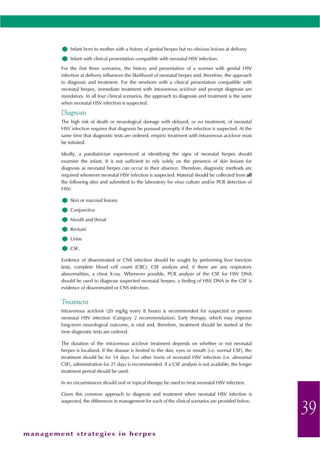Infant born to mother with a history of genital herpes but no obvious lesions at delivery

Infant with clinical presentation compatible with neonatal HSV infection.

For the first three scenarios, the history and presentation of a woman with genital HSV infection at delivery influences the likelihood of neonatal herpes and, therefore, the approach to diagnosis and treatment. For the newborn with a clinical presentation compatible with neonatal herpes, immediate treatment with intravenous aciclovir and prompt diagnosis are mandatory. In all four clinical scenarios, the approach to diagnosis and treatment is the same when neonatal HSV infection is suspected.

#### *Diagnosis*

The high risk of death or neurological damage with delayed, or no treatment, of neonatal HSV infection requires that diagnosis be pursued promptly if the infection is suspected. At the same time that diagnostic tests are ordered, empiric treatment with intravenous aciclovir must be initiated.

Ideally, a paediatrician experienced at identifying the signs of neonatal herpes should examine the infant. It is not sufficient to rely solely on the presence of skin lesions for diagnosis as neonatal herpes can occur in their absence. Therefore, diagnostic methods are required whenever neonatal HSV infection is suspected. Material should be collected from **all** the following sites and submitted to the laboratory for virus culture and/or PCR detection of HSV:

- Skin or mucosal lesions
- **Conjunctiva**
- **Mouth and throat**
- Rectum
- Urine
- CSF.

Evidence of disseminated or CNS infection should be sought by performing liver function tests, complete blood cell count (CBC), CSF analysis and, if there are any respiratory abnormalities, a chest X-ray. Whenever possible, PCR analysis of the CSF for HSV DNA should be used to diagnose suspected neonatal herpes; a finding of HSV DNA in the CSF is evidence of disseminated or CNS infection.

#### *Treatment*

Intravenous aciclovir (20 mg/kg every 8 hours) is recommended for suspected or proven neonatal HSV infection (*Category 2 recommendation*). Early therapy, which may improve long-term neurological outcome, is vital and, therefore, treatment should be started at the time diagnostic tests are ordered.

The duration of the intravenous aciclovir treatment depends on whether or not neonatal herpes is localized. If the disease is limited to the skin, eyes or mouth (i.e. normal CSF), the treatment should be for 14 days. For other forms of neonatal HSV infection (i.e. abnormal CSF), administration for 21 days is recommended. If a CSF analysis is not available, the longer treatment period should be used.

In no circumstances should oral or topical therapy be used to treat neonatal HSV infection.

Given this common approach to diagnosis and treatment when neonatal HSV infection is suspected, the differences in management for each of the clinical scenarios are provided below.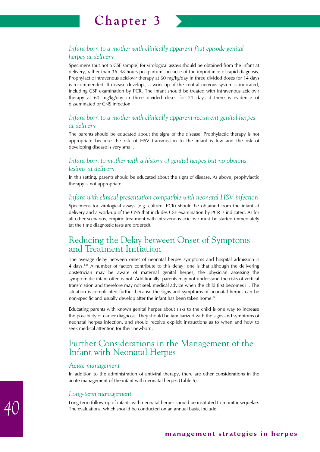

Specimens (but not a CSF sample) for virological assays should be obtained from the infant at delivery, rather than 36–48 hours postpartum, because of the importance of rapid diagnosis. Prophylactic intravenous aciclovir therapy at 60 mg/kg/day in three divided doses for 14 days is recommended. If disease develops, a work-up of the central nervous system is indicated, including CSF examination by PCR. The infant should be treated with intravenous aciclovir therapy at 60 mg/kg/day in three divided doses for 21 days if there is evidence of disseminated or CNS infection.

## *Infant born to a mother with clinically apparent recurrent genital herpes at delivery*

The parents should be educated about the signs of the disease. Prophylactic therapy is not appropriate because the risk of HSV transmission to the infant is low and the risk of developing disease is very small.

## *Infant born to mother with a history of genital herpes but no obvious lesions at delivery*

In this setting, parents should be educated about the signs of disease. As above, prophylactic therapy is not appropriate.

### *Infant with clinical presentation compatible with neonatal HSV infection*

Specimens for virological assays (e.g. culture, PCR) should be obtained from the infant at delivery and a work-up of the CNS that includes CSF examination by PCR is indicated. As for all other scenarios, empiric treatment with intravenous aciclovir must be started immediately (at the time diagnostic tests are ordered).

## Reducing the Delay between Onset of Symptoms and Treatment Initiation

The average delay between onset of neonatal herpes symptoms and hospital admission is 4 days.4,36 A number of factors contribute to this delay; one is that although the delivering obstetrician may be aware of maternal genital herpes, the physician assessing the symptomatic infant often is not. Additionally, parents may not understand the risks of vertical transmission and therefore may not seek medical advice when the child first becomes ill. The situation is complicated further because the signs and symptoms of neonatal herpes can be non-specific and usually develop after the infant has been taken home.<sup>36</sup>

Educating parents with known genital herpes about risks to the child is one way to increase the possibility of earlier diagnosis. They should be familiarized with the signs and symptoms of neonatal herpes infection, and should receive explicit instructions as to when and how to seek medical attention for their newborn.

## Further Considerations in the Management of the Infant with Neonatal Herpes

### *Acute management*

In addition to the administration of antiviral therapy, there are other considerations in the acute management of the infant with neonatal herpes (Table 5).

### *Long-term management*

Long-term follow-up of infants with neonatal herpes should be instituted to monitor sequelae. The evaluations, which should be conducted on an annual basis, include: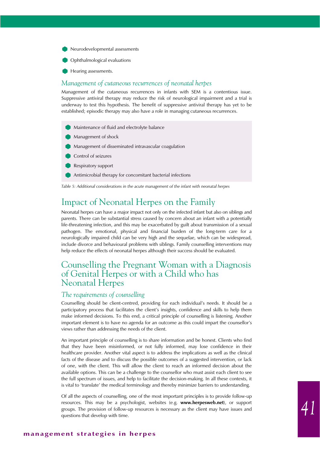Neurodevelopmental assessments



Hearing assessments.

#### *Management of cutaneous recurrences of neonatal herpes*

Management of the cutaneous recurrences in infants with SEM is a contentious issue. Suppressive antiviral therapy may reduce the risk of neurological impairment and a trial is underway to test this hypothesis. The benefit of suppressive antiviral therapy has yet to be established; episodic therapy may also have a role in managing cutaneous recurrences.



*Table 5: Additional considerations in the acute management of the infant with neonatal herpes*

## Impact of Neonatal Herpes on the Family

Neonatal herpes can have a major impact not only on the infected infant but also on siblings and parents. There can be substantial stress caused by concern about an infant with a potentially life-threatening infection, and this may be exacerbated by guilt about transmission of a sexual pathogen. The emotional, physical and financial burden of the long-term care for a neurologically impaired child can be very high and the sequelae, which can be widespread, include divorce and behavioural problems with siblings. Family counselling interventions may help reduce the effects of neonatal herpes although their success should be evaluated.

## Counselling the Pregnant Woman with a Diagnosis of Genital Herpes or with a Child who has Neonatal Herpes

### *The requirements of counselling*

Counselling should be client-centred, providing for each individual's needs. It should be a participatory process that facilitates the client's insights, confidence and skills to help them make informed decisions. To this end, a critical principle of counselling is listening. Another important element is to have no agenda for an outcome as this could impart the counsellor's views rather than addressing the needs of the client.

An important principle of counselling is to share information and be honest. Clients who find that they have been misinformed, or not fully informed, may lose confidence in their healthcare provider. Another vital aspect is to address the implications as well as the clinical facts of the disease and to discuss the possible outcomes of a suggested intervention, or lack of one, with the client. This will allow the client to reach an informed decision about the available options. This can be a challenge to the counsellor who must assist each client to see the full spectrum of issues, and help to facilitate the decision-making. In all these contexts, it is vital to 'translate' the medical terminology and thereby minimize barriers to understanding.

Of all the aspects of counselling, one of the most important principles is to provide follow-up resources. This may be a psychologist, websites (e.g. **www.herpesweb.net**), or support groups. The provision of follow-up resources is necessary as the client may have issues and questions that develop with time.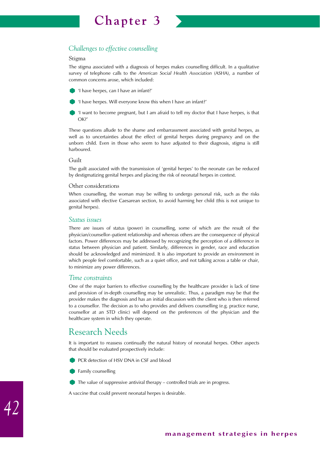

## *Challenges to effective counselling*

#### Stigma

The stigma associated with a diagnosis of herpes makes counselling difficult. In a qualitative survey of telephone calls to the *American Social Health Association* (ASHA), a number of common concerns arose, which included:

'I have herpes, can I have an infant?'



'I have herpes. Will everyone know this when I have an infant?'

'I want to become pregnant, but I am afraid to tell my doctor that I have herpes, is that OK?'

These questions allude to the shame and embarrassment associated with genital herpes, as well as to uncertainties about the effect of genital herpes during pregnancy and on the unborn child. Even in those who seem to have adjusted to their diagnosis, stigma is still harboured.

### Guilt

The guilt associated with the transmission of 'genital herpes' to the neonate can be reduced by destigmatizing genital herpes and placing the risk of neonatal herpes in context.

### Other considerations

When counselling, the woman may be willing to undergo personal risk, such as the risks associated with elective Caesarean section, to avoid harming her child (this is not unique to genital herpes).

### *Status issues*

There are issues of status (power) in counselling, some of which are the result of the physician/counsellor–patient relationship and whereas others are the consequence of physical factors. Power differences may be addressed by recognizing the perception of a difference in status between physician and patient. Similarly, differences in gender, race and education should be acknowledged and mimimized. It is also important to provide an environment in which people feel comfortable, such as a quiet office, and not talking across a table or chair, to minimize any power differences.

### *Time constraints*

One of the major barriers to effective counselling by the healthcare provider is lack of time and provision of in-depth counselling may be unrealistic. Thus, a paradigm may be that the provider makes the diagnosis and has an initial discussion with the client who is then referred to a counsellor. The decision as to who provides and delivers counselling (e.g. practice nurse, counsellor at an STD clinic) will depend on the preferences of the physician and the healthcare system in which they operate.

# Research Needs

It is important to reassess continually the natural history of neonatal herpes. Other aspects that should be evaluated prospectively include:

- PCR detection of HSV DNA in CSF and blood
- Family counselling
- The value of suppressive antiviral therapy controlled trials are in progress.

A vaccine that could prevent neonatal herpes is desirable.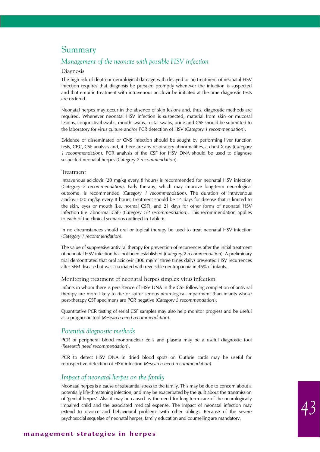## Summary

### *Management of the neonate with possible HSV infection*

#### Diagnosis

The high risk of death or neurological damage with delayed or no treatment of neonatal HSV infection requires that diagnosis be pursued promptly whenever the infection is suspected and that empiric treatment with intravenous aciclovir be initiated at the time diagnostic tests are ordered.

Neonatal herpes may occur in the absence of skin lesions and, thus, diagnostic methods are required. Whenever neonatal HSV infection is suspected, material from skin or mucosal lesions, conjunctival swabs, mouth swabs, rectal swabs, urine and CSF should be submitted to the laboratory for virus culture and/or PCR detection of HSV (*Category 1 recommendation*).

Evidence of disseminated or CNS infection should be sought by performing liver function tests, CBC, CSF analysis and, if there are any respiratory abnormalities, a chest X-ray (*Category 1 recommendation*). PCR analysis of the CSF for HSV DNA should be used to diagnose suspected neonatal herpes (*Category 2 recommendation*).

### Treatment

Intravenous aciclovir (20 mg/kg every 8 hours) is recommended for neonatal HSV infection (*Category 2 recommendation*). Early therapy, which may improve long-term neurological outcome, is recommended (*Category 1 recommendation*). The duration of intravenous aciclovir (20 mg/kg every 8 hours) treatment should be 14 days for disease that is limited to the skin, eyes or mouth (i.e. normal CSF), and 21 days for other forms of neonatal HSV infection (i.e. abnormal CSF) (*Category 1/2 recommendation*). This recommendation applies to each of the clinical scenarios outlined in Table 6.

In no circumstances should oral or topical therapy be used to treat neonatal HSV infection (*Category 1 recommendation*).

The value of suppressive antiviral therapy for prevention of recurrences after the initial treatment of neonatal HSV infection has not been established (*Category 2 recommendation*). A preliminary trial demonstrated that oral aciclovir (300 mg/m2 three times daily) prevented HSV recurrences after SEM disease but was associated with reversible neutropaenia in 46% of infants.

#### Monitoring treatment of neonatal herpes simplex virus infection

Infants in whom there is persistence of HSV DNA in the CSF following completion of antiviral therapy are more likely to die or suffer serious neurological impairment than infants whose post-therapy CSF specimens are PCR negative (*Category 3 recommendation*).

Quantitative PCR testing of serial CSF samples may also help monitor progress and be useful as a prognostic tool (*Research need recommendation*).

### *Potential diagnostic methods*

PCR of peripheral blood mononuclear cells and plasma may be a useful diagnostic tool (*Research need recommendation*).

PCR to detect HSV DNA in dried blood spots on Guthrie cards may be useful for retrospective detection of HSV infection (*Research need recommendation*).

### *Impact of neonatal herpes on the family*

Neonatal herpes is a cause of substantial stress to the family. This may be due to concern about a potentially life-threatening infection, and may be exacerbated by the guilt about the transmission of 'genital herpes'. Also it may be caused by the need for long-term care of the neurologically impaired child and the associated medical expense. The impact of neonatal infection may extend to divorce and behavioural problems with other siblings. Because of the severe psychosocial sequelae of neonatal herpes, family education and counselling are mandatory.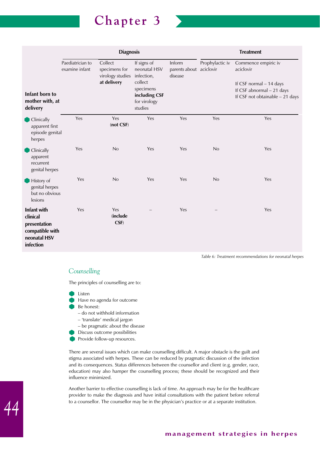

|                                                                                                |                                    | <b>Diagnosis</b>                                            |                                                                                                               |                                              |                 | <b>Treatment</b>                                                                                                            |
|------------------------------------------------------------------------------------------------|------------------------------------|-------------------------------------------------------------|---------------------------------------------------------------------------------------------------------------|----------------------------------------------|-----------------|-----------------------------------------------------------------------------------------------------------------------------|
| Infant born to<br>mother with, at<br>delivery                                                  | Paediatrician to<br>examine infant | Collect<br>specimens for<br>virology studies<br>at delivery | If signs of<br>neonatal HSV<br>infection,<br>collect<br>specimens<br>including CSF<br>for virology<br>studies | Inform<br>parents about aciclovir<br>disease | Prophylactic iv | Commence empiric iv<br>aciclovir<br>If CSF normal - 14 days<br>If CSF abnormal - 21 days<br>If CSF not obtainable - 21 days |
| <b>Clinically</b><br>apparent first<br>episode genital<br>herpes                               | Yes                                | Yes<br>(not CSF)                                            | Yes                                                                                                           | Yes                                          | Yes             | Yes                                                                                                                         |
| Clinically<br>apparent<br>recurrent<br>genital herpes                                          | Yes                                | No                                                          | Yes                                                                                                           | Yes                                          | No              | Yes                                                                                                                         |
| History of<br>genital herpes<br>but no obvious<br>lesions                                      | <b>Yes</b>                         | No                                                          | Yes                                                                                                           | Yes                                          | No              | Yes                                                                                                                         |
| <b>Infant with</b><br>clinical<br>presentation<br>compatible with<br>neonatal HSV<br>infection | Yes                                | Yes<br><i>(include)</i><br>CSF)                             |                                                                                                               | Yes                                          |                 | Yes                                                                                                                         |

*Table 6: Treatment recommendations for neonatal herpes*

## *Counselling*

The principles of counselling are to:

- Listen
	- Have no agenda for outcome
- Be honest:
	- do not withhold information
	- 'translate' medical jargon
	- be pragmatic about the disease
- Discuss outcome possibilities
- Provide follow-up resources.

There are several issues which can make counselling difficult. A major obstacle is the guilt and stigma associated with herpes. These can be reduced by pragmatic discussion of the infection and its consequences. Status differences between the counsellor and client (e.g. gender, race, education) may also hamper the counselling process; these should be recognized and their influence minimized.

Another barrier to effective counselling is lack of time. An approach may be for the healthcare provider to make the diagnosis and have initial consultations with the patient before referral to a counsellor. The counsellor may be in the physician's practice or at a separate institution.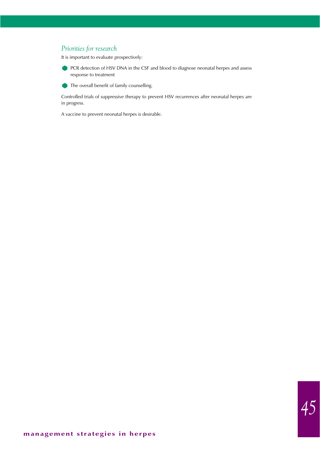## *Priorities for research*

It is important to evaluate prospectively:

**PCR** detection of HSV DNA in the CSF and blood to diagnose neonatal herpes and assess response to treatment

The overall benefit of family counselling.

Controlled trials of suppressive therapy to prevent HSV recurrences after neonatal herpes are in progress.

A vaccine to prevent neonatal herpes is desirable.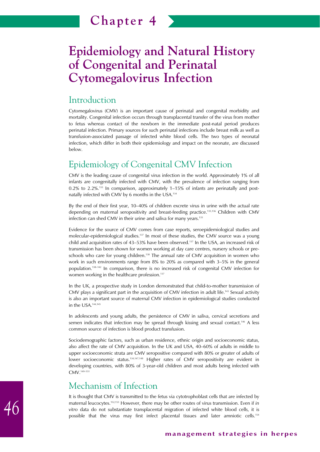## Introduction

Cytomegalovirus (CMV) is an important cause of perinatal and congenital morbidity and mortality. Congenital infection occurs through transplacental transfer of the virus from mother to fetus whereas contact of the newborn in the immediate post-natal period produces perinatal infection. Primary sources for such perinatal infections include breast milk as well as transfusion-associated passage of infected white blood cells. The two types of neonatal infection, which differ in both their epidemiology and impact on the neonate, are discussed below.

# Epidemiology of Congenital CMV Infection

CMV is the leading cause of congenital virus infection in the world. Approximately 1% of all infants are congenitally infected with CMV, with the prevalence of infection ranging from  $0.2\%$  to 2.2%.<sup>133</sup> In comparison, approximately  $1-15\%$  of infants are perinatally and postnatally infected with CMV by 6 months in the USA.134

By the end of their first year, 10–40% of children excrete virus in urine with the actual rate depending on maternal seropositivity and breast-feeding practice.135,136 Children with CMV infection can shed CMV in their urine and saliva for many years.<sup>135</sup>

Evidence for the source of CMV comes from case reports, seroepidemiological studies and molecular-epidemiological studies.<sup>137</sup> In most of these studies, the CMV source was a young child and acquisition rates of 43–53% have been observed.137 In the USA, an increased risk of transmission has been shown for women working at day care centres, nursery schools or preschools who care for young children.<sup>138</sup> The annual rate of CMV acquisition in women who work in such environments range from 8% to 20% as compared with 3–5% in the general population.138–142 In comparison, there is no increased risk of congenital CMV infection for women working in the healthcare profession.<sup>137</sup>

In the UK, a prospective study in London demonstrated that child-to-mother transmission of CMV plays a significant part in the acquisition of CMV infection in adult life.143 Sexual activity is also an important source of maternal CMV infection in epidemiological studies conducted in the USA.144,145

In adolescents and young adults, the persistence of CMV in saliva, cervical secretions and semen indicates that infection may be spread through kissing and sexual contact.146 A less common source of infection is blood product transfusion.

Sociodemographic factors, such as urban residence, ethnic origin and socioeconomic status, also affect the rate of CMV acquisition. In the UK and USA, 40–60% of adults in middle to upper socioeconomic strata are CMV seropositive compared with 80% or greater of adults of lower socioeconomic status.134,147,148 Higher rates of CMV seropositivity are evident in developing countries, with 80% of 3-year-old children and most adults being infected with CMV.149–151

# Mechanism of Infection

It is thought that CMV is transmitted to the fetus via cytotrophoblast cells that are infected by maternal leucocytes.152,153 However, there may be other routes of virus transmission. Even if *in vitro* data do not substantiate transplacental migration of infected white blood cells, it is possible that the virus may first infect placental tissues and later amniotic cells.<sup>154</sup>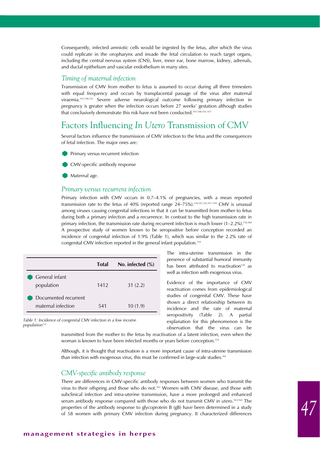Consequently, infected amniotic cells would be ingested by the fetus, after which the virus could replicate in the oropharynx and invade the fetal circulation to reach target organs, including the central nervous system (CNS), liver, inner ear, bone marrow, kidney, adrenals, and ductal epithelium and vascular endothelium in many sites.

### *Timing of maternal infection*

Transmission of CMV from mother to fetus is assumed to occur during all three trimesters with equal frequency and occurs by transplacental passage of the virus after maternal viraemia.147,148,155 Severe adverse neurological outcome following primary infection in pregnancy is greater when the infection occurs before 27 weeks' gestation although studies that conclusively demonstrate this risk have not been conducted.<sup>147,148,155-157</sup>

# Factors Influencing *In Utero* Transmission of CMV

Several factors influence the transmission of CMV infection to the fetus and the consequences of fetal infection. The major ones are:





Maternal age.

### *Primary versus recurrent infection*

Primary infection with CMV occurs in 0.7–4.1% of pregnancies, with a mean reported transmission rate to the fetus of 40% (reported range 24–75%).<sup>134,147,155,157-159</sup> CMV is unusual among viruses causing congenital infections in that it can be transmitted from mother to fetus during both a primary infection and a recurrence. In contrast to the high transmission rate in primary infection, the transmission rate during recurrent infection is much lower (1-2.2%).<sup>134,160</sup> A prospective study of women known to be seropositive before conception recorded an incidence of congenital infection of 1.9% (Table 1), which was similar to the 2.2% rate of congenital CMV infection reported in the general infant population.<sup>134</sup>

|                                            | <b>Total</b> | No. infected $(\%)$ |
|--------------------------------------------|--------------|---------------------|
| General infant<br>population               | 1412         | 31(2.2)             |
| Documented recurrent<br>maternal infection | 541          | 10(1.9)             |

*Table 1: Incidence of congenital CMV infection in a low income population134*

The intra-uterine transmission in the presence of substantial humoral immunity has been attributed to reactivation<sup>134</sup> as well as infection with exogenous virus.

Evidence of the importance of CMV reactivation comes from epidemiological studies of congenital CMV. These have shown a direct relationship between its incidence and the rate of maternal seropositivity (Table 2). A partial explanation for this phenomenon is the observation that the virus can be

transmitted from the mother to the fetus by reactivation of a latent infection, even when the woman is known to have been infected months or years before conception.<sup>134</sup>

Although, it is thought that reactivation is a more important cause of intra-uterine transmission than infection with exogenous virus, this must be confirmed in large-scale studies.<sup>161</sup>

### *CMV-specific antibody response*

There are differences in CMV-specific antibody responses between women who transmit the virus to their offspring and those who do not.162 Women with CMV disease, and those with subclinical infection and intra-uterine transmission, have a more prolonged and enhanced serum antibody response compared with those who do not transmit CMV *in utero*. 163,164 The properties of the antibody response to glycoprotein B (gB) have been determined in a study of 58 women with primary CMV infection during pregnancy. It characterized differences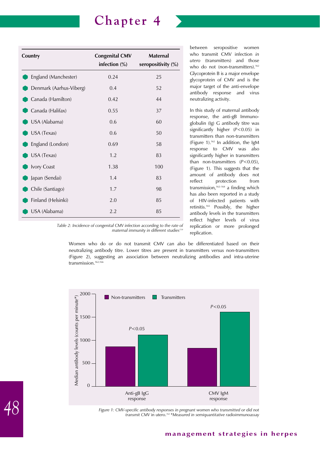| Country                 | <b>Congenital CMV</b><br>infection $(\%)$ | <b>Maternal</b><br>seropositivity (%) |
|-------------------------|-------------------------------------------|---------------------------------------|
| England (Manchester)    | 0.24                                      | 25                                    |
| Denmark (Aarhus-Viberg) | 0.4                                       | 52                                    |
| Canada (Hamilton)       | 0.42                                      | 44                                    |
| Canada (Halifax)        | 0.55                                      | 37                                    |
| USA (Alabama)           | 0.6                                       | 60                                    |
| USA (Texas)             | 0.6                                       | 50                                    |
| England (London)        | 0.69                                      | 58                                    |
| USA (Texas)             | 1.2                                       | 83                                    |
| Ivory Coast             | 1.38                                      | 100                                   |
| Japan (Sendai)          | 1.4                                       | 83                                    |
| Chile (Santiago)        | 1.7                                       | 98                                    |
| Finland (Helsinki)      | 2.0                                       | 85                                    |
| USA (Alabama)           | 2.2                                       | 85                                    |

between seropositive women who transmit CMV infection *in utero* (transmitters) and those who do not (non-transmitters).<sup>162</sup> Glycoprotein B is a major envelope glycoprotein of CMV and is the major target of the anti-envelope antibody response and virus neutralizing activity.

In this study of maternal antibody response, the anti-gB Immunoglobulin (Ig) G antibody titre was significantly higher (*P*<0.05) in transmitters than non-transmitters (Figure 1).<sup>162</sup> In addition, the IgM response to CMV was also significantly higher in transmitters than non-transmitters (*P*<0.05), (Figure 1). This suggests that the amount of antibody does not reflect protection from transmission, $162-164$  a finding which has also been reported in a study of HIV-infected patients with retinitis.165 Possibly, the higher antibody levels in the transmitters reflect higher levels of virus replication or more prolonged replication.

*Table 2: Incidence of congenital CMV infection according to the rate of maternal immunity in different studies134*

Women who do or do not transmit CMV can also be differentiated based on their neutralizing antibody titre. Lower titres are present in transmitters versus non-transmitters (Figure 2), suggesting an association between neutralizing antibodies and intra-uterine transmission.<sup>162,166</sup>



*Figure 1: CMV-specific antibody responses in pregnant women who transmitted or did not transmit CMV* in utero.*162 \*Measured in semiquantitative radioimmunoassay*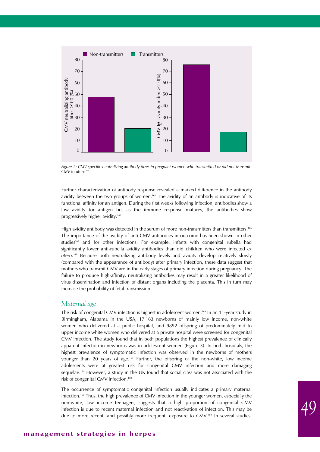

*Figure 2: CMV-specific neutralizing antibody titres in pregnant women who transmitted or did not transmit*  $CMV$  in utero<sup>16</sup>

Further characterization of antibody response revealed a marked difference in the antibody avidity between the two groups of women.<sup>162</sup> The avidity of an antibody is indicative of its functional affinity for an antigen. During the first weeks following infection, antibodies show a low avidity for antigen but as the immune response matures, the antibodies show progressively higher avidity.166

High avidity antibody was detected in the serum of more non-transmitters than transmitters.<sup>166</sup> The importance of the avidity of anti-CMV antibodies in outcome has been shown in other studies<sup>167</sup> and for other infections. For example, infants with congenital rubella had significantly lower anti-rubella avidity antibodies than did children who were infected *ex utero*. <sup>168</sup> Because both neutralizing antibody levels and avidity develop relatively slowly (compared with the appearance of antibody) after primary infection, these data suggest that mothers who transmit CMV are in the early stages of primary infection during pregnancy. The failure to produce high-affinity, neutralizing antibodies may result in a greater likelihood of virus dissemination and infection of distant organs including the placenta. This in turn may increase the probability of fetal transmission.

### *Maternal age*

The risk of congenital CMV infection is highest in adolescent women.169 In an 11-year study in Birmingham, Alabama in the USA, 17 163 newborns of mainly low income, non-white women who delivered at a public hospital, and 9892 offspring of predominately mid to upper income white women who delivered at a private hospital were screened for congenital CMV infection. The study found that in both populations the highest prevalence of clinically apparent infection in newborns was in adolescent women (Figure 3). In both hospitals, the highest prevalence of symptomatic infection was observed in the newborns of mothers younger than 20 years of age.169 Further, the offspring of the non-white, low income adolescents were at greatest risk for congenital CMV infection and more damaging sequelae.<sup>169</sup> However, a study in the UK found that social class was not associated with the risk of congenital CMV infection.170

The occurrence of symptomatic congenital infection usually indicates a primary maternal infection.160 Thus, the high prevalence of CMV infection in the younger women, especially the non-white, low income teenagers, suggests that a high proportion of congenital CMV infection is due to recent maternal infection and not reactivation of infection. This may be due to more recent, and possibly more frequent, exposure to CMV.<sup>169</sup> In several studies,

### **management strategies in herpes**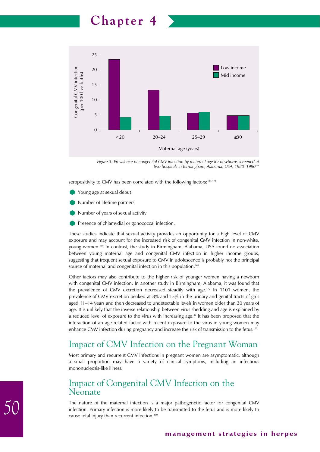25 Low income congenital CMV infection Congenital CMV infection 20 (per 100 live births) (per 100 live births) Mid income15 10 5 0  $< 20$  20–24 25–29  $\geq 30$ Maternal age (years)

*Figure 3: Prevalence of congenital CMV infection by maternal age for newborns screened at two hospitals in Birmingham, Alabama, USA, 1980–1990169* 

seropositivity to CMV has been correlated with the following factors:<sup>144,171</sup>

- Young age at sexual debut
- Number of lifetime partners
- Number of years of sexual activity
- Presence of chlamydial or gonococcal infection.

These studies indicate that sexual activity provides an opportunity for a high level of CMV exposure and may account for the increased risk of congenital CMV infection in non-white, young women.169 In contrast, the study in Birmingham, Alabama, USA found no association between young maternal age and congenital CMV infection in higher income groups, suggesting that frequent sexual exposure to CMV in adolescence is probably not the principal source of maternal and congenital infection in this population.<sup>169</sup>

Other factors may also contribute to the higher risk of younger women having a newborn with congenital CMV infection. In another study in Birmingham, Alabama, it was found that the prevalence of CMV excretion decreased steadily with age.172 In 1101 women, the prevalence of CMV excretion peaked at 8% and 15% in the urinary and genital tracts of girls aged 11–14 years and then decreased to undetectable levels in women older than 30 years of age. It is unlikely that the inverse relationship between virus shedding and age is explained by a reduced level of exposure to the virus with increasing age. $32$  It has been proposed that the interaction of an age-related factor with recent exposure to the virus in young women may enhance CMV infection during pregnancy and increase the risk of transmission to the fetus.<sup>169</sup>

# Impact of CMV Infection on the Pregnant Woman

Most primary and recurrent CMV infections in pregnant women are asymptomatic, although a small proportion may have a variety of clinical symptoms, including an infectious mononucleosis-like illness.

## Impact of Congenital CMV Infection on the Neonate

The nature of the maternal infection is a major pathogenetic factor for congenital CMV infection. Primary infection is more likely to be transmitted to the fetus and is more likely to cause fetal injury than recurrent infection.160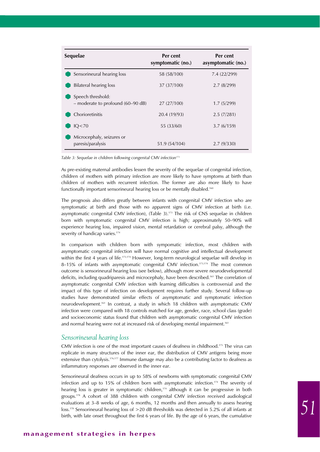| Sequelae                                                 | Per cent<br>symptomatic (no.) | Per cent<br>asymptomatic (no.) |
|----------------------------------------------------------|-------------------------------|--------------------------------|
| Sensorineural hearing loss                               | 58 (58/100)                   | 7.4 (22/299)                   |
| Bilateral hearing loss                                   | 37 (37/100)                   | 2.7(8/299)                     |
| Speech threshold:<br>$-$ moderate to profound (60-90 dB) | 27(27/100)                    | 1.7(5/299)                     |
| Chorioretinitis                                          | 20.4 (19/93)                  | 2.5(7/281)                     |
| IQ < 70                                                  | 55 (33/60)                    | 3.7(6/159)                     |
| Microcephaly, seizures or<br>paresis/paralysis           | 51.9 (54/104)                 | 2.7(9/330)                     |

Table 3: Sequelae in children following congenital CMV infection<sup>173</sup>

As pre-existing maternal antibodies lessen the severity of the sequelae of congenital infection, children of mothers with primary infection are more likely to have symptoms at birth than children of mothers with recurrent infection. The former are also more likely to have functionally important sensorineural hearing loss or be mentally disabled.<sup>160</sup>

The prognosis also differs greatly between infants with congenital CMV infection who are symptomatic at birth and those with no apparent signs of CMV infection at birth (i.e. asymptomatic congenital CMV infection), (Table 3).<sup>173</sup> The risk of CNS sequelae in children born with symptomatic congenital CMV infection is high; approximately 50–90% will experience hearing loss, impaired vision, mental retardation or cerebral palsy, although the severity of handicap varies.<sup>174</sup>

In comparison with children born with sympomatic infection, most children with asymptomatic congenital infection will have normal cognitive and intellectual development within the first 4 years of life.<sup>173,174</sup> However, long-term neurological sequelae will develop in 8-15% of infants with asymptomatic congenital CMV infection.<sup>173,174</sup> The most common outcome is sensorineural hearing loss (see below), although more severe neurodevelopmental deficits, including quadriparesis and microcephaly, have been described.<sup>161</sup> The correlation of asymptomatic congenital CMV infection with learning difficulties is controversial and the impact of this type of infection on development requires further study. Several follow-up studies have demonstrated similar effects of asymptomatic and symptomatic infection neurodevelopment.161 In contrast, a study in which 18 children with asymptomatic CMV infection were compared with 18 controls matched for age, gender, race, school class (grade) and socioeconomic status found that children with asymptomatic congenital CMV infection and normal hearing were not at increased risk of developing mental impairment.<sup>161</sup>

#### *Sensorineural hearing loss*

CMV infection is one of the most important causes of deafness in childhood.175 The virus can replicate in many structures of the inner ear, the distribution of CMV antigens being more extensive than cytolysis.<sup>176,177</sup> Immune damage may also be a contributing factor to deafness as inflammatory responses are observed in the inner ear.

Sensorineural deafness occurs in up to 58% of newborns with symptomatic congenital CMV infection and up to 15% of children born with asymptomatic infection.<sup>174</sup> The severity of hearing loss is greater in symptomatic children, $174$  although it can be progressive in both groups.178 A cohort of 388 children with congenital CMV infection received audiological evaluations at 3–8 weeks of age, 6 months, 12 months and then annually to assess hearing loss.178 Sensorineural hearing loss of >20 dB thresholds was detected in 5.2% of all infants at birth, with late onset throughout the first 6 years of life. By the age of 6 years, the cumulative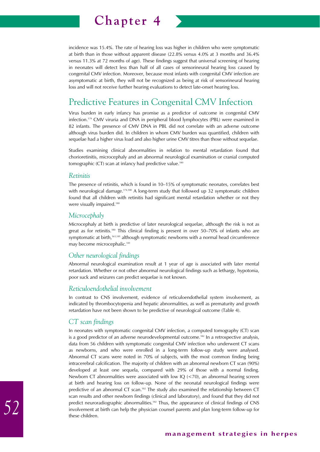

incidence was 15.4%. The rate of hearing loss was higher in children who were symptomatic at birth than in those without apparent disease (22.8% versus 4.0% at 3 months and 36.4% versus 11.3% at 72 months of age). These findings suggest that universal screening of hearing in neonates will detect less than half of all cases of sensorineural hearing loss caused by congenital CMV infection. Moreover, because most infants with congenital CMV infection are asymptomatic at birth, they will not be recognized as being at risk of sensorineural hearing loss and will not receive further hearing evaluations to detect late-onset hearing loss.

# Predictive Features in Congenital CMV Infection

Virus burden in early infancy has promise as a predictor of outcome in congenital CMV infection.179 CMV viruria and DNA in peripheral blood lymphocytes (PBL) were examined in 82 infants. The presence of CMV DNA in PBL did not correlate with an adverse outcome although virus burden did. In children in whom CMV burden was quantified, children with sequelae had a higher virus load and also higher urine CMV titres than those without sequelae.

Studies examining clinical abnormalities in relation to mental retardation found that chorioretinitis, microcephaly and an abnormal neurological examination or cranial computed tomographic (CT) scan at infancy had predictive value.<sup>180</sup>

### *Retinitis*

The presence of retinitis, which is found in 10–15% of symptomatic neonates, correlates best with neurological damage.<sup>174,180</sup> A long-term study that followed up 32 symptomatic children found that all children with retinitis had significant mental retardation whether or not they were visually impaired.<sup>180</sup>

### *Microcephaly*

Microcephaly at birth is predictive of later neurological sequelae, although the risk is not as great as for retinitis.<sup>180</sup> This clinical finding is present in over  $50-70\%$  of infants who are symptomatic at birth,<sup>161,181</sup> although symptomatic newborns with a normal head circumference may become microcephalic.<sup>181</sup>

### *Other neurological findings*

Abnormal neurological examination result at 1 year of age is associated with later mental retardation. Whether or not other abnormal neurological findings such as lethargy, hypotonia, poor suck and seizures can predict sequelae is not known.

### *Reticuloendothelial involvement*

In contrast to CNS involvement, evidence of reticuloendothelial system involvement, as indicated by thrombocytopenia and hepatic abnormalities, as well as prematurity and growth retardation have not been shown to be predictive of neurological outcome (Table 4).

### *CT scan findings*

In neonates with symptomatic congenital CMV infection, a computed tomography (CT) scan is a good predictor of an adverse neurodevelopmental outcome.<sup>182</sup> In a retrospective analysis, data from 56 children with symptomatic congenital CMV infection who underwent CT scans as newborns, and who were enrolled in a long-term follow-up study were analysed. Abnormal CT scans were noted in 70% of subjects, with the most common finding being intracerebral calcification. The majority of children with an abnormal newborn CT scan (90%) developed at least one sequela, compared with 29% of those with a normal finding. Newborn CT abnormalities were associated with low  $IQ$  ( $\lt$ 70), an abnormal hearing screen at birth and hearing loss on follow-up. None of the neonatal neurological findings were predictive of an abnormal CT scan.<sup>182</sup> The study also examined the relationship between CT scan results and other newborn findings (clinical and laboratory), and found that they did not predict neuroradiographic abnormalities.<sup>182</sup> Thus, the appearance of clinical findings of CNS involvement at birth can help the physician counsel parents and plan long-term follow-up for these children.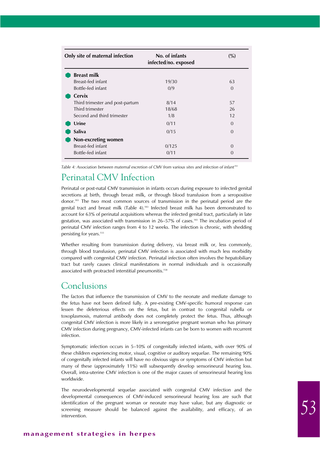| Only site of maternal infection | No. of infants<br>infected/no. exposed | (%)      |
|---------------------------------|----------------------------------------|----------|
| <b>Breast milk</b>              |                                        |          |
| Breast-fed infant               | 19/30                                  | 63       |
| Bottle-fed infant               | 0/9                                    | $\Omega$ |
| Cervix                          |                                        |          |
| Third trimester and post-partum | 8/14                                   | 57       |
| Third trimester                 | 18/68                                  | 26       |
| Second and third trimester      | 1/8                                    | 12       |
| Urine                           | 0/11                                   | $\Omega$ |
| <b>Saliva</b>                   | 0/15                                   | $\Omega$ |
| Non-excreting women             |                                        |          |
| Breast-fed infant               | 0/125                                  | $\Omega$ |
| Bottle-fed infant               | 0/11                                   | $\Omega$ |

*Table 4: Association between maternal excretion of CMV from various sites and infection of infant183*

# Perinatal CMV Infection

Perinatal or post-natal CMV transmission in infants occurs during exposure to infected genital secretions at birth, through breast milk, or through blood transfusion from a seropositive donor.183 The two most common sources of transmission in the perinatal period are the genital tract and breast milk (Table 4).<sup>183</sup> Infected breast milk has been demonstrated to account for 63% of perinatal acquisitions whereas the infected genital tract, particularly in late gestation, was associated with transmission in 26–57% of cases.183 The incubation period of perinatal CMV infection ranges from 4 to 12 weeks. The infection is chronic, with shedding persisting for years.<sup>133</sup>

Whether resulting from transmission during delivery, via breast milk or, less commonly, through blood transfusion, perinatal CMV infection is associated with much less morbidity compared with congenital CMV infection. Perinatal infection often involves the hepatobiliary tract but rarely causes clinical manifestations in normal individuals and is occasionally associated with protracted interstitial pneumonitis.<sup>158</sup>

## Conclusions

The factors that influence the transmission of CMV to the neonate and mediate damage to the fetus have not been defined fully. A pre-existing CMV-specific humoral response can lessen the deleterious effects on the fetus, but in contrast to congenital rubella or toxoplasmosis, maternal antibody does not completely protect the fetus. Thus, although congenital CMV infection is more likely in a seronegative pregnant woman who has primary CMV infection during pregnancy, CMV-infected infants can be born to women with recurrent infection.

Symptomatic infection occurs in 5–10% of congenitally infected infants, with over 90% of these children experiencing motor, visual, cognitive or auditory sequelae. The remaining 90% of congenitally infected infants will have no obvious signs or symptoms of CMV infection but many of these (approximately 11%) will subsequently develop sensorineural hearing loss. Overall, intra-uterine CMV infection is one of the major causes of sensorineural hearing loss worldwide.

The neurodevelopmental sequelae associated with congenital CMV infection and the developmental consequences of CMV-induced sensorineural hearing loss are such that identification of the pregnant woman or neonate may have value, but any diagnostic or screening measure should be balanced against the availability, and efficacy, of an intervention.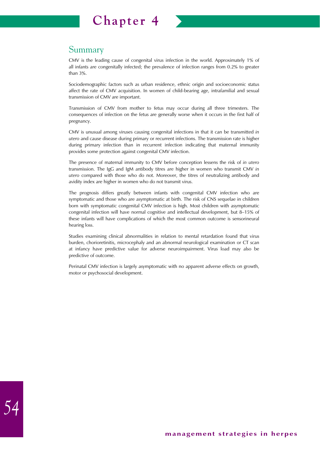

## Summary

CMV is the leading cause of congenital virus infection in the world. Approximately 1% of all infants are congenitally infected; the prevalence of infection ranges from 0.2% to greater than 3%.

Sociodemographic factors such as urban residence, ethnic origin and socioeconomic status affect the rate of CMV acquisition. In women of child-bearing age, intrafamilial and sexual transmission of CMV are important.

Transmission of CMV from mother to fetus may occur during all three trimesters. The consequences of infection on the fetus are generally worse when it occurs in the first half of pregnancy.

CMV is unusual among viruses causing congenital infections in that it can be transmitted *in utero* and cause disease during primary or recurrent infections. The transmission rate is higher during primary infection than in recurrent infection indicating that maternal immunity provides some protection against congenital CMV infection.

The presence of maternal immunity to CMV before conception lessens the risk of *in utero* transmission. The IgG and IgM antibody titres are higher in women who transmit CMV *in utero* compared with those who do not. Moreover, the titres of neutralizing antibody and avidity index are higher in women who do not transmit virus.

The prognosis differs greatly between infants with congenital CMV infection who are symptomatic and those who are asymptomatic at birth. The risk of CNS sequelae in children born with symptomatic congenital CMV infection is high. Most children with asymptomatic congenital infection will have normal cognitive and intellectual development, but 8–15% of these infants will have complications of which the most common outcome is sensorineural hearing loss.

Studies examining clinical abnormalities in relation to mental retardation found that virus burden, chorioretinitis, microcephaly and an abnormal neurological examination or CT scan at infancy have predictive value for adverse neuroimpairment. Virus load may also be predictive of outcome.

Perinatal CMV infection is largely asymptomatic with no apparent adverse effects on growth, motor or psychosocial development.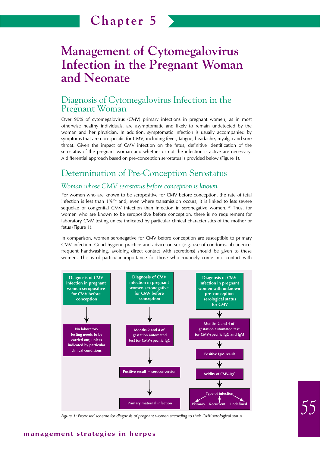# **Management of Cytomegalovirus Infection in the Pregnant Woman and Neonate**

## Diagnosis of Cytomegalovirus Infection in the Pregnant Woman

Over 90% of cytomegalovirus (CMV) primary infections in pregnant women, as in most otherwise healthy individuals, are asymptomatic and likely to remain undetected by the woman and her physician. In addition, symptomatic infection is usually accompanied by symptoms that are non-specific for CMV, including fever, fatigue, headache, myalgia and sore throat. Given the impact of CMV infection on the fetus, definitive identification of the serostatus of the pregnant woman and whether or not the infection is active are necessary. A differential approach based on pre-conception serostatus is provided below (Figure 1).

# Determination of Pre-Conception Serostatus

## *Woman whose CMV serostatus before conception is known*

For women who are known to be seropositive for CMV before conception, the rate of fetal infection is less than  $1\%$ <sup>134</sup> and, even where transmission occurs, it is linked to less severe sequelae of congenital CMV infection than infection in seronegative women.<sup>160</sup> Thus, for women who are known to be seropositive before conception, there is no requirement for laboratory CMV testing unless indicated by particular clinical characteristics of the mother or fetus (Figure 1).

In comparison, women seronegative for CMV before conception are susceptible to primary CMV infection. Good hygiene practice and advice on sex (e.g. use of condoms, abstinence, frequent handwashing, avoiding direct contact with secretions) should be given to these women. This is of particular importance for those who routinely come into contact with



*Figure 1: Proposed scheme for diagnosis of pregnant women according to their CMV serological status*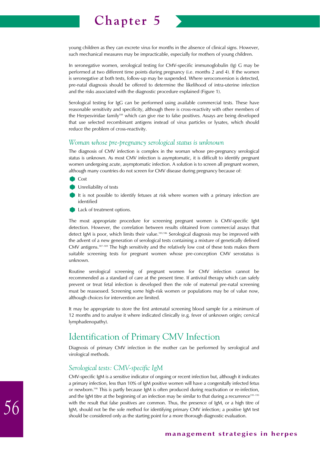young children as they can excrete virus for months in the absence of clinical signs. However, such mechanical measures may be impracticable, especially for mothers of young children.

In seronegative women, serological testing for CMV-specific immunoglobulin (Ig) G may be performed at two different time points during pregnancy (i.e. months 2 and 4). If the women is seronegative at both tests, follow-up may be suspended. Where seroconversion is detected, pre-natal diagnosis should be offered to determine the likelihood of intra-uterine infection and the risks associated with the diagnostic procedure explained (Figure 1).

Serological testing for IgG can be performed using available commercial tests. These have reasonable sensitivity and specificity, although there is cross-reactivity with other members of the Herpesviridae family184 which can give rise to false positives. Assays are being developed that use selected recombinant antigens instead of virus particles or lysates, which should reduce the problem of cross-reactivity.

### *Woman whose pre-pregnancy serological status is unknown*

The diagnosis of CMV infection is complex in the woman whose pre-pregnancy serological status is unknown. As most CMV infection is asymptomatic, it is difficult to identify pregnant women undergoing acute, asymptomatic infection. A solution is to screen all pregnant women, although many countries do not screen for CMV disease during pregnancy because of:

- Cost
- Unreliability of tests
- It is not possible to identify fetuses at risk where women with a primary infection are identified
- Lack of treatment options.

The most appropriate procedure for screening pregnant women is CMV-specific IgM detection. However, the correlation between results obtained from commercial assays that detect IgM is poor, which limits their value.<sup>185,186</sup> Serological diagnosis may be improved with the advent of a new generation of serological tests containing a mixture of genetically defined CMV antigens.187–189 The high sensitivity and the relatively low cost of these tests makes them suitable screening tests for pregnant women whose pre-conception CMV serostatus is unknown.

Routine serological screening of pregnant women for CMV infection cannot be recommended as a standard of care at the present time. If antiviral therapy which can safely prevent or treat fetal infection is developed then the role of maternal pre-natal screening must be reassessed. Screening some high-risk women or populations may be of value now, although choices for intervention are limited.

It may be appropriate to store the first antenatal screening blood sample for a minimum of 12 months and to analyse it where indicated clinically (e.g. fever of unknown origin; cervical lymphadenopathy).

# Identification of Primary CMV Infection

Diagnosis of primary CMV infection in the mother can be performed by serological and virological methods.

### *Serological tests: CMV-specific IgM*

CMV-specific IgM is a sensitive indicator of ongoing or recent infection but, although it indicates a primary infection, less than 10% of IgM positive women will have a congenitally infected fetus or newborn.190 This is partly because IgM is often produced during reactivation or re-infection, and the IgM titre at the beginning of an infection may be similar to that during a recurrence<sup>191-193</sup> with the result that false positives are common. Thus, the presence of IgM, or a high titre of IgM, should not be the sole method for identifying primary CMV infection; a positive IgM test should be considered only as the starting point for a more thorough diagnostic evaluation.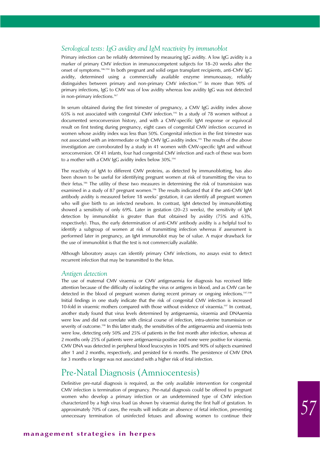### *Serological tests: IgG avidity and IgM reactivity by immunoblot*

Primary infection can be reliably determined by measuring IgG avidity. A low IgG avidity is a marker of primary CMV infection in immunocompetent subjects for 18–20 weeks after the onset of symptoms.186,194 In both pregnant and solid organ transplant recipients, anti-CMV IgG avidity, determined using a commercially available enzyme immunoassay, reliably distinguishes between primary and non-primary CMV infection.167 In more than 90% of primary infections, IgG to CMV was of low avidity whereas low avidity IgG was not detected in non-primary infections.<sup>167</sup>

In serum obtained during the first trimester of pregnancy, a CMV IgG avidity index above 65% is not associated with congenital CMV infection.195 In a study of 78 women without a documented seroconversion history, and with a CMV-specific IgM response or equivocal result on first testing during pregnancy, eight cases of congenital CMV infection occurred in women whose avidity index was less than 50%. Congenital infection in the first trimester was not associated with an intermediate or high CMV IgG avidity index.195 The results of the above investigation are corroborated by a study in 41 women with CMV-specific IgM and without seroconversion. Of 41 infants, four had congenital CMV infection and each of these was born to a mother with a CMV IgG avidity index below 30%.<sup>194</sup>

The reactivity of IgM to different CMV proteins, as detected by immunoblotting, has also been shown to be useful for identifying pregnant women at risk of transmitting the virus to their fetus.<sup>186</sup> The utility of these two measures in determining the risk of transmission was examined in a study of 87 pregnant women.<sup>196</sup> The results indicated that if the anti-CMV IgM antibody avidity is measured before 18 weeks' gestation, it can identify all pregnant women who will give birth to an infected newborn. In contrast, IgM detected by immunoblotting showed a sensitivity of only 69%. Later in gestation (20–23 weeks), the sensitivity of IgM detection by immunoblot is greater than that obtained by avidity (75% and 63%, respectively). Thus, the early determination of anti-CMV antibody avidity is a helpful tool to identify a subgroup of women at risk of transmitting infection whereas if assessment is performed later in pregnancy, an IgM immunoblot may be of value. A major drawback for the use of immunoblot is that the test is not commercially available.

Although laboratory assays can identify primary CMV infections, no assays exist to detect recurrent infection that may be transmitted to the fetus.

#### *Antigen detection*

The use of maternal CMV viraemia or CMV antigenaemia for diagnosis has received little attention because of the difficulty of isolating the virus or antigens in blood, and as CMV can be detected in the blood of pregnant women during recent primary or ongoing infections.<sup>197,198</sup> Initial findings in one study indicate that the risk of congenital CMV infection is increased 10-fold in viraemic mothers compared with those without evidence of viraemia.197 In contrast, another study found that virus levels determined by antigenaemia, viraemia and DNAaemia were low and did not correlate with clinical course of infection, intra-uterine transmission or severity of outcome.<sup>198</sup> In this latter study, the sensitivities of the antigenaemia and viraemia tests were low, detecting only 50% and 25% of patients in the first month after infection, whereas at 2 months only 25% of patients were antigenaemia-positive and none were positive for viraemia. CMV DNA was detected in peripheral blood leucocytes in 100% and 90% of subjects examined after 1 and 2 months, respectively, and persisted for 6 months. The persistence of CMV DNA for 3 months or longer was not associated with a higher risk of fetal infection.

## Pre-Natal Diagnosis (Amniocentesis)

Definitive pre-natal diagnosis is required, as the only available intervention for congenital CMV infection is termination of pregnancy. Pre-natal diagnosis could be offered to pregnant women who develop a primary infection or an undetermined type of CMV infection characterized by a high virus load (as shown by viraemia) during the first half of gestation. In approximately 70% of cases, the results will indicate an absence of fetal infection, preventing unnecessary termination of uninfected fetuses and allowing women to continue their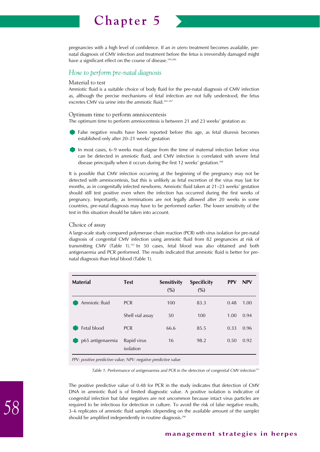

### *How to perform pre-natal diagnosis*

#### Material to test

Amniotic fluid is a suitable choice of body fluid for the pre-natal diagnosis of CMV infection as, although the precise mechanisms of fetal infection are not fully understood, the fetus excretes CMV via urine into the amniotic fluid.<sup>201-207</sup>

#### Optimum time to perform amniocentesis

The optimum time to perform amniocentesis is between 21 and 23 weeks' gestation as:

- False negative results have been reported before this age, as fetal diuresis becomes established only after 20–21 weeks' gestation
- In most cases, 6–9 weeks must elapse from the time of maternal infection before virus can be detected in amniotic fluid, and CMV infection is correlated with severe fetal disease principally when it occurs during the first 12 weeks' gestation.<sup>208</sup>

It is possible that CMV infection occurring at the beginning of the pregnancy may not be detected with amniocentesis, but this is unlikely as fetal excretion of the virus may last for months, as in congenitally infected newborns. Amniotic fluid taken at 21–23 weeks' gestation should still test positive even when the infection has occurred during the first weeks of pregnancy. Importantly, as terminations are not legally allowed after 20 weeks in some countries, pre-natal diagnosis may have to be performed earlier. The lower sensitivity of the test in this situation should be taken into account.

### Choice of assay

A large-scale study compared polymerase chain reaction (PCR) with virus isolation for pre-natal diagnosis of congenital CMV infection using amniotic fluid from 82 pregnancies at risk of transmitting CMV (Table 1).193 In 50 cases, fetal blood was also obtained and both antigenaemia and PCR performed. The results indicated that amniotic fluid is better for prenatal diagnosis than fetal blood (Table 1).

| <b>Test</b>              | <b>Sensitivity</b><br>$\frac{0}{0}$ | <b>Specificity</b><br>(%)                                      | <b>PPV</b> | <b>NPV</b> |
|--------------------------|-------------------------------------|----------------------------------------------------------------|------------|------------|
| <b>PCR</b>               | 100                                 | 83.3                                                           | 0.48       | 1.00       |
| Shell vial assay         | 50                                  | 100                                                            | 1.00       | 0.94       |
| <b>PCR</b>               | 66.6                                | 85.5                                                           | 0.33       | 0.96       |
| Rapid virus<br>isolation | 16                                  | 98.2                                                           | 0.50       | 0.92       |
|                          |                                     | DDV: positive prodictive value: NDV: perstive prodictive value |            |            |

*PPV: positive predictive value; NPV: negative predictive value*

Table 1: Performance of antigenaemia and PCR in the detection of congenital CMV infection<sup>193</sup>

The positive predictive value of 0.48 for PCR in the study indicates that detection of CMV DNA in amniotic fluid is of limited diagnostic value. A positive isolation is indicative of congenital infection but false negatives are not uncommon because intact virus particles are required to be infectious for detection in culture. To avoid the risk of false negative results, 3–6 replicates of amniotic fluid samples (depending on the available amount of the sample) should be amplified independently in routine diagnosis.<sup>206</sup>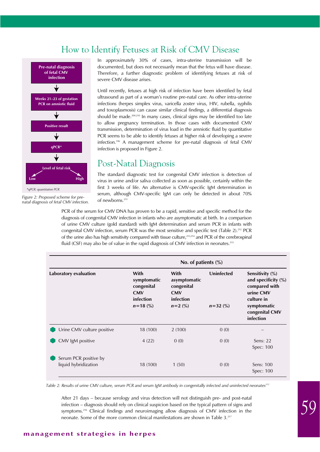# How to Identify Fetuses at Risk of CMV Disease



*\*qPCR: quantitative PCR*

*Figure 2: Proposed scheme for prenatal diagnosis of fetal CMV infection.*  In approximately 30% of cases, intra-uterine transmission will be documented, but does not necessarily mean that the fetus will have disease. Therefore, a further diagnostic problem of identifying fetuses at risk of severe CMV disease arises.

Until recently, fetuses at high risk of infection have been identified by fetal ultrasound as part of a woman's routine pre-natal care. As other intra-uterine infections (herpes simplex virus, varicella zoster virus, HIV, rubella, syphilis and toxoplasmosis) can cause similar clinical findings, a differential diagnosis should be made.<sup>209,210</sup> In many cases, clinical signs may be identified too late to allow pregnancy termination. In those cases with documented CMV transmission, determination of virus load in the amniotic fluid by quantitative PCR seems to be able to identify fetuses at higher risk of developing a severe infection.196 A management scheme for pre-natal diagnosis of fetal CMV infection is proposed in Figure 2.

# Post-Natal Diagnosis

The standard diagnostic test for congenital CMV infection is detection of virus in urine and/or saliva collected as soon as possible, certainly within the first 3 weeks of life. An alternative is CMV-specific IgM determination in serum, although CMV-specific IgM can only be detected in about 70% of newborns.<sup>211</sup>

PCR of the serum for CMV DNA has proven to be a rapid, sensitive and specific method for the diagnosis of congenital CMV infection in infants who are asymptomatic at birth. In a comparison of urine CMV culture (gold standard) with IgM determination and serum PCR in infants with congenital CMV infection, serum PCR was the most sensitive and specific test (Table 2).<sup>212</sup> PCR of the urine also has high sensitivity compared with tissue culture,<sup>213,214</sup> and PCR of the cerebrospinal fluid (CSF) may also be of value in the rapid diagnosis of CMV infection in neonates.<sup>215</sup>

|                                               |                                                                              | No. of patients $(\%)$                                                     |                            |                                                                                                                                     |  |  |
|-----------------------------------------------|------------------------------------------------------------------------------|----------------------------------------------------------------------------|----------------------------|-------------------------------------------------------------------------------------------------------------------------------------|--|--|
| Laboratory evaluation                         | With<br>symptomatic<br>congenital<br><b>CMV</b><br>infection<br>$n = 18$ (%) | With<br>asymptomatic<br>congenital<br><b>CMV</b><br>infection<br>$n=2$ (%) | Uninfected<br>$n = 32$ (%) | Sensitivity (%)<br>and specificity $(\%)$<br>compared with<br>urine CMV<br>culture in<br>symptomatic<br>congenital CMV<br>infection |  |  |
| Urine CMV culture positive                    | 18 (100)                                                                     | 2(100)                                                                     | 0(0)                       |                                                                                                                                     |  |  |
| CMV IgM positive                              | 4(22)                                                                        | 0(0)                                                                       | 0(0)                       | Sens: $22$<br>Spec: 100                                                                                                             |  |  |
| Serum PCR positive by<br>liquid hybridization | 18 (100)                                                                     | 1(50)                                                                      | 0(0)                       | Sens: 100<br>Spec: 100                                                                                                              |  |  |

Table 2: Results of urine CMV culture, serum PCR and serum IgM antibody in congenitally infected and uninfected neonates<sup>212</sup>

After 21 days – because serology and virus detection will not distinguish pre- and post-natal infection – diagnosis should rely on clinical suspicion based on the typical pattern of signs and symptoms.<sup>216</sup> Clinical findings and neuroimaging allow diagnosis of CMV infection in the neonate. Some of the more common clinical manifestations are shown in Table 3.217

### **management strategies in herpes**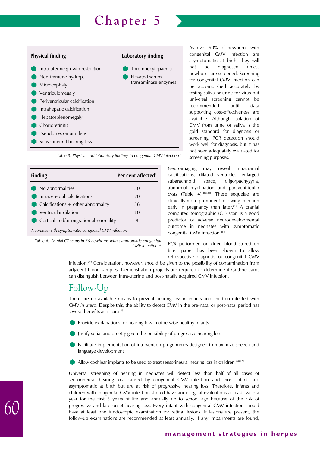



Table 3: Physical and laboratory findings in congenital CMV infection<sup>21</sup>

| <b>Finding</b>                                      | Per cent affected <sup>+</sup> |
|-----------------------------------------------------|--------------------------------|
| No abnormalities                                    | 30                             |
| Intracerebral calcifications                        | 70                             |
| $\bullet$ Calcifications + other abnormality        | 56                             |
| Ventricular dilation                                | 10                             |
| Cortical and/or migration abnormality               | 8                              |
| *Neonates with symptomatic congenital CMV infection |                                |

*Table 4: Cranial CT scans in 56 newborns with symptomatic congenital* CMV infection<sup>182</sup>

As over 90% of newborns with congenital CMV infection are asymptomatic at birth, they will not be diagnosed unless newborns are screened. Screening for congenital CMV infection can be accomplished accurately by testing saliva or urine for virus but universal screening cannot be recommended until data supporting cost-effectiveness are available. Although isolation of CMV from urine or saliva is the gold standard for diagnosis or screening, PCR detection should work well for diagnosis, but it has not been adequately evaluated for screening purposes.

Neuroimaging may reveal intracranial calcifications, dilated ventricles, enlarged subarachnoid space, oligo/pachygyria, abnormal myelination and paraventricular cysts (Table 4).182,218 These sequelae are clinically more prominent following infection early in pregnancy than later.<sup>216</sup> A cranial computed tomographic (CT) scan is a good predictor of adverse neurodevelopmental outcome in neonates with symptomatic congenital CMV infection.<sup>182</sup>

PCR performed on dried blood stored on filter paper has been shown to allow retrospective diagnosis of congenital CMV

infection.219 Consideration, however, should be given to the possibility of contamination from adjacent blood samples. Demonstration projects are required to determine if Guthrie cards can distinguish between intra-uterine and post-natally acquired CMV infection.

# Follow-Up

There are no available means to prevent hearing loss in infants and children infected with CMV *in utero*. Despite this, the ability to detect CMV in the pre-natal or post-natal period has several benefits as it can:<sup>148</sup>

- Provide explanations for hearing loss in otherwise healthy infants
- Justify serial audiometry given the possibility of progressive hearing loss
- Facilitate implementation of intervention programmes designed to maximize speech and language development
- Allow cochlear implants to be used to treat sensorineural hearing loss in children.<sup>220,221</sup>

Universal screening of hearing in neonates will detect less than half of all cases of sensorineural hearing loss caused by congenital CMV infection and most infants are asymptomatic at birth but are at risk of progressive hearing loss. Therefore, infants and children with congenital CMV infection should have audiological evaluations at least twice a year for the first 3 years of life and annually up to school age because of the risk of progressive and late onset hearing loss. Every infant with congenital CMV infection should have at least one fundoscopic examination for retinal lesions. If lesions are present, the follow-up examinations are recommended at least annually. If any impairments are found,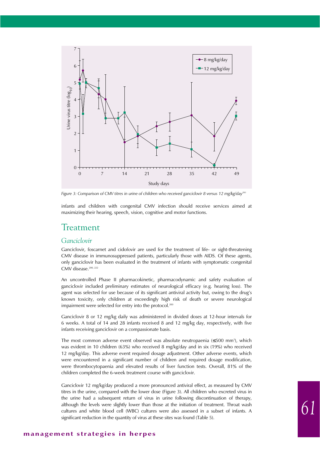

Figure 3: Comparison of CMV titres in urine of children who received ganciclovir 8 versus 12 mg/kg/day<sup>200</sup>

infants and children with congenital CMV infection should receive services aimed at maximizing their hearing, speech, vision, cognitive and motor functions.

## Treatment

## *Ganciclovir*

Ganciclovir, foscarnet and cidofovir are used for the treatment of life- or sight-threatening CMV disease in immunosuppressed patients, particularly those with AIDS. Of these agents, only ganciclovir has been evaluated in the treatment of infants with symptomatic congenital CMV disease.<sup>200, 222</sup>

An uncontrolled Phase II pharmacokinetic, pharmacodynamic and safety evaluation of ganciclovir included preliminary estimates of neurological efficacy (e.g. hearing loss). The agent was selected for use because of its significant antiviral activity but, owing to the drug's known toxicity, only children at exceedingly high risk of death or severe neurological impairment were selected for entry into the protocol.<sup>200</sup>

Ganciclovir 8 or 12 mg/kg daily was administered in divided doses at 12-hour intervals for 6 weeks. A total of 14 and 28 infants received 8 and 12 mg/kg day, respectively, with five infants receiving ganciclovir on a compassionate basis.

The most common adverse event observed was absolute neutropaenia (≤500 mm3 ), which was evident in 10 children (63%) who received 8 mg/kg/day and in six (19%) who received 12 mg/kg/day. This adverse event required dosage adjustment. Other adverse events, which were encountered in a significant number of children and required dosage modification, were thrombocytopaenia and elevated results of liver function tests. Overall, 81% of the children completed the 6-week treatment course with ganciclovir.

Ganciclovir 12 mg/kg/day produced a more pronounced antiviral effect, as measured by CMV titres in the urine, compared with the lower dose (Figure 3). All children who excreted virus in the urine had a subsequent return of virus in urine following discontinuation of therapy, although the levels were slightly lower than those at the initiation of treatment. Throat wash cultures and white blood cell (WBC) cultures were also assessed in a subset of infants. A significant reduction in the quantity of virus at these sites was found (Table 5).

### **management strategies in herpes**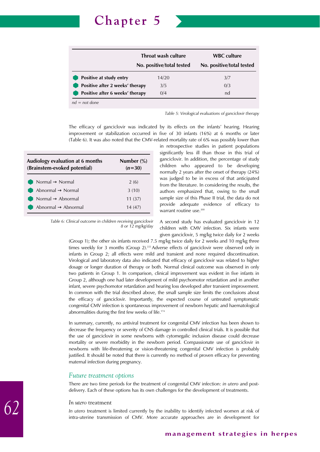

*Table 5: Virological evaluations of ganciclovir therapy*

The efficacy of ganciclovir was indicated by its effects on the infants' hearing. Hearing improvement or stabilization occurred in five of 30 infants (16%) at 6 months or later (Table 6). It was also noted that the CMV-related mortality rate of 6% was possibly lower than

| Audiology evaluation at 6 months<br>(Brainstem-evoked potential) | Number $\frac{6}{6}$<br>$(n=30)$ |
|------------------------------------------------------------------|----------------------------------|
| Normal $\rightarrow$ Normal                                      | 2(6)                             |
| Abnormal $\rightarrow$ Normal                                    | 3(10)                            |
| Normal $\rightarrow$ Abnormal                                    | 11(37)                           |
| Abnormal $\rightarrow$ Abnormal                                  | 14 (47)                          |

*Table 6: Clinical outcome in children receiving ganciclovir 8 or 12 mg/kg/day* in retrospective studies in patient populations significantly less ill than those in this trial of ganciclovir. In addition, the percentage of study children who appeared to be developing normally 2 years after the onset of therapy (24%) was judged to be in excess of that anticipated from the literature. In considering the results, the authors emphasized that, owing to the small sample size of this Phase II trial, the data do not provide adequate evidence of efficacy to warrant routine use.<sup>200</sup>

A second study has evaluated ganciclovir in 12 children with CMV infection. Six infants were given ganciclovir, 5 mg/kg twice daily for 2 weeks

(Group 1); the other six infants received 7.5 mg/kg twice daily for 2 weeks and 10 mg/kg three times weekly for 3 months (Group 2).<sup>222</sup> Adverse effects of ganciclovir were observed only in infants in Group 2; all effects were mild and transient and none required discontinuation. Virological and laboratory data also indicated that efficacy of ganciclovir was related to higher dosage or longer duration of therapy or both. Normal clinical outcome was observed in only two patients in Group 1. In comparison, clinical improvement was evident in five infants in Group 2, although one had later development of mild psychomotor retardation and in another infant, severe psychomotor retardation and hearing loss developed after transient improvement. In common with the trial described above, the small sample size limits the conclusions about the efficacy of ganciclovir. Importantly, the expected course of untreated symptomatic congenital CMV infection is spontaneous improvement of newborn hepatic and haematological abnormalities during the first few weeks of life.174

In summary, currently, no antiviral treatment for congenital CMV infection has been shown to decrease the frequency or severity of CNS damage in controlled clinical trials. It is possible that the use of ganciclovir in some newborns with cytomegalic inclusion disease could decrease mortality or severe morbidity in the newborn period. Compassionate use of ganciclovir in newborns with life-threatening or vision-threatening congenital CMV infection is probably justified. It should be noted that there is currently no method of proven efficacy for preventing maternal infection during pregnancy.

#### *Future treatment options*

There are two time periods for the treatment of congenital CMV infection: *in utero* and postdelivery. Each of these options has its own challenges for the development of treatments.

#### *In utero* treatment

*In utero* treatment is limited currently by the inability to identify infected women at risk of intra-uterine transmission of CMV. More accurate approaches are in development for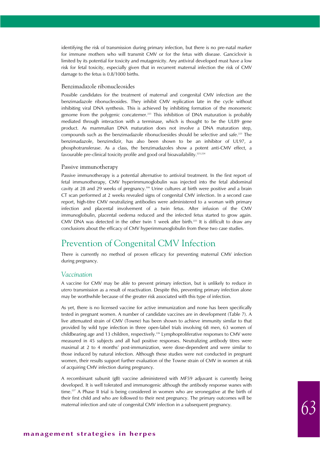identifying the risk of transmission during primary infection, but there is no pre-natal marker for immune mothers who will transmit CMV or for the fetus with disease. Ganciclovir is limited by its potential for toxicity and mutagenicity. Any antiviral developed must have a low risk for fetal toxicity, especially given that in recurrent maternal infection the risk of CMV damage to the fetus is 0.8/1000 births.

#### Benzimadazole ribonucleosides

Possible candidates for the treatment of maternal and congenital CMV infection are the benzimadazole ribonucleosides. They inhibit CMV replication late in the cycle without inhibiting viral DNA synthesis. This is achieved by inhibiting formation of the monomeric genome from the polygenic concatemer.<sup>223</sup> This inhibition of DNA maturation is probably mediated through interaction with a terminase, which is thought to be the UL89 gene product. As mammalian DNA maturation does not involve a DNA maturation step, compounds such as the benzimadazole ribonucloesides should be selective and safe.223 The benzimadazole, benzimdizir, has also been shown to be an inhibitor of UL97, a phosphotransferase. As a class, the benzimadazoles show a potent anti-CMV effect, a favourable pre-clinical toxicity profile and good oral bioavailability.223,224

#### Passive immunotherapy

Passive immunotherapy is a potential alternative to antiviral treatment. In the first report of fetal immunotherapy, CMV hyperimmunoglobulin was injected into the fetal abdominal cavity at 28 and 29 weeks of pregnancy.199 Urine cultures at birth were positive and a brain CT scan performed at 2 weeks revealed signs of congenital CMV infection. In a second case report, high-titre CMV neutralizing antibodies were administered to a woman with primary infection and placental involvement of a twin fetus. After infusion of the CMV immunoglobulin, placental oedema reduced and the infected fetus started to grow again. CMV DNA was detected in the other twin 1 week after birth.<sup>225</sup> It is difficult to draw any conclusions about the efficacy of CMV hyperimmunoglobulin from these two case studies.

## Prevention of Congenital CMV Infection

There is currently no method of proven efficacy for preventing maternal CMV infection during pregnancy.

#### *Vaccination*

A vaccine for CMV may be able to prevent primary infection, but is unlikely to reduce *in utero* transmission as a result of reactivation. Despite this, preventing primary infection alone may be worthwhile because of the greater risk associated with this type of infection.

As yet, there is no licensed vaccine for active immunization and none has been specifically tested in pregnant women. A number of candidate vaccines are in development (Table 7). A live attenuated strain of CMV (Towne) has been shown to achieve immunity similar to that provided by wild type infection in three open-label trials involving 68 men, 63 women of childbearing age and 13 children, respectively.<sup>226</sup> Lymphoproliferative responses to CMV were measured in 45 subjects and all had positive responses. Neutralizing antibody titres were maximal at 2 to 4 months' post-immunization, were dose-dependent and were similar to those induced by natural infection. Although these studies were not conducted in pregnant women, their results support further evaluation of the Towne strain of CMV in women at risk of acquiring CMV infection during pregnancy.

A recombinant subunit (gB) vaccine administered with MF59 adjuvant is currently being developed. It is well tolerated and immunogenic although the antibody response wanes with time.<sup>227</sup> A Phase II trial is being considered in women who are seronegative at the birth of their first child and who are followed to their next pregnancy. The primary outcomes will be maternal infection and rate of congenital CMV infection in a subsequent pregnancy.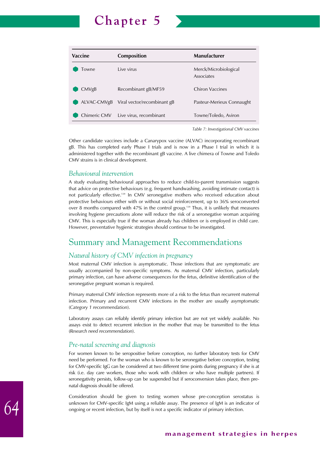

*Table 7: Investigational CMV vaccines*

Other candidate vaccines include a Canarypox vaccine (ALVAC) incorporating recombinant gB. This has completed early Phase I trials and is now in a Phase I trial in which it is administered together with the recombinant gB vaccine. A live chimera of Towne and Toledo CMV strains is in clinical development.

### *Behavioural intervention*

A study evaluating behavioural approaches to reduce child-to-parent transmission suggests that advice on protective behaviours (e.g. frequent handwashing, avoiding intimate contact) is not particularly effective.139 In CMV seronegative mothers who received education about protective behaviours either with or without social reinforcement, up to 36% seroconverted over 8 months compared with  $47\%$  in the control group.<sup>139</sup> Thus, it is unlikely that measures involving hygiene precautions alone will reduce the risk of a seronegative woman acquiring CMV. This is especially true if the woman already has children or is employed in child care. However, preventative hygienic strategies should continue to be investigated.

# Summary and Management Recommendations

### *Natural history of CMV infection in pregnancy*

Most maternal CMV infection is asymptomatic. Those infections that are symptomatic are usually accompanied by non-specific symptoms. As maternal CMV infection, particularly primary infection, can have adverse consequences for the fetus, definitive identification of the seronegative pregnant woman is required.

Primary maternal CMV infection represents more of a risk to the fetus than recurrent maternal infection. Primary and recurrent CMV infections in the mother are usually asymptomatic (*Category 1 recommendation*).

Laboratory assays can reliably identify primary infection but are not yet widely available. No assays exist to detect recurrent infection in the mother that may be transmitted to the fetus (*Research need recommendation*).

### *Pre-natal screening and diagnosis*

For women known to be seropositive before conception, no further laboratory tests for CMV need be performed. For the woman who is known to be seronegative before conception, testing for CMV-specific IgG can be considered at two different time points during pregnancy if she is at risk (i.e. day care workers, those who work with children or who have multiple partners). If seronegativity persists, follow-up can be suspended but if seroconversion takes place, then prenatal diagnosis should be offered.

Consideration should be given to testing women whose pre-conception serostatus is unknown for CMV-specific IgM using a reliable assay. The presence of IgM is an indicator of ongoing or recent infection, but by itself is not a specific indicator of primary infection.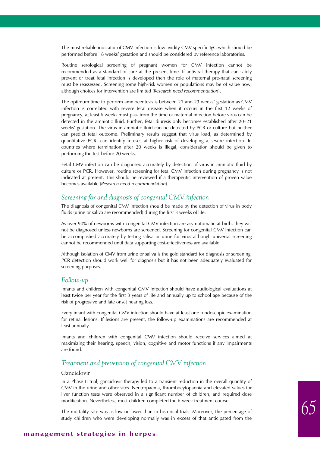The most reliable indicator of CMV infection is low avidity CMV specific IgG which should be performed before 18 weeks' gestation and should be considered by reference laboratories.

Routine serological screening of pregnant women for CMV infection cannot be recommended as a standard of care at the present time. If antiviral therapy that can safely prevent or treat fetal infection is developed then the role of maternal pre-natal screening must be reassessed. Screening some high-risk women or populations may be of value now, although choices for intervention are limited (*Research need recommendation*).

The optimum time to perform amniocentesis is between 21 and 23 weeks' gestation as CMV infection is correlated with severe fetal disease when it occurs in the first 12 weeks of pregnancy, at least 6 weeks must pass from the time of maternal infection before virus can be detected in the amniotic fluid. Further, fetal diuresis only becomes established after 20–21 weeks' gestation. The virus in amniotic fluid can be detected by PCR or culture but neither can predict fetal outcome. Preliminary results suggest that virus load, as determined by quantitative PCR, can identify fetuses at higher risk of developing a severe infection. In countries where termination after 20 weeks is illegal, consideration should be given to performing the test before 20 weeks.

Fetal CMV infection can be diagnosed accurately by detection of virus in amniotic fluid by culture or PCR. However, routine screening for fetal CMV infection during pregnancy is not indicated at present. This should be reviewed if a therapeutic intervention of proven value becomes available (*Research need recommendation*).

### *Screening for and diagnosis of congenital CMV infection*

The diagnosis of congenital CMV infection should be made by the detection of virus in body fluids (urine or saliva are recommended) during the first 3 weeks of life.

As over 90% of newborns with congenital CMV infection are asymptomatic at birth, they will not be diagnosed unless newborns are screened. Screening for congenital CMV infection can be accomplished accurately by testing saliva or urine for virus although universal screening cannot be recommended until data supporting cost-effectiveness are available.

Although isolation of CMV from urine or saliva is the gold standard for diagnosis or screening, PCR detection should work well for diagnosis but it has not been adequately evaluated for screening purposes.

### *Follow-up*

Infants and children with congenital CMV infection should have audiological evaluations at least twice per year for the first 3 years of life and annually up to school age because of the risk of progressive and late onset hearing loss.

Every infant with congenital CMV infection should have at least one fundoscopic examination for retinal lesions. If lesions are present, the follow-up examinations are recommended at least annually.

Infants and children with congenital CMV infection should receive services aimed at maximizing their hearing, speech, vision, cognitive and motor functions if any impairments are found.

### *Treatment and prevention of congenital CMV infection*

### Ganciclovir

In a Phase II trial, ganciclovir therapy led to a transient reduction in the overall quantity of CMV in the urine and other sites. Neutropaenia, thrombocytopaenia and elevated values for liver function tests were observed in a significant number of children, and required dose modification. Nevertheless, most children completed the 6-week treatment course.

The mortality rate was as low or lower than in historical trials. Moreover, the percentage of study children who were developing normally was in excess of that anticipated from the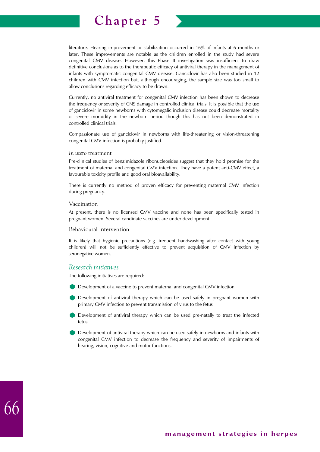

literature. Hearing improvement or stabilization occurred in 16% of infants at 6 months or later. These improvements are notable as the children enrolled in the study had severe congenital CMV disease. However, this Phase II investigation was insufficient to draw definitive conclusions as to the therapeutic efficacy of antiviral therapy in the management of infants with symptomatic congenital CMV disease. Ganciclovir has also been studied in 12 children with CMV infection but, although encouraging, the sample size was too small to allow conclusions regarding efficacy to be drawn.

Currently, no antiviral treatment for congenital CMV infection has been shown to decrease the frequency or severity of CNS damage in controlled clinical trials. It is possible that the use of ganciclovir in some newborns with cytomegalic inclusion disease could decrease mortality or severe morbidity in the newborn period though this has not been demonstrated in controlled clinical trials.

Compassionate use of ganciclovir in newborns with life-threatening or vision-threatening congenital CMV infection is probably justified.

#### *In utero* treatment

Pre-clinical studies of benzimidazole ribonucleosides suggest that they hold promise for the treatment of maternal and congenital CMV infection. They have a potent anti-CMV effect, a favourable toxicity profile and good oral bioavailability.

There is currently no method of proven efficacy for preventing maternal CMV infection during pregnancy.

#### Vaccination

At present, there is no licensed CMV vaccine and none has been specifically tested in pregnant women. Several candidate vaccines are under development.

#### Behavioural intervention

It is likely that hygienic precautions (e.g. frequent handwashing after contact with young children) will not be sufficiently effective to prevent acquisition of CMV infection by seronegative women.

### *Research initiatives*

The following initiatives are required:

- Development of a vaccine to prevent maternal and congenital CMV infection
- Development of antiviral therapy which can be used safely in pregnant women with primary CMV infection to prevent transmission of virus to the fetus
- Development of antiviral therapy which can be used pre-natally to treat the infected fetus
- Development of antiviral therapy which can be used safely in newborns and infants with congenital CMV infection to decrease the frequency and severity of impairments of hearing, vision, cognitive and motor functions.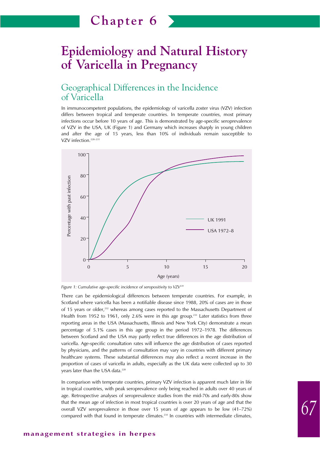# **Epidemiology and Natural History of Varicella in Pregnancy**

## Geographical Differences in the Incidence of Varicella

In immunocompetent populations, the epidemiology of varicella zoster virus (VZV) infection differs between tropical and temperate countries. In temperate countries, most primary infections occur before 10 years of age. This is demonstrated by age-specific seroprevalence of VZV in the USA, UK (Figure 1) and Germany which increases sharply in young children and after the age of 15 years, less than 10% of individuals remain susceptible to VZV infection.<sup>228-231</sup>



*Figure 1: Cumulative age-specific incidence of seropositivity to VZV228*

There can be epidemiological differences between temperate countries. For example, in Scotland where varicella has been a notifiable disease since 1988, 20% of cases are in those of 15 years or older,<sup>232</sup> whereas among cases reported to the Massachusetts Department of Health from 1952 to 1961, only 2.6% were in this age group.<sup>233</sup> Later statistics from three reporting areas in the USA (Massachusetts, Illinois and New York City) demonstrate a mean percentage of 5.1% cases in this age group in the period 1972–1978. The differences between Scotland and the USA may partly reflect true differences in the age distribution of varicella. Age-specific consultation rates will influence the age distribution of cases reported by physicians, and the patterns of consultation may vary in countries with different primary healthcare systems. These substantial differences may also reflect a recent increase in the proportion of cases of varicella in adults, especially as the UK data were collected up to 30 years later than the USA data.<sup>228</sup>

In comparison with temperate countries, primary VZV infection is apparent much later in life in tropical countries, with peak seroprevalence only being reached in adults over 40 years of age. Retrospective analyses of seroprevalence studies from the mid-70s and early-80s show that the mean age of infection in most tropical countries is over 20 years of age and that the overall VZV seroprevalence in those over 15 years of age appears to be low (41–72%) compared with that found in temperate climates.<sup>234</sup> In countries with intermediate climates,

*67*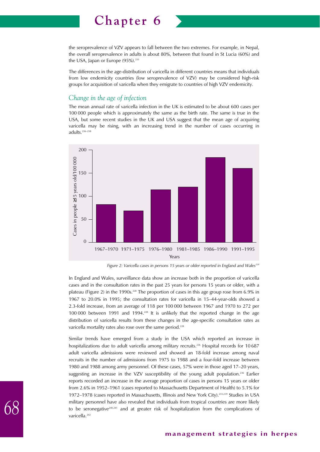the seroprevalence of VZV appears to fall between the two extremes. For example, in Nepal, the overall seroprevalence in adults is about 80%, between that found in St Lucia (60%) and the USA, Japan or Europe (95%).<sup>235</sup>

The differences in the age-distribution of varicella in different countries means that individuals from low endemicity countries (low seroprevalence of VZV) may be considered high-risk groups for acquisition of varicella when they emigrate to countries of high VZV endemicity.

### *Change in the age of infection*

The mean annual rate of varicella infection in the UK is estimated to be about 600 cases per 100 000 people which is approximately the same as the birth rate. The same is true in the USA, but some recent studies in the UK and USA suggest that the mean age of acquiring varicella may be rising, with an increasing trend in the number of cases occurring in adults.<sup>236-238</sup>



Figure 2: Varicella cases in persons 15 years or older reported in England and Wales<sup>228</sup>

In England and Wales, surveillance data show an increase both in the proportion of varicella cases and in the consultation rates in the past 25 years for persons 15 years or older, with a plateau (Figure 2) in the 1990s.<sup>228</sup> The proportion of cases in this age group rose from 6.9% in 1967 to 20.0% in 1995; the consultation rates for varicella in 15–44-year-olds showed a 2.3-fold increase, from an average of 118 per 100 000 between 1967 and 1970 to 272 per 100 000 between 1991 and 1994.228 It is unlikely that the reported change in the age distribution of varicella results from these changes in the age-specific consultation rates as varicella mortality rates also rose over the same period.<sup>228</sup>

Similar trends have emerged from a study in the USA which reported an increase in hospitalizations due to adult varicella among military recruits.<sup>236</sup> Hospital records for 10687 adult varicella admissions were reviewed and showed an 18-fold increase among naval recruits in the number of admissions from 1975 to 1988 and a four-fold increase between 1980 and 1988 among army personnel. Of these cases, 57% were in those aged 17–20 years, suggesting an increase in the VZV susceptibility of the young adult population.<sup>236</sup> Earlier reports recorded an increase in the average proportion of cases in persons 15 years or older from 2.6% in 1952–1961 (cases reported to Massachusetts Department of Health) to 5.1% for 1972–1978 (cases reported in Massachusetts, Illinois and New York City).233,239 Studies in USA military personnel have also revealed that individuals from tropical countries are more likely to be seronegative<sup>240,241</sup> and at greater risk of hospitalization from the complications of varicella.<sup>242</sup>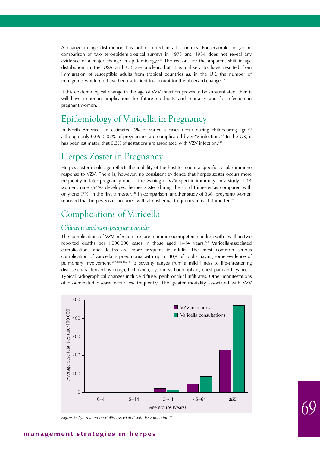A change in age distribution has not occurred in all countries. For example, in Japan, comparison of two seroepidemiological surveys in 1973 and 1984 does not reveal any evidence of a major change in epidemiology.<sup>243</sup> The reasons for the apparent shift in age distribution in the USA and UK are unclear, but it is unlikely to have resulted from immigration of susceptible adults from tropical countries as, in the UK, the number of immigrants would not have been sufficient to account for the observed changes.<sup>228</sup>

If this epidemiological change in the age of VZV infection proves to be substantiated, then it will have important implications for future morbidity and mortality and for infection in pregnant women.

# Epidemiology of Varicella in Pregnancy

In North America, an estimated 6% of varicella cases occur during childbearing age, $244$ although only 0.05–0.07% of pregnancies are complicated by VZV infection.245 In the UK, it has been estimated that 0.3% of gestations are associated with VZV infection.<sup>238</sup>

## Herpes Zoster in Pregnancy

Herpes zoster in old age reflects the inability of the host to mount a specific cellular immune response to VZV. There is, however, no consistent evidence that herpes zoster occurs more frequently in later pregnancy due to the waning of VZV-specific immunity. In a study of 14 women, nine (64%) developed herpes zoster during the third trimester as compared with only one  $(7%)$  in the first trimester.<sup>246</sup> In comparison, another study of 366 (pregnant) women reported that herpes zoster occurred with almost equal frequency in each trimester.<sup>247</sup>

# Complications of Varicella

### *Children and non-pregnant adults*

The complications of VZV infection are rare in immunocompetent children with less than two reported deaths per 1000 000 cases in those aged 1-14 years.<sup>248</sup> Varicella-associated complications and deaths are more frequent in adults. The most common serious complication of varicella is pneumonia with up to 30% of adults having some evidence of pulmonary involvement.237,238,245,249 Its severity ranges from a mild illness to life-threatening disease characterized by cough, tachnypea, dyspnoea, haemoptysis, chest pain and cyanosis. Typical radiographical changes include diffuse, peribronchial infiltrates. Other manifestations of disseminated disease occur less frequently. The greater mortality associated with VZV



Figure 3: Age-related mortality associated with VZV infection<sup>228</sup>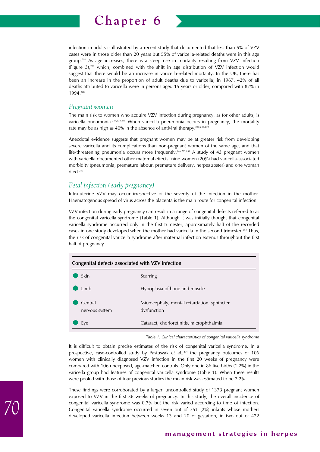

infection in adults is illustrated by a recent study that documented that less than 5% of VZV cases were in those older than 20 years but 55% of varicella-related deaths were in this age group.250 As age increases, there is a steep rise in mortality resulting from VZV infection (Figure 3),228 which, combined with the shift in age distribution of VZV infection would suggest that there would be an increase in varicella-related mortality. In the UK, there has been an increase in the proportion of adult deaths due to varicella; in 1967, 42% of all deaths attributed to varicella were in persons aged 15 years or older, compared with 87% in 1994.228

### *Pregnant women*

The main risk to women who acquire VZV infection during pregnancy, as for other adults, is varicella pneumonia.<sup>237,238,249</sup> When varicella pneumonia occurs in pregnancy, the mortality rate may be as high as 40% in the absence of antiviral therapy.<sup>237,238,249</sup>

Anecdotal evidence suggests that pregnant women may be at greater risk from developing severe varicella and its complications than non-pregnant women of the same age, and that life-threatening pneumonia occurs more frequently.<sup>246,251,252</sup> A study of 43 pregnant women with varicella documented other maternal effects; nine women (20%) had varicella-associated morbidity (pneumonia, premature labour, premature delivery, herpes zoster) and one woman died.246

### *Fetal infection (early pregnancy)*

Intra-uterine VZV may occur irrespective of the severity of the infection in the mother. Haematogenous spread of virus across the placenta is the main route for congenital infection.

VZV infection during early pregnancy can result in a range of congenital defects referred to as the congenital varicella syndrome (Table 1). Although it was initially thought that congenital varicella syndrome occurred only in the first trimester, approximately half of the recorded cases in one study developed when the mother had varicella in the second trimester.<sup>253</sup> Thus, the risk of congenital varicella syndrome after maternal infection extends throughout the first half of pregnancy.

| Congenital defects associated with VZV infection |                                                            |  |
|--------------------------------------------------|------------------------------------------------------------|--|
| Skin                                             | Scarring                                                   |  |
| Limb                                             | Hypoplasia of bone and muscle                              |  |
| Central<br>nervous system                        | Microcephaly, mental retardation, sphincter<br>dysfunction |  |
| Eye                                              | Cataract, chorioretinitis, microphthalmia                  |  |

*Table 1: Clinical characteristics of congenital varicella syndrome*

It is difficult to obtain precise estimates of the risk of congenital varicella syndrome. In a prospective, case-controlled study by Pastuszak et al.,<sup>254</sup> the pregnancy outcomes of 106 women with clinically diagnosed VZV infection in the first 20 weeks of pregnancy were compared with 106 unexposed, age-matched controls. Only one in 86 live births (1.2%) in the varicella group had features of congenital varicella syndrome (Table 1). When these results were pooled with those of four previous studies the mean risk was estimated to be 2.2%.

These findings were corroborated by a larger, uncontrolled study of 1373 pregnant women exposed to VZV in the first 36 weeks of pregnancy. In this study, the overall incidence of congenital varicella syndrome was 0.7% but the risk varied according to time of infection. Congenital varicella syndrome occurred in seven out of 351 (2%) infants whose mothers developed varicella infection between weeks 13 and 20 of gestation, in two out of 472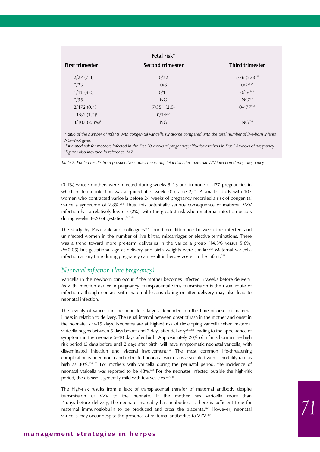| Fetal risk*                |                         |                        |  |  |  |  |
|----------------------------|-------------------------|------------------------|--|--|--|--|
| <b>First trimester</b>     | <b>Second trimester</b> | <b>Third trimester</b> |  |  |  |  |
| 2/27(7.4)                  | 0/32                    | $2/76$ $(2.6)^{255}$   |  |  |  |  |
| 0/23                       | 0/8                     | $0/2^{2565}$           |  |  |  |  |
| 1/11(9.0)                  | 0/11                    | $0/16^{246}$           |  |  |  |  |
| 0/35                       | NG                      | NG <sup>257</sup>      |  |  |  |  |
| 2/472(0.4)                 | 7/351(2.0)              | $0/477^{247}$          |  |  |  |  |
| $-1/86$ (1.2) <sup>+</sup> | $0/14^{254}$            |                        |  |  |  |  |
| $3/107$ $(2.8\%)^*$        | NG                      | NG <sup>258</sup>      |  |  |  |  |

*\*Ratio of the number of infants with congenital varicella syndrome compared with the total number of live-born infants NG=Not given*

*† Estimated risk for mothers infected in the first 20 weeks of pregnancy; ‡ Risk for mothers in first 24 weeks of pregnancy § Figures also included in reference 247*

*Table 2: Pooled results from prospective studies measuring fetal risk after maternal VZV infection during pregnancy*

(0.4%) whose mothers were infected during weeks 8–13 and in none of 477 pregnancies in which maternal infection was acquired after week 20 (Table 2).<sup>247</sup> A smaller study with 107 women who contracted varicella before 24 weeks of pregnancy recorded a risk of congenital varicella syndrome of 2.8%.<sup>258</sup> Thus, this potentially serious consequence of maternal VZV infection has a relatively low risk (2%), with the greatest risk when maternal infection occurs during weeks  $8-20$  of gestation.<sup>247,254</sup>

The study by Pastuszak and colleagues $254$  found no difference between the infected and uninfected women in the number of live births, miscarriages or elective terminations. There was a trend toward more pre-term deliveries in the varicella group (14.3% versus 5.6%;  $P=0.05$ ) but gestational age at delivery and birth weights were similar.<sup>254</sup> Maternal varicella infection at any time during pregnancy can result in herpes zoster in the infant.<sup>259</sup>

### *Neonatal infection (late pregnancy)*

Varicella in the newborn can occur if the mother becomes infected 3 weeks before delivery. As with infection earlier in pregnancy, transplacental virus transmission is the usual route of infection although contact with maternal lesions during or after delivery may also lead to neonatal infection.

The severity of varicella in the neonate is largely dependent on the time of onset of maternal illness in relation to delivery. The usual interval between onset of rash in the mother and onset in the neonate is 9–15 days. Neonates are at highest risk of developing varicella when maternal varicella begins between 5 days before and 2 days after delivery<sup>260,261</sup> leading to the appearance of symptoms in the neonate 5–10 days after birth. Approximately 20% of infants born in the high risk period (5 days before until 2 days after birth) will have symptomatic neonatal varicella, with disseminated infection and visceral involvement.262 The most common life-threatening complication is pneumonia and untreated neonatal varicella is associated with a mortality rate as high as 30%.<sup>256,263</sup> For mothers with varicella during the perinatal period, the incidence of neonatal varicella was reported to be 48%.<sup>260</sup> For the neonates infected outside the high-risk period, the disease is generally mild with few vesicles.<sup>237,238</sup>

The high-risk results from a lack of transplacental transfer of maternal antibody despite transmission of VZV to the neonate. If the mother has varicella more than 7 days before delivery, the neonate invariably has antibodies as there is sufficient time for maternal immunoglobulin to be produced and cross the placenta.260 However, neonatal varicella may occur despite the presence of maternal antibodies to VZV.<sup>264</sup>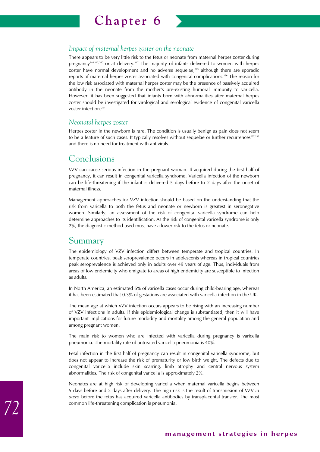

### *Impact of maternal herpes zoster on the neonate*

There appears to be very little risk to the fetus or neonate from maternal herpes zoster during pregnancy<sup>246,247,260</sup> or at delivery.<sup>247</sup> The majority of infants delivered to women with herpes zoster have normal development and no adverse sequelae,<sup>265</sup> although there are sporadic reports of maternal herpes zoster associated with congenital complications.266 The reason for the low risk associated with maternal herpes zoster may be the presence of passively acquired antibody in the neonate from the mother's pre-existing humoral immunity to varicella. However, it has been suggested that infants born with abnormalities after maternal herpes zoster should be investigated for virological and serological evidence of congenital varicella zoster infection.<sup>247</sup>

### *Neonatal herpes zoster*

Herpes zoster in the newborn is rare. The condition is usually benign as pain does not seem to be a feature of such cases. It typically resolves without sequelae or further recurrences<sup>237,238</sup> and there is no need for treatment with antivirals.

## Conclusions

VZV can cause serious infection in the pregnant woman. If acquired during the first half of pregnancy, it can result in congenital varicella syndrome. Varicella infection of the newborn can be life-threatening if the infant is delivered 5 days before to 2 days after the onset of maternal illness.

Management approaches for VZV infection should be based on the understanding that the risk from varicella to both the fetus and neonate or newborn is greatest in seronegative women. Similarly, an assessment of the risk of congenital varicella syndrome can help determine approaches to its identification. As the risk of congenital varicella syndrome is only 2%, the diagnostic method used must have a lower risk to the fetus or neonate.

## Summary

The epidemiology of VZV infection differs between temperate and tropical countries. In temperate countries, peak seroprevalence occurs in adolescents whereas in tropical countries peak seroprevalence is achieved only in adults over 49 years of age. Thus, individuals from areas of low endemicity who emigrate to areas of high endemicity are susceptible to infection as adults.

In North America, an estimated 6% of varicella cases occur during child-bearing age, whereas it has been estimated that 0.3% of gestations are associated with varicella infection in the UK.

The mean age at which VZV infection occurs appears to be rising with an increasing number of VZV infections in adults. If this epidemiological change is substantiated, then it will have important implications for future morbidity and mortality among the general population and among pregnant women.

The main risk to women who are infected with varicella during pregnancy is varicella pneumonia. The mortality rate of untreated varicella pneumonia is 40%.

Fetal infection in the first half of pregnancy can result in congenital varicella syndrome, but does not appear to increase the risk of prematurity or low birth weight. The defects due to congenital varicella include skin scarring, limb atrophy and central nervous system abnormalities. The risk of congenital varicella is approximately 2%.

Neonates are at high risk of developing varicella when maternal varicella begins between 5 days before and 2 days after delivery. The high risk is the result of transmission of VZV *in utero* before the fetus has acquired varicella antibodies by transplacental transfer. The most common life-threatening complication is pneumonia.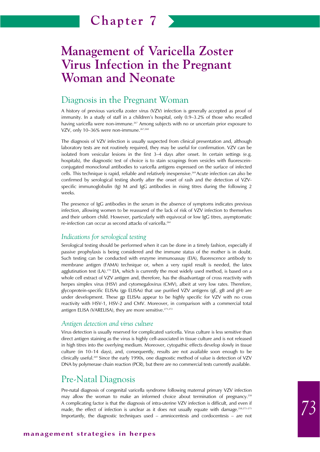# **Management of Varicella Zoster Virus Infection in the Pregnant Woman and Neonate**

## Diagnosis in the Pregnant Woman

A history of previous varicella zoster virus (VZV) infection is generally accepted as proof of immunity. In a study of staff in a children's hospital, only 0.9–3.2% of those who recalled having varicella were non-immune.<sup>267</sup> Among subjects with no or uncertain prior exposure to VZV, only 10-36% were non-immune.<sup>267,268</sup>

The diagnosis of VZV infection is usually suspected from clinical presentation and, although laboratory tests are not routinely required, they may be useful for confirmation. VZV can be isolated from vesicular lesions in the first 3–4 days after onset. In certain settings (e.g. hospitals), the diagnostic test of choice is to stain scrapings from vesicles with fluoresceinconjugated monoclonal antibodies to varicella antigens expressed on the surface of infected cells. This technique is rapid, reliable and relatively inexpensive.<sup>269</sup> Acute infection can also be confirmed by serological testing shortly after the onset of rash and the detection of VZVspecific immunoglobulin (Ig) M and IgG antibodies in rising titres during the following 2 weeks.

The presence of IgG antibodies in the serum in the absence of symptoms indicates previous infection, allowing women to be reassured of the lack of risk of VZV infection to themselves and their unborn child. However, particularly with equivocal or low IgG titres, asymptomatic re-infection can occur as second attacks of varicella.<sup>264</sup>

### *Indications for serological testing*

Serological testing should be performed when it can be done in a timely fashion, especially if passive prophylaxis is being considered and the immune status of the mother is in doubt. Such testing can be conducted with enzyme immunoassay (EIA), fluorescence antibody to membrane antigen (FAMA) technique or, when a very rapid result is needed, the latex agglutination test  $(L)$ <sup>270</sup> EIA, which is currently the most widely used method, is based on a whole cell extract of VZV antigen and, therefore, has the disadvantage of cross reactivity with herpes simplex virus (HSV) and cytomegalovirus (CMV), albeit at very low rates. Therefore, glycoprotein-specific ELISAs (gp ELISAs) that use purified VZV antigens (gE, gB and gH) are under development. These gp ELISAs appear to be highly specific for VZV with no cross reactivity with HSV-1, HSV-2 and CMV. Moreover, in comparison with a commercial total antigen ELISA (VARELISA), they are more sensitive.<sup>271,272</sup>

### *Antigen detection and virus culture*

Virus detection is usually reserved for complicated varicella. Virus culture is less sensitive than direct antigen staining as the virus is highly cell-associated in tissue culture and is not released in high titres into the overlying medium. Moreover, cytopathic effects develop slowly in tissue culture (in 10–14 days), and, consequently, results are not available soon enough to be clinically useful.<sup>269</sup> Since the early 1990s, one diagnostic method of value is detection of VZV DNA by polymerase chain reaction (PCR), but there are no commercial tests currently available.

## Pre-Natal Diagnosis

Pre-natal diagnosis of congenital varicella syndrome following maternal primary VZV infection may allow the woman to make an informed choice about termination of pregnancy.<sup>258</sup> A complicating factor is that the diagnosis of intra-uterine VZV infection is difficult, and even if made, the effect of infection is unclear as it does not usually equate with damage.<sup>258,273–275</sup> Importantly, the diagnostic techniques used – amniocentesis and cordocentesis – are not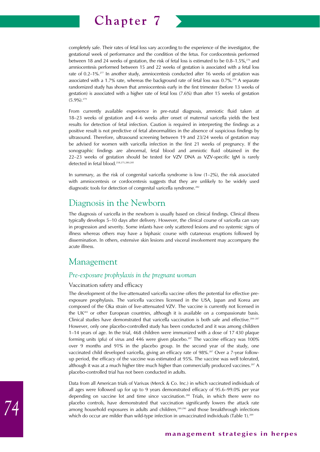

completely safe. Their rates of fetal loss vary according to the experience of the investigator, the gestational week of performance and the condition of the fetus. For cordocentesis performed between 18 and 24 weeks of gestation, the risk of fetal loss is estimated to be 0.8–1.5%,<sup>276</sup> and amniocentesis performed between 15 and 22 weeks of gestation is associated with a fetal loss rate of 0.2–1%.<sup>277</sup> In another study, amniocentesis conducted after 16 weeks of gestation was associated with a 1.7% rate, whereas the background rate of fetal loss was 0.7%.<sup>278</sup> A separate randomized study has shown that amniocentesis early in the first trimester (before 13 weeks of gestation) is associated with a higher rate of fetal loss (7.6%) than after 15 weeks of gestation  $(5.9\%)$ .<sup>279</sup>

From currently available experience in pre-natal diagnosis, amniotic fluid taken at 18–23 weeks of gestation and 4–6 weeks after onset of maternal varicella yields the best results for detection of fetal infection. Caution is required in interpreting the findings as a positive result is not predictive of fetal abnormalities in the absence of suspicious findings by ultrasound. Therefore, ultrasound screening between 19 and 23/24 weeks of gestation may be advised for women with varicella infection in the first 21 weeks of pregnancy. If the sonographic findings are abnormal, fetal blood and amniotic fluid obtained in the 22–23 weeks of gestation should be tested for VZV DNA as VZV-specific IgM is rarely detected in fetal blood.258,275,280,281

In summary, as the risk of congenital varicella syndrome is low  $(1-2\%)$ , the risk associated with amniocentesis or cordocentesis suggests that they are unlikely to be widely used diagnostic tools for detection of congenital varicella syndrome.<sup>282</sup>

## Diagnosis in the Newborn

The diagnosis of varicella in the newborn is usually based on clinical findings. Clinical illness typically develops 5–10 days after delivery. However, the clinical course of varicella can vary in progression and severity. Some infants have only scattered lesions and no systemic signs of illness whereas others may have a biphasic course with cutaneous eruptions followed by dissemination. In others, extensive skin lesions and visceral involvement may accompany the acute illness.

## Management

## *Pre-exposure prophylaxis in the pregnant woman*

### Vaccination safety and efficacy

The development of the live-attenuated varicella vaccine offers the potential for effective preexposure prophylaxis. The varicella vaccines licensed in the USA, Japan and Korea are composed of the Oka strain of live-attenuated VZV. The vaccine is currently not licensed in the UK283 or other European countries, although it is available on a compassionate basis. Clinical studies have demonstrated that varicella vaccination is both safe and effective.<sup>284–287</sup> However, only one placebo-controlled study has been conducted and it was among children 1–14 years of age. In the trial, 468 children were immunized with a dose of 17 430 plaque forming units (pfu) of virus and  $446$  were given placebo.<sup>287</sup> The vaccine efficacy was  $100\%$ over 9 months and 91% in the placebo group. In the second year of the study, one vaccinated child developed varicella, giving an efficacy rate of 98%.287 Over a 7-year followup period, the efficacy of the vaccine was estimated at 95%. The vaccine was well tolerated, although it was at a much higher titre much higher than commercially produced vaccines.<sup>287</sup> A placebo-controlled trial has not been conducted in adults.

Data from all American trials of Varivax (Merck & Co. Inc.) in which vaccinated individuals of all ages were followed up for up to 9 years demonstrated efficacy of 95.6–99.0% per year depending on vaccine lot and time since vaccination.288 Trials, in which there were no placebo controls, have demonstrated that vaccination significantly lowers the attack rate among household exposures in adults and children,<sup>289,290</sup> and those breakthrough infections which do occur are milder than wild-type infection in unvaccinated individuals (Table 1).<sup>289</sup>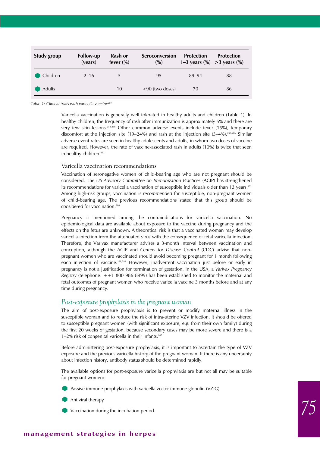| <b>Study group</b> | <b>Follow-up</b><br>(years) | Rash or<br>fever $(\%)$ | Seroconversion<br>$\frac{0}{0}$ | <b>Protection</b><br>1–3 years $\frac{9}{6}$ > 3 years $\frac{9}{6}$ | <b>Protection</b> |
|--------------------|-----------------------------|-------------------------|---------------------------------|----------------------------------------------------------------------|-------------------|
| Children           | $2 - 16$                    | 5                       | 95                              | 89-94                                                                | 88                |
| <b>Adults</b>      |                             | 10                      | $>90$ (two doses)               | 70                                                                   | 86                |

*Table 1: Clinical trials with varicella vaccine289*

Varicella vaccination is generally well tolerated in healthy adults and children (Table 1). In healthy children, the frequency of rash after immunization is approximately 5% and there are very few skin lesions.253,286 Other common adverse events include fever (15%), temporary discomfort at the injection site (19–24%) and rash at the injection site  $(3-4\%)$ .<sup>253,286</sup> Similar adverse event rates are seen in healthy adolescents and adults, in whom two doses of vaccine are required. However, the rate of vaccine-associated rash in adults (10%) is twice that seen in healthy children.<sup>253</sup>

#### Varicella vaccination recommendations

Vaccination of seronegative women of child-bearing age who are not pregnant should be considered. The *US Advisory Committee on Immunization Practices* (ACIP) has strengthened its recommendations for varicella vaccination of susceptible individuals older than 13 years.<sup>291</sup> Among high-risk groups, vaccination is *recommended* for susceptible, non-pregnant women of child-bearing age. The previous recommendations stated that this group should be *considered* for vaccination.288

Pregnancy is mentioned among the contraindications for varicella vaccination. No epidemiological data are available about exposure to the vaccine during pregnancy and the effects on the fetus are unknown. A theoretical risk is that a vaccinated woman may develop varicella infection from the attenuated virus with the consequence of fetal varicella infection. Therefore, the Varivax manufacturer advises a 3-month interval between vaccination and conception, although the ACIP and *Centers for Disease Control* (CDC) advise that nonpregnant women who are vaccinated should avoid becoming pregnant for 1 month following each injection of vaccine.<sup>288,292</sup> However, inadvertent vaccination just before or early in pregnancy is not a justification for termination of gestation. In the USA, a *Varivax Pregnancy Registry* (telephone: ++1 800 986 8999) has been established to monitor the maternal and fetal outcomes of pregnant women who receive varicella vaccine 3 months before and at any time during pregnancy.

#### *Post-exposure prophylaxis in the pregnant woman*

The aim of post-exposure prophylaxis is to prevent or modify maternal illness in the susceptible woman and to reduce the risk of intra-uterine VZV infection. It should be offered to susceptible pregnant women (with significant exposure, e.g. from their own family) during the first 20 weeks of gestation, because secondary cases may be more severe and there is a 1–2% risk of congenital varicella in their infants. $247$ 

Before administering post-exposure prophylaxis, it is important to ascertain the type of VZV exposure and the previous varicella history of the pregnant woman. If there is any uncertainty about infection history, antibody status should be determined rapidly.

The available options for post-exposure varicella prophylaxis are but not all may be suitable for pregnant women:

Passive immune prophylaxis with varicella zoster immune globulin (VZIG)

- Antiviral therapy
- Vaccination during the incubation period.

#### **management strategies in herpes**

*75*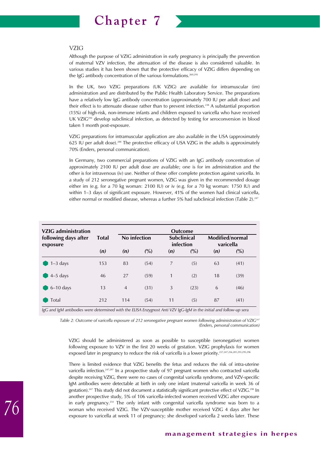

#### VZIG

Although the purpose of VZIG administration in early pregnancy is principally the prevention of maternal VZV infection, the attenuation of the disease is also considered valuable. In various studies it has been shown that the protective efficacy of VZIG differs depending on the IgG antibody concentration of the various formulations.<sup>260,293</sup>

In the UK, two VZIG preparations (UK VZIG) are available for intramuscular (im) administration and are distributed by the Public Health Laboratory Service. The preparations have a relatively low IgG antibody concentration (approximately 700 IU per adult dose) and their effect is to attenuate disease rather than to prevent infection.<sup>238</sup> A substantial proportion (15%) of high-risk, non-immune infants and children exposed to varicella who have received UK VZIG<sup>294</sup> develop subclinical infection, as detected by testing for seroconversion in blood taken 1 month post-exposure.

VZIG preparations for intramuscular application are also available in the USA (approximately 625 IU per adult dose).288 The protective efficacy of USA VZIG in the adults is approximately 70% (Enders, personal communication).

In Germany, two commercial preparations of VZIG with an IgG antibody concentration of approximately 2100 IU per adult dose are available; one is for im administration and the other is for intravenous (iv) use. Neither of these offer complete protection against varicella. In a study of 212 seronegative pregnant women, VZIG was given in the recommended dosage either im (e.g. for a 70 kg woman: 2100 IU) or iv (e.g. for a 70 kg woman: 1750 IU) and within 1–3 days of significant exposure. However, 41% of the women had clinical varicella, either normal or modified disease, whereas a further 5% had subclinical infection (Table 2).<sup>247</sup>

| <b>VZIG</b> administration       | <b>Outcome</b> |                |      |                                 |      |                              |      |  |
|----------------------------------|----------------|----------------|------|---------------------------------|------|------------------------------|------|--|
| following days after<br>exposure | <b>Total</b>   | No infection   |      | <b>Subclinical</b><br>infection |      | Modified/normal<br>varicella |      |  |
|                                  | (n)            | (n)            | (%)  | (n)                             | (%)  | (n)                          | (%)  |  |
| $1-3$ days                       | 153            | 83             | (54) | 7                               | (5)  | 63                           | (41) |  |
| $4-5$ days                       | 46             | 27             | (59) | 1                               | (2)  | 18                           | (39) |  |
| $6-10$ days                      | 13             | $\overline{4}$ | (31) | 3                               | (23) | 6                            | (46) |  |
| Total                            | 212            | 114            | (54) | 11                              | (5)  | 87                           | (41) |  |

*IgG and IgM antibodies were determined with the ELISA Enzygnost Anti VZV IgG-IgM in the initial and follow-up sera*

*Table 2: Outcome of varicella exposure of 212 seronegative pregnant women following administration of VZIG247 (Enders, personal communication)*

VZIG should be administered as soon as possible to susceptible (seronegative) women following exposure to VZV in the first 20 weeks of gestation. VZIG prophylaxis for women exposed later in pregnancy to reduce the risk of varicella is a lower priority.237,247,256,281,293,295,296

There is limited evidence that VZIG benefits the fetus and reduces the risk of intra-uterine varicella infection.<sup>247,297</sup> In a prospective study of 97 pregnant women who contracted varicella despite receiving VZIG, there were no cases of congenital varicella syndrome, and VZV-specific IgM antibodies were detectable at birth in only one infant (maternal varicella in week 36 of gestation).<sup>247</sup> This study did not document a statistically significant protective effect of VZIG.<sup>298</sup> In another prospective study, 5% of 106 varicella-infected women received VZIG after exposure in early pregnancy.<sup>254</sup> The only infant with congenital varicella syndrome was born to a woman who received VZIG. The VZV-susceptible mother received VZIG 4 days after her exposure to varicella at week 11 of pregnancy; she developed varicella 2 weeks later. These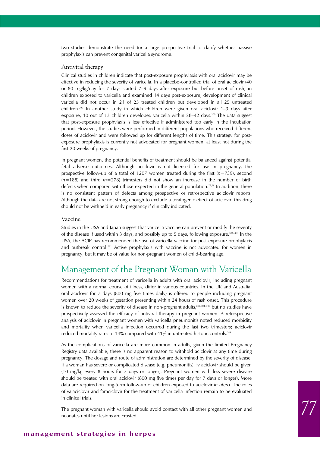two studies demonstrate the need for a large prospective trial to clarify whether passive prophylaxis can prevent congenital varicella syndrome.

#### Antiviral therapy

Clinical studies in children indicate that post-exposure prophylaxis with oral aciclovir may be effective in reducing the severity of varicella. In a placebo-controlled trial of oral aciclovir (40 or 80 mg/kg/day for 7 days started 7–9 days after exposure but before onset of rash) in children exposed to varicella and examined 14 days post-exposure, development of clinical varicella did not occur in 21 of 25 treated children but developed in all 25 untreated children.<sup>299</sup> In another study in which children were given oral aciclovir 1–3 days after exposure, 10 out of 13 children developed varicella within  $28-42$  days.<sup>300</sup> The data suggest that post-exposure prophylaxis is less effective if administered too early in the incubation period. However, the studies were performed in different populations who received different doses of aciclovir and were followed up for different lengths of time. This strategy for postexposure prophylaxis is currently not advocated for pregnant women, at least not during the first 20 weeks of pregnancy.

In pregnant women, the potential benefits of treatment should be balanced against potential fetal adverse outcomes. Although aciclovir is not licensed for use in pregnancy, the prospective follow-up of a total of 1207 women treated during the first (*n*=739), second (*n*=188) and third (*n*=278) trimesters did not show an increase in the number of birth defects when compared with those expected in the general population.<sup>78,79</sup> In addition, there is no consistent pattern of defects among prospective or retrospective aciclovir reports. Although the data are not strong enough to exclude a teratogenic effect of aciclovir, this drug should not be withheld in early pregnancy if clinically indicated.

#### Vaccine

Studies in the USA and Japan suggest that varicella vaccine can prevent or modify the severity of the disease if used within 3 days, and possibly up to 5 days, following exposure.<sup>301-303</sup> In the USA, the ACIP has recommended the use of varicella vaccine for post-exposure prophylaxis and outbreak control.291 Active prophylaxis with vaccine is not advocated for women in pregnancy, but it may be of value for non-pregnant women of child-bearing age.

## Management of the Pregnant Woman with Varicella

Recommendations for treatment of varicella in adults with oral aciclovir, including pregnant women with a normal course of illness, differ in various countries. In the UK and Australia, oral aciclovir for 7 days (800 mg five times daily) is offered to people including pregnant women over 20 weeks of gestation presenting within 24 hours of rash onset. This procedure is known to reduce the severity of disease in non-pregnant adults,<sup>288,304-306</sup> but no studies have prospectively assessed the efficacy of antiviral therapy in pregnant women. A retrospective analysis of aciclovir in pregnant women with varicella pneumonitis noted reduced morbidity and mortality when varicella infection occurred during the last two trimesters; aciclovir reduced mortality rates to 14% compared with 41% in untreated historic controls.<sup>249</sup>

As the complications of varicella are more common in adults, given the limited Pregnancy Registry data available, there is no apparent reason to withhold aciclovir at any time during pregnancy. The dosage and route of administration are determined by the severity of disease. If a woman has severe or complicated disease (e.g. pneumonitis), iv aciclovir should be given (10 mg/kg every 8 hours for 7 days or longer). Pregnant women with less severe disease should be treated with oral aciclovir (800 mg five times per day for 7 days or longer). More data are required on long-term follow-up of children exposed to aciclovir *in utero*. The roles of valaciclovir and famciclovir for the treatment of varicella infection remain to be evaluated in clinical trials.

The pregnant woman with varicella should avoid contact with all other pregnant women and neonates until her lesions are crusted.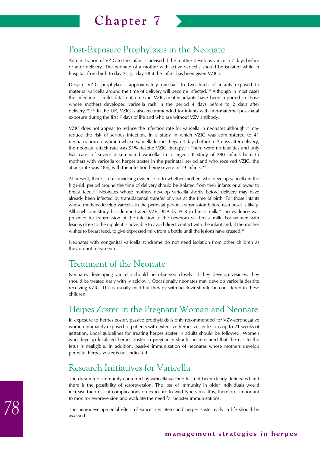## Post-Exposure Prophylaxis in the Neonate

Administration of VZIG to the infant is advised if the mother develops varicella 7 days before or after delivery. The neonate of a mother with active varicella should be isolated while in hospital, from birth to day 21 (or day 28 if the infant has been given VZIG).

Despite VZIG prophylaxis, approximately one-half to two-thirds of infants exposed to maternal varicella around the time of delivery will become infected.<sup>237</sup> Although in most cases the infection is mild, fatal outcomes in VZIG-treated infants have been reported in those whose mothers developed varicella rash in the period 4 days before to 2 days after delivery.307–309 In the UK, VZIG is also recommended for infants with non-maternal post-natal exposure during the first 7 days of life and who are without VZV antibody.

VZIG does not appear to reduce the infection rate for varicella in neonates although it may reduce the risk of serious infection. In a study in which VZIG was administered to 41 neonates born to women whose varicella lesions began 4 days before to 2 days after delivery, the neonatal attack rate was 51% despite VZIG therapy.<sup>310</sup> There were no fatalities and only two cases of severe disseminated varicella. In a larger UK study of 280 infants born to mothers with varicella or herpes zoster in the perinatal period and who received VZIG, the attack rate was 48%, with the infection being severe in 19 infants.<sup>260</sup>

At present, there is no convincing evidence as to whether mothers who develop varicella in the high-risk period around the time of delivery should be isolated from their infants or allowed to breast feed.311 Neonates whose mothers develop varicella shortly before delivery may have already been infected by transplacental transfer of virus at the time of birth. For those infants whose mothers develop varicella in the perinatal period, transmission before rash onset is likely. Although one study has demonstrated VZV DNA by PCR in breast milk,<sup>312</sup> no evidence was provided for transmission of the infection to the newborn via breast milk. For women with lesions close to the nipple it is advisable to avoid direct contact with the infant and, if the mother wishes to breast feed, to give expressed milk from a bottle until the lesions have crusted.<sup>313</sup>

Neonates with congenital varicella syndrome do not need isolation from other children as they do not release virus.

## Treatment of the Neonate

Neonates developing varicella should be observed closely. If they develop vesicles, they should be treated early with iv aciclovir. Occasionally neonates may develop varicella despite receiving VZIG. This is usually mild but therapy with aciclovir should be considered in these children.

# Herpes Zoster in the Pregnant Woman and Neonate

In exposure to herpes zoster, passive prophylaxis is only recommended for VZV-seronegative women intimately exposed to patients with extensive herpes zoster lesions up to 21 weeks of gestation. Local guidelines for treating herpes zoster in adults should be followed. Women who develop localized herpes zoster in pregnancy should be reassured that the risk to the fetus is negligible. In addition, passive immunization of neonates whose mothers develop perinatal herpes zoster is not indicated.

## Research Initiatives for Varicella

The duration of immunity conferred by varicella vaccine has not been clearly delineated and there is the possibility of seroreversion. The loss of immunity in older individuals would increase their risk of complications on exposure to wild type virus. It is, therefore, important to monitor seroreversion and evaluate the need for booster immunizations.

The neurodevelopmental effect of varicella *in utero* and herpes zoster early in life should be assessed.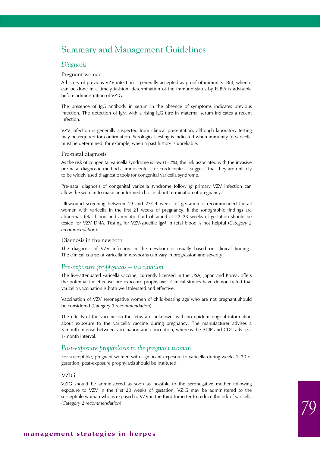## Summary and Management Guidelines

#### *Diagnosis*

#### Pregnant woman

A history of previous VZV infection is generally accepted as proof of immunity. But, when it can be done in a timely fashion, determination of the immune status by ELISA is advisable before administration of VZIG.

The presence of IgG antibody in serum in the absence of symptoms indicates previous infection. The detection of IgM with a rising IgG titre in maternal serum indicates a recent infection.

VZV infection is generally suspected from clinical presentation, although laboratory testing may be required for confirmation. Serological testing is indicated when immunity to varicella must be determined, for example, when a past history is unreliable.

#### Pre-natal diagnosis

As the risk of congenital varicella syndrome is low  $(1-2\%)$ , the risk associated with the invasive pre-natal diagnostic methods, amniocentesis or cordocentesis, suggests that they are unlikely to be widely used diagnostic tools for congenital varicella syndrome.

Pre-natal diagnosis of congenital varicella syndrome following primary VZV infection can allow the woman to make an informed choice about termination of pregnancy.

Ultrasound screening between 19 and 23/24 weeks of gestation is recommended for all women with varicella in the first 21 weeks of pregnancy. If the sonographic findings are abnormal, fetal blood and amniotic fluid obtained at 22–23 weeks of gestation should be tested for VZV DNA. Testing for VZV-specific IgM in fetal blood is not helpful (*Category 2 recommendation*).

#### Diagnosis in the newborn

The diagnosis of VZV infection in the newborn is usually based on clinical findings. The clinical course of varicella in newborns can vary in progression and severity.

### *Pre-exposure prophylaxis – vaccination*

The live-attenuated varicella vaccine, currently licensed in the USA, Japan and Korea, offers the potential for effective pre-exposure prophylaxis. Clinical studies have demonstrated that varicella vaccination is both well tolerated and effective.

Vaccination of VZV seronegative women of child-bearing age who are not pregnant should be considered (*Category 3 recommendation*).

The effects of the vaccine on the fetus are unknown, with no epidemiological information about exposure to the varicella vaccine during pregnancy. The manufacturer advises a 3-month interval between vaccination and conception, whereas the ACIP and CDC advise a 1-month interval.

### *Post-exposure prophylaxis in the pregnant woman*

For susceptible, pregnant women with significant exposure to varicella during weeks 1–20 of gestation, post-exposure prophylaxis should be instituted.

#### VZIG

VZIG should be administered as soon as possible to the seronegative mother following exposure to VZV in the first 20 weeks of gestation, VZIG may be administered to the susceptible woman who is exposed to VZV in the third trimester to reduce the risk of varicella (*Category 2 recommendation*).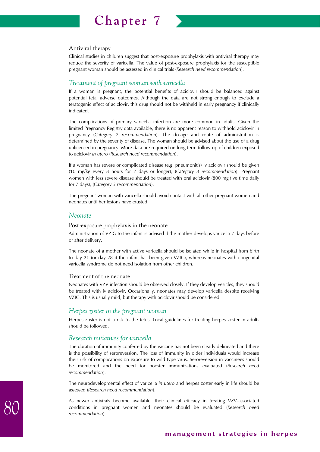

#### Antiviral therapy

Clinical studies in children suggest that post-exposure prophylaxis with antiviral therapy may reduce the severity of varicella. The value of post-exposure prophylaxis for the susceptible pregnant woman should be assessed in clinical trials (*Research need recommendation*).

### *Treatment of pregnant woman with varicella*

If a woman is pregnant, the potential benefits of aciclovir should be balanced against potential fetal adverse outcomes. Although the data are not strong enough to exclude a teratogenic effect of aciclovir, this drug should not be withheld in early pregnancy if clinically indicated.

The complications of primary varicella infection are more common in adults. Given the limited Pregnancy Registry data available, there is no apparent reason to withhold aciclovir in pregnancy (*Category 2 recommendation*). The dosage and route of administration is determined by the severity of disease. The woman should be advised about the use of a drug unlicensed in pregnancy. More data are required on long-term follow-up of children exposed to aciclovir *in utero* (*Research need recommendation*).

If a woman has severe or complicated disease (e.g. pneumonitis) iv aciclovir should be given (10 mg/kg every 8 hours for 7 days or longer), (*Category 3 recommendation*). Pregnant women with less severe disease should be treated with oral aciclovir (800 mg five time daily for 7 days), (*Category 3 recommendation*).

The pregnant woman with varicella should avoid contact with all other pregnant women and neonates until her lesions have crusted.

#### *Neonate*

#### Post-exposure prophylaxis in the neonate

Administration of VZIG to the infant is advised if the mother develops varicella 7 days before or after delivery.

The neonate of a mother with active varicella should be isolated while in hospital from birth to day 21 (or day 28 if the infant has been given VZIG), whereas neonates with congenital varicella syndrome do not need isolation from other children.

#### Treatment of the neonate

Neonates with VZV infection should be observed closely. If they develop vesicles, they should be treated with iv aciclovir. Occasionally, neonates may develop varicella despite receiving VZIG. This is usually mild, but therapy with aciclovir should be considered.

#### *Herpes zoster in the pregnant woman*

Herpes zoster is not a risk to the fetus. Local guidelines for treating herpes zoster in adults should be followed.

#### *Research initiatives for varicella*

The duration of immunity conferred by the vaccine has not been clearly delineated and there is the possibility of seroreversion. The loss of immunity in older individuals would increase their risk of complications on exposure to wild type virus. Seroreversion in vaccinees should be monitored and the need for booster immunizations evaluated (*Research need recommendation*).

The neurodevelopmental effect of varicella *in utero* and herpes zoster early in life should be assessed (*Research need recommendation*).

As newer antivirals become available, their clinical efficacy in treating VZV-associated conditions in pregnant women and neonates should be evaluated (*Research need recommendation*).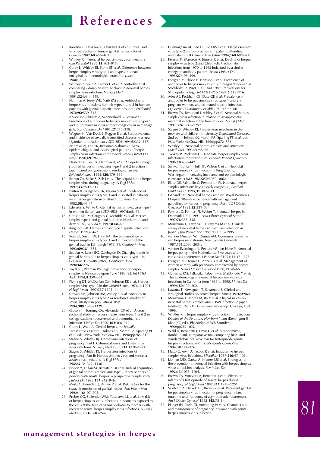- 1. Kawana T, Kawagoe K, Takizawa K *et al*. Clinical and virologic studies on female genital herpes. *Obstet Gynecol* 1982;**60**:456–461.
- 2. Whitley RJ. Neonatal herpes simplex virus infections. *Clin Perinatol* 1988;**15**:903–916.
- 3. Corey L, Whitley RJ, Stone EF *et al*. Difference between herpes simplex virus type 1 and type 2 neonatal encephalitis in neurological outcome. *Lancet* 1988;**1**:1–4.
- 4. Whitley R, Arvin A, Prober C *et al*. A controlled trial comparing vidarabine with aciclovir in neonatal herpes simplex virus infection. *N Engl J Med* 1991;**324**:444–449.
- 5. Nahmias A, Josey WE, Naib ZM *et al*. Antibodies to herpesvirus infections hominis types 1 and 2 in humans: patients with genital herpetic infections. *Am J Epidemiol* 1970;**92**:539–546.
- 6. Andersson-Ellstrom A, Svennerhold B, Forssman L. Prevalence of antibodies to herpes simplex virus types 1 and 2, Epstein-Barr virus and cytomegalovirus in teenage
- girls. *Scand J Infect Dis* 1995;**27**:315–318. 7. Wagner H, Van Dyck E, Roggen E *et al*. Seroprevalence and incidence of sexually transmitted diseases in a rural Ugandan population. *Int J STD AIDS* 1994;**5**:332–337.
- 8. Nahmias AJ, Lee FK, Beckman-Nahmias S. Seroepidemiological and -sociological patterns of herpe simplex virus infection in the world. *Scand J Infect Dis Suppl* 1990;**69**:19–36.
- 9. Hashido M, Lee FK, Nahmias AJ *et al*. An epidemiologic study of herpes simplex virus type 1 and 2 infection in Japan based on type-specific serological assays. *Epidemiol Infect* 1998;**120**:179–186.
- 10. Brown ZA, Selke S, Zeh J *et al*. The acquisition of herpes simplex virus during pregnancy. *N Engl J Med* 1997;**337**:509–515.
- 11. Barton IG, Kinghorn GR, Najem S *et al*. Incidence of herpes simplex virus types 1 and 2 isolated in patients with herpes gentalis in Sheffield. *Br J Vener Dis* 1982;**58**:44–47.
- 12. Edwards S, White C. Genital herpes simplex virus type 1 in women (letter). *Int J STD AIDS* 1997;**8**:68–69.
- 13. Christie SN, McCaughey C, McBride M *et al*. Herpes simplex type 1 and genital herpes in Northern Ireland (letter). *Int J STD AIDS* 1997;**8**:68–69.
- 14. Kinghorn GR. Herpes simplex type 1 genital infections. *Herpes* 1999;**6**:4–7.
- 15. Ross JD, Smith IW, Elton RA. The epidemiology of herpes simplex virus types 1 and 2 infection of the genital tract in Edinburgh 1978–91. *Genitourin Med* 1993;**69**:381–383.
- 16. Scoular A, Leask BG, Carrington D. Changing trends in genital herpes due to herpes simplex virus type 1 in Glasgow, 1985–88 (letter). *Genitourin Med* 1990;**66**:226.
- 17. Tayal SC, Pattman RS. High prevalence of herpes simplex in Newcastle upon Tyne 1983–92. *Int J STD AIDS* 1994;**5**:359–361.
- 18. Fleming DT, McQuillan GM, Johnson RE et al. Herpe simplex virus type 2 in the United States, 1976 to 1994. *N Engl J Med* 1997;**337**:1105–1111.
- 19. Cowan FM, Johnson AM, Ashley R *et al*. Antibody to herpes simplex virus type 2 as serological marker of sexual lifestyle in populations. *BMJ* 1994;**309**:1325–1329.
- 20. Gibson JJ, Hornung CA, Alexander GR *et al*. A crosssectional study of herpes simplex virus types 1 and 2 in college students: occurrence and determinants of infection. *J Infect Dis* 1990;**162**:306–312.
- 21. Corey L, Wald A. Genital herpes. In: *Sexually Transmitted Diseases* (Holmes KK, Mardh PA, Sparling PF
- *et al*, eds). New York. McGraw Hill, 1998;pp285–312. 22. Stagno S, Whitley RJ. Herpesvirus infections of pregnancy. Part I: Cytomegalovirus and Epstein-Bar virus infections. *N Engl J Med* 1985;**313**:1270–1274.
- 23. Stagno S, Whitley RJ. Herpesvirus infections of pregnancy. Part II: Herpes simplex virus and varicellazoster virus infections. *N Engl J Med* 1985;**313**:1327–1330.
- 24. Bryson Y, Dillon M, Bernstein DI *et al*. Risk of acquisition of genital herpes simplex virus type 2 in sex partners of persons with genital herpes: a prospective couple study. *J Infect Dis* 1993;**167**:942–946.
- 25. Mertz G, Benedetti J, Ashley R *et al*. Risk factors for the sexual transmission of genital herpes. *Ann Intern Med* 1992;**116**:197–202.
- 26. Prober CG, Sullender WM, Yasukawa LL *et al*. Low risk of herpes simplex virus infections in neonates exposed to the virus at the time of vaginal delivery to mothers with recurrent genital herpes simplex virus infections. *N Engl J Med* 1987;**316**:240–244.
- 27. Cunningham AL, Lee FK, Ho DWT *et al*. Herpes simplex virus type 2 antibody patterns in patients attending antenatal or STD clinics. *Med J Aust* 1994;**160**:697–700.
- 28. Persson K, Mansson A, Jönsson E *et al.* Decline of herpes simplex virus type 2 and Chlamydia trachomatis infections from 1970 to 1993 indciated by a similar change in antibody pattern. *Scand J Infect Dis* 1995;**27**:195–199.
- 29. Forsgren M, Skoog E, Jeansson S *et al*. Prevalence of antibodies to herpes simplex virus in pregnant women in Stockholm in 1969, 1983 and 1989: implications for STD epidemiology. *Int J STD AIDS* 1994;**5**:113–116. 30. Ades AE, Peckham CS, Date GE *et al*. Prevalence of
- antibodies to herpes simplex virus types 1 and 2 in pregnant women, and estimated rates of infection. *J Epidemiol Community Health* 1989;**43**:53–60.
- 31. Brown ZA, Benedetti J, Ashley R *et al*. Neonatal herpes simplex virus infection in relation to asymptomatic maternal infection at the time of labor. *N Engl J Med* 1991;**324**:1247–1252.
- Stagno S, Whitley RJ. Herpes virus infections in the neonate and children. In: *Sexually Transmitted Diseases*, 2nd edn (Holmes KK, Mardh PA, Sparling PF *et al*, eds). New York: McGraw Hill, 1990;pp872–873.
- Whitley RJ. Neonatal herpes simplex virus infections. *J Med Virol* 1993;**71**:58–66.
- 34. Tookey P, Peckham CS. Neonatal herpes simplex virus infection in the British Isles*. Paediatr Perinat Epidemiol* 1996;**10**:432–442.
- 35. Sullivan-Bolyai J, Hull HF, Wilson C *et al*. Neonatal herpes simplex virus infection in King County. Washington: increasing incidence and epidemiologic correlates. *JAMA* 1983;**250**:3059–3062.
- 36. Elder DE, Minutillo C, Pemberton PJ. Neonatal herpes simplex infection: keys to early diagnosis. *J Paediatr Child Health* 1995;**31**:307–311.
- Garland SM. Neonatal herpes simplex: Royal Women's Hospital 10-year experience with management guidelines for herpes in pregnancy. *Aust N Z J Obstet*
- *Gynaecol* 1992;**32**:331–334. 38. Fonnest G, Fonnest FI, Weber T. Neonatal herpes in Denmark 1997–1991. *Acta Obstet Gynecol Scand* 1997;**76**:355–358.
- 39. Morishima T, Kawana T, Hirayama M *et al*. Clinical survey of neonatal herpes simplex virus infection in Japan. *J Jpn Pediatr Soc* 1989;**93**:1990–1995.
- van der Meijden WI, Dumas AM. Consensus preventie van herpes neonatorum. *Ned Tijdschr Geneeskd* 1987;**131**:2030–2034.
- 41. van der Everdingen JJ, Peeters MF, ten Have P. Neonatal herpes policy in the Netherlands. Five years after a consensus conference. *J Perinat Med* 1993;**21**:371–375.
- 42. Forsgren M, Sterner G, Anzen B *et al*. Management of women at term with pregnancy complicated by herpes simplex. *Scand J Infect Dis Suppl* 1990;**71**:58–66.
- 43. Gutierrez KM, Falkovitz Halpern MS, Maldonado Y *et al*. The epidemiology of neonatal herpes simplex virus infections in California from 1985 to 1995. *J Infect Dis* 1999;**180**:199–202.
- 44. Kawana T, Kawaguchi T, Sakamoto S. Clinical and
- virological studies on genital herpes. *Lancet* 1976;**2**:964. 45. Morishima T, Morita M, Ito Y *et al*. Clinical survey on neonatal herpes simplex virus (HSV) infection in Japan<br>(abstract). *The 21ª Herpesvirus Workshop*. Chicago, USA,
- 1996. 46. Whitley RJ. Herpes simplex virus infection. In: *Infectious Disease of the Fetus and Newborn Infant* (Remington JS, Klein JO, eds). Philadelphia: WB Saunders, 1990;pp282–305.
- 47. Wald A, Benedetti J, Davis G *et al*. A randomized, double-blind, comparative trial comparing high- and standard-dose oral acyclovir for first-episode genital herpes infections. Antimicrob Agents Chemother 1994;**38**:174–176.
- 48. Hutto C, Arvin A, Jacobs R *et al*. Intrauterine herpes simplex virus infections. *J Paediatr* 1987;**110**:97–101.
- 49. Libman MD, Dascal A, Kramer MS *et al*. Strategies for the prevention of neonatal infection with herpes simplex virus: a decision analysis. *Rev Infect Dis* 1992;**13**:1093–1104.
- 50. Brown ZA, Vontver LA, Benedetti J *et al*. Effects on infants of a first episode of genital herpes during pregnancy. *N Engl J Med* 1987;**317**:1246–1251.
- 51. Vontver LA, Hickok DE, Brown Z *et al*. Recurrent genital herpes simplex virus infection in pregnancy: infant outcome and frequency of asymptomatic recurrences. *Am J Obstet Gynecol* 1982;**143**:75–84.
- 52. Harger JH, Pazin GJ, Armstrong JA *et al.* Characteristics and management of pregnancy in women with genital herpes simplex virus infection.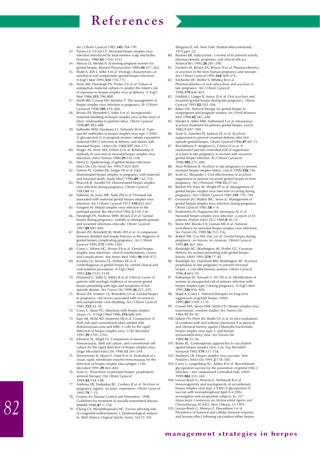*Am J Obstet Gynecol* 1983;**145**:784–791. 53. Parvey LS, Ch'ien LT. Neonatal herpes simplex virus

- infection introduced by fetal-monitor scalp electrodes. *Pediatrics* 1980;**65**:1150–1153.
- 54. Mercey D, Mindel A. Screening pregnant women for genital herpes. *Biomed Pharmacother* 1990;**44**:257–262.
- 55. Wald A, Zeh J, Selke S *et al*. Virologic characteristics of subclinical and symptomatic genital herpes infections. *N Engl J Med* 1995;**333**:770–775.
- 56. Arvin AM, Hensleigh PA, Prober CG *et al*. Failure of antepartum maternal cultures to predict the infant's risk of exposure to herpes simplex virus at delivery. *N Engl J Med* 1986;**315**:796–800.
- Smith JRS, Cowan FM, Munday P. The management of herpes simplex virus infection in pregnancy. *Br J Obstet Gynaecol* 1998;**105**:255–260.
- 58. Brown ZA, Benedetti J, Selke S *et al*. Asymptomatic maternal shedding of herpes simplex virus at the onset of labor: relationship to preterm labor. *Obstet Gynecol* 1996;**87**:483–488.
- 59. Sullender WM, Yasukawa LL, Schwartz M *et al*. Typespecific antibodies to herpes simplex virus type 2 (HSV-2) glycoprotein G in pregnant women, infants exposed to maternal HSV-2 infection at delivery and infants with neonatal herpes. *J Infect Dis* 1988;**157**:164–171.
- 60. Yeager AS, Arvin AM, Urbani LJ *et al*. Relationship of antibody to outcome in neonatal herpes simplex virus infections. *Infect Immun* 1980;**29**:532–538.
- 61. Mertz G. Epidemiology of genital herpes infections. *Infect Dis Clin North Am* 1993;**7**:825–839.
- 62. Gelven PL, Gruber KK, Swiger FK *et al*. Fatal disseminated herpes simplex in pregnancy with maternal
- and neonatal death. *South Med J* 1996;**89**:732–734. 63. Peacock JE, Sarubbi FA. Disseminated herpes simplex virus infection during pregnancy*. Obstet Gynecol* 1983;**61**:13.
- 64. Nahmias AJ, Josey WE, Naib ZM *et al*. Perinatal risk associated with maternal genital herpes simplex virus infection. *Am J Obstet Gynecol* 1971;**110**:825–837.
- 65. Forsgren M. Herpes simplex virus infection in the perinatal period. *Rev Med Virol* 1992;**3**:129–136.
- 66. Hensleigh PA, Andrews WW, Brown Z *et al*. Genital herpes during pregnancy: inability to distinguish primary and recurrent infections clinically. *Obstet Gynecol* 1997;**89**:891–895.
- 67. Brown ZA, Benedetti JK, Watts DH *et al*. A comparison between detailed and simple histories in the diagnosis of genital herpes complicating pregnancy. *Am J Obstet Gynecol* 1995;**172**:1299–1303.
- 68. Corey L, Adams HG, Brown ZA *et al*. Genital herpes simplex virus infections: clinical manifestations, course,
- and complications. *Ann Intern Med* 1983;**98**:958–972. 69. Koutsky LA, Stevens CE, Holmes KK *et al*. Underdiagnosis of genital herpes by current clinical and viral-isolation procedures. *N Engl J Med* 1992;**326**:1533–1539.
- 70. Diamond C, Selke S, Ashley R *et al*. Clinical course of patients with serologic evidence of recurrent genital herpes presenting with signs and symptoms of first episode disease. *Sex Transm Dis* 1999;**26**:221–225.
- 71. Brown ZA, Vontver LA, Benedetti J *et al*. Genital herpes in pregnancy: risk factors associated with recurrences and asymptomatic viral shedding. *Am J Obstet Gynecol* 1985;**153**:24–30.
- 72. Corey L, Spear PG. Infections with herpes simplex viruses (1). *N Engl J Med* 1986;**314**:686–691.
- 73. Espy MJ, Wold AD, Jespersen DJ *et al.* Comparison of shell vials and conventional tubes seeded with rhabdomyosarcoma and MRC-5 cells for the rapid detection of herpes simplex virus. *J Clin Microbiol* 1991;**29**:2701–2703.
- 74. Johnston SL, Siegel CS. Comparison of enzyme immunoassay, shell vial culture, and conventional cell culture for the rapid detection of herpes simplex virus. *Diagn Microbiol Infect Dis* 1990;**13**:241–244.
- 75. Zimmerman SJ, Moses E, Sofat N *et al.* Evaluation of a visual, rapid, membrane enzyme immunoassay for the detection of herpes simplex virus antigen. *J Clin Microbiol* 1991;**29**:842–845.
- 76. Scott LL. Prevention of perinatal herpes: prophylactic antiviral therapy? *Clin Obstet Gynecol* 1999;**42**:134–148.
- 77. Andrews EB, Yankaskas BC, Cordero JF *et al*. Aciclovir in pregnancy registry: six years' experience. *Obstet Gynecol* 1992;**79**:7–13.
- 78. Centers for Disease Control and Prevention. 1998 Guidelines for treatment of sexually transmitted disease. *MMWR* 1998;**47**:1–118.
- 79. Chung CS, Myrianthopoulos NC. Factors affecting risks of congenital malformations. I. Epidemiological analysis. In: *Birth Defects Original Articles Series,* Vol 11 (10)

(Bergsma D, ed). New York: Stratton Intercontinental, 1975;pp1–22.

- 80. Beutner KR. Valacyclovir: a review of its antiviral activity, pharmacokinetic properties, and clinical efficacy. *Antiviral Res* 1995;**28**:281–290.
- 81. Frenkel LM, Brown ZA, Bryson YJ *et al*. Pharmacokinetics of acyclovir in the term human pregnancy and neonate. *Am J Obstet Gynecol* 1991;**164**:569–576.
- 82. Kimberlin DF, Weller S, Whitley RJ *et al*. Pharmacokinetics of oral valacyclovir and acyclovir in late pregnancy. *Am J Obstet Gynecol* 1998;**179**:846–851.
- 83. Haddad J, Langer B, Astruc D *et al*. Oral acyclovir and recurrent genital herpes during late pregnancy. *Obstet Gynecol* 1993;**82**:102–104.
- 84. Baker DA. Antiviral therapy for genital herpes in nonpregnant and pregnant women. *Int J Fertil Womens Med* 1998;**43**:243–248.
- 85. Mindel A, Adler MW, Sutherland S *et al*. Intravenous acyclovir treatment for primary genital herpes. *Lancet* 1982;**1**:697–700.
- 86. Scott LL, Sanchez PJ, Jackson GL *et al.* Acyclovir suppression to prevent cesarean delivery after first-episode genital herpes. *Obstet Gynecol* 1996;**87**:69–73.
- 87. Brocklehurst P, Kinghorn G, Carney O *et al*. A randomised placebo controlled trial of suppressive acyclovir in late pregnancy in women with recurrent genital herpes infection. *Br J Obstet Gynaecol* 1998;**105**:275–280.
- 88. Stray-Pedersen B. Aciclovir in late pregnancy to prevent neonatal herpes simplex (letter). *Lancet* 1990;**336**:756.
- Scott LL, Alexander J. Cost-effectiveness of acyclovir suppression to prevent recurrent genital herpes in term pregnancy. *Am J Perinatol* 1998;**15**:57–62.
- 90. Boehm FH, Estes W, Wright PF *et al*. Management of genital herpes simplex virus infection occurring during
- pregnancy. *Am J Obstet Gynecol* 1981;**141**:735–740. 91. Grossman JH, Wallen WC, Sever JL. Management of genital herpes simplex virus infection during pregnancy. *Obstet Gynecol* 1981;**58**:1–4.
- 92. Koskiniemi M, Happonen JM, Jarvenpaa AL *et al*. Neonatal herpes simplex virus infection: a report of 43 patients. *Pediatr Infect Dis J* 1989;**8**:30–35.
- 93. Stone KM, Brooks CA, Guinan ME *et al*. National surveillance for neonatal herpes simplex virus infections. *Sex Transm Dis* 1989;**16**:152–156.
- Robert SW, Cox SM, Dax J et al. Genital herpes during pregnancy: no lesions, no cesarean. *Obstet Gynecol* 1995;**85**:261–264.
- Randolph AG, Washington AE, Prober CG. Cesarean delivery for women presenting with genital herpes
- lesions. *JAMA* 1993;**270**:77–82. 96. Randolph AG, Hartshorn RM, Washington AE. Acyclovir prophylaxis in late pregnancy to prevent neonatal herpes: a cost-effectiveness analysis. *Obstet Gynecol* 1996;**4**:603–10.
- 97. Kulhanijan JA, Soroush V, AU DS *et al*. Identification of women at unsuspected risk of primary infection with herpes simplex type 2 during pregnancy. *N Engl J Med* 1992;**326**:916–920.
- 98. Wald A, Corey L. Antiviral therapies for long-term suppression of genital herpes. *JAMA* 1999;**281**:1169–1170.
- 99. Conant MA, Spicer DW, Smith CD. Herpes simplex virus transmission: condom studies. *Sex Transm Dis* 1984;**11**:94–95.
- 100. Judson FN, Ehret JM, Bodin GF *et al.* In vitro evaluations of condoms with and without nonoxynol 9 as physical and chemical barriers against Chlamydia trachomatis, herpes simplex virus type 2, and human immunodeficiency virus. *Sex Transm Dis* 1989;**16**:51–56.
- 101. Burke RL. Contemporary approaches to vaccination against herpes simplex virus. *Curr Top Microbiol Immunol* 1992;**179**:137–158.
- 102. Stanberry LR. Herpes simplex virus vaccines. *Sem*
- *Pediatrics Infect Dis* 1991;**2**:178–185. 103. Corey L, Langenberg AG, Ashley R *et al*. Recombinant glycoprotein vaccine for the prevention of genital HSV-2 infection – two randomized controlled trials. *JAMA* 1999;**282**:331–340.
- 104. Leroux-Roels G, Moreau E, Verhasselt B *et al*. Immunogenicity and reactogenicity of recombinant herpes simplex virus type 2 (HSV-2) glycoprotein D vaccine with monophosphoryl lipid A in HSV-seronegative and seropositive subjects. In: *32nd Interscience Conference on Antimicrobial Agents and*
- *Chemotherapy (ICAAC), New Orleans, LA* 1993. 105. Leroux-Roels G, Moreau E, Desombere I *et al*. Persistence of humoral and cellular immune response and booster effect following vaccination either herpes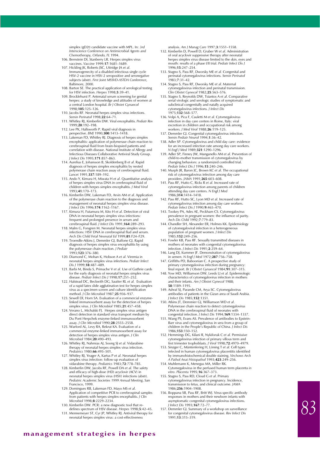simplex (gD2t) candidate vaccine with MPL. In: *3rd Interscience Conference on Antimicrobial Agents and Chemotherapy, Orlando, FL* 1994.

- 106. Bernstein DI, Stanberry LR. Herpes simplex virus vaccines. *Vaccine* 1999;**17**:1681–1689.
- 107. Hickling JK, Roberts JSC, Uttridge JA *et al*. Immunogenecity of a disabled infectious single cycle HSV-2 vaccine in HSV-2 seropositive and seronegative subjects (abstr). *First Joint MSSVD-ASTDA Conference*, Baltimore, 2000.
- 108. Barton SE. The practical application of serological testing for HSV infection. *Herpes* 1998;**5**:39–41.
- 109. Brocklehurst P. Antenatal serum screening for genital herpes: a study of knowledge and attitudes of women at a central London hospital. *Br J Obstet Gynaecol* 1998;**105**:125–126.
- 110. Jacobs RF. Neonatal herpes simplex virus infections. *Semin Perinatol* 1998;**22**:64–71.
- 111. Whitley RJ, Kimberlin DW. Viral encephalitis. *Pediatr Rev* 1999;**20**:192–198. 112. Lee PK, Hallsworth P. Rapid viral diagnosis in
- perspective. *BMJ* 1990;**300**:1413–1418.
- 113. Lakeman FD, Whitley RJ. Diagnosis of herpes simplex encephalitis: application of polymerase chain reaction to cerebrospinal fluid from brain-biopsied patients and correlation with disease. National Institute of Allergy and Infectious Diseases Collaborative Antiviral Study Group. *J Infect Dis* 1995;**171**:857–863.
- 114. Aurelius E, Johansson B, Skoldenberg B *et al*. Rapid diagnosis of herpes simplex encephalitis by nested polymerase chain reaction assay of cerebrospinal fluid. *Lancet* 1991;**337**:189–192.
- 115. Ando Y, Kimura H, Miwata H *et al*. Quantitative analysis of herpes simplex virus DNA in cerebrospinal fluid of children with herpes simplex encephalitis. *J Med Virol* 1993;**41**:170–173.
- 116. Kimberlin DW, Lakeman FD, Arvin AM *et al*. Application of the polymerase chain reaction to the diagnos management of neonatal herpes simplex virus disease. *J Infect Dis* 1996;**174**:1162–1167.
- 117. Kimura H, Futamura M, Kito H *et al*. Detection of viral DNA in neonatal herpes simplex virus infections: frequent and prolonged presence in serum and cerebrospinal fluid. *J Infect Dis* 1991;**164**:289–293.
- 118. Malm G, Forsgren M. Neonatal herpes simplex virus infections: HSV DNA in cerebrospinal flud and serum. *Arch Dis Child Fetal Neonatal Ed* 1999;**81**:F24–F29.
- 119. Troendle-Atkins J, Demmler GJ, Buffone GJ. Rapid diagnosis of herpes simplex virus encephalitis by using the polymerase chain reaction. *J Pediatr* 1993;**123**:376–380.
- 120. Diamond C, Mohan K, Hobson A *et al*. Viremia in neonatal herpes simplex virus infections. *Pediatr Infect Dis J* 1999;**18**:487–489.
- 121. Barbi M, Binda S, Primache V *et al*. Use of Guthrie cards for the early diagnosis of neonatal herpes simplex virus disease. *Pediatr Infect Dis J* 1998;**17**:251–252.
- 122. Halstead DC, Beckwith DG, Sautter RL *et al.* Evaluation of a rapid latex slide agglutination test for herpes simplex virus as a specimen screen and culture identification method. *J Clin Microbiol* 1987;**25**:936–937.
- 123. Sewell Dl, Horn SA. Evaluation of a commercial enzymelinked immunosorbent assay for the detection of herpes simplex virus. *J Clin Microbiol* 1985;**21**:457–458.
- 124. Verano L, Michalski FJ. Herpes simplex virus antigen direct detection in standard virus transport medium by Du Pont Herpchek enzyme-linked immunosorbent assay. *J Clin Microbiol* 1990;**28**:2555–2558.
- 125. Warford AL, Levy RA, Rekrut KA. Evaluation of a commercial enzyme-linked immunosorbent assay for detection of herpes simplex virus antigen. *J Clin Microbiol* 1984;**20**:490–493.
- 126. Whitley RJ, Nahmias AJ, Soong SJ *et al*. Vidarabine therapy of neonatal herpes simplex virus infection. *Pediatrics* 1980;**66**:495–501.
- 127. Whitley RJ, Yeager A, Kartus P *et al*. Neonatal herpes simplex virus infection: follow-up evaluation of
- vidarabine therapy. *Pediatrics* 1983;**72**:778–785. 128. Kimberlin DW, Jacobs RF, Powell DA *et al*. The safety and efficacy of high-dose (HD) acyclovir (ACV) in neonatal herpes simplex virus (HSV) infections (abstr)*. Pediatric Academic Societies 1999 Annual Meeting*, San Francisco, 1999.
- 129. Domingues RB, Lakeman FD, Mayo MS *et al*. Application of competitive PCR to cerebrospinal samples from patients with herpes simplex encephalitis. *J Clin Microbiol* 1998;**8**:2229–2234.
- 130. Kimberlin DW. PCR: a new diagnostic tool that redefines spectrum of HSV disease. *Herpes* 1998;**5**:42–45.
- 131. Mennemeyer ST, Cyr JP, Whitley RJ. Antiviral therapy for neonatal herpes simplex virus: a cost-effectiveness

analysis. *Am J Manag Care* 1997;**3**:1551–1558.

- 132. Kimberlin D, Powell D, Gruber W *et al*. Administration of oral acyclovir suppressive therapy after neonatal herpes simplex virus disease limited to the skin, eyes and mouth: results of a phase I/II trial. *Pediatr Infect Dis J* 1996;**15**:247–254.
- 133. Stagno S, Pass RF, Dworsky ME *et al*. Congenital and perinatal cytomegalovirus infections. *Semin Perinatol* 1983;**7**:31–42.
- 134. Stagno S, Pass RF, Dworsky ME *et al*. Maternal cytomegalovirus infection and perinatal transmission. *Clin Obstet Gynecol* 1982;**25**:563–576.
- 135. Stagno S, Reynolds DW, Tsiantos A *et al*. Comparative serial virologic and serologic studies of symptomatic and subclinical congenitally and natally acquired cytomegalovirus infections. *J Infect Dis* 1975;**132**:568–577.
- 136. Volpi A, Pica F, Cauletti M *et al*. Cytomegalovirus infection in day care centers in Rome, Italy: viral excretion in children and occupational risk among workers. *J Med Virol* 1988;**26**:119–125.
- 137. Demmler GJ. Congenital cytomegalovirus infection. *Semin Pediatr Neurol* 1994;**1**:36–42.
- 138. Adler SP. Cytomegalovirus and child day care: evidence for an increased infection rate among day care workers. *N Engl J Med* 1989;**321**:1290–1296.
- 139. Adler SP, Finney JW, Manganello AM *et al*. Prevention of child-to-mother transmission of cytomegalovirus by changing behaviors: a randomized controlled trial. *Pediatr Infect Dis J* 1996;**15**:240–246.
- 140. Murph JR, Baron JC, Brown KC *et al*. The occupational risk of cytomegalovirus infection among day care providers. *JAMA* 1991;**265**:603–608.
- 141. Pass RF, Hutto C, Ricks R *et al*. Increased rate of cytomegalovirus infection among parents of children attending day care centers. *N Engl J Med* 1986;**314**:1414–1418.
- 142. Pass RF, Hutto SC, Lyon MD *et al*. Increased rate of cytomegalovirus infection among day care workers. *Pediatr Infect Dis J* 1990;**9**:465–470. 143. Tookey PA, Ades AE, Peckham CS. Cytomegalovirus
- prevalence in pregnant women: the influence of parity. *Arch Dis Child* 1992;**7**:779–83.
- 144. Chandler SH, Alexander ER, Holmes KK. Epidemiology of cytomegaloviral infection in a heteroge population of pregnant women. *J Infect Dis* 1985;**152**:249–256.
- 145. Fowler KB, Pass RF. Sexually transmitted diseases in mothers of neonates with congenital cytomegalovirus infection. *J Infect Dis* 1991;**2**:259–64.
- 146. Lang DJ, Kummer JF. Demonstration of cytomegalovirus
- in semen. *N Engl J Med* 1972;**287**:756–758. 147. Griffiths PD, Baboonian C. A prospective study of primary cytomegalovirus infection during pregnancy: final report. *Br J Obstet Gynaecol* 1984;**91**:307–315.
- 148. Yow MD, Williamson DW, Leeds LJ *et al.* Epidemiologic characteristics of cytomegalovirus infection in mothers and their infants. *Am J Obstet Gynecol* 1988; **58**:1189–1195.
- 149. Ashraf SJ, Parande CM, Arya SC. Cytomegalovirus antibodies of patients in the Gizan area of Saudi Arabia. *J Infect Dis* 1985;**152**:1351.
- 150. Atkins JT, Demmier GJ, Williamson WD *et al*. Polymerase chain reaction to detect cytomegalovirus DNA in the cerebrospinal fluid of neonates with congenital infection. *J Infect Dis* 1994;**169**:1334–1337.
- 151. Wang PS, Evans AS. Prevalence of antibodies to Epstein-Barr virus and cytomegalovirus in sera from a group of children in the People's Republic of China. *J Infect Dis* 1986;**153**:150–152.
- 152. Hemmings DG, Kilani R, Nykiforuk C *et al.* Permissive cytomegalovirus infection of primary villous term and first trimester trophoblasts. *J Virol* 1998;**72**:4970–4979.
- 153. Sinzger C, Müntenfering H, Löning T *et al.* Cell types infected in human cytomegalovirus placentitis identified by immunohistochemical double staining. *Virchows Arch A Pathol Anat Histopathol* 1993;**423**:249–256.
- 154. Muhlemann K, Menegus MA, Miller RK. Cytomegalovirus in the perfused human term placenta *in vitro*. *Placenta* 1995;**16**:367–373.
- 155. Stagno S, Pass RD, Cloud G *et al*. Primary cytomegalovirus infection in pregnancy. Incidence, transmission to fetus, and clinical outcome. *JAMA* 1986;**256**:1904–1908.
- 156. Boppana SB, Pass RF, Britt WJ. Virus-specific antibody responses in mothers and their newborn infants with asymptomatic congenital cytomegalovirus infections. *J Infect Dis* 1993;**167**:72–77.
- 157. Demmler GJ. Summary of a workshop on surveillance for congenital cytomegalovirus disease. *Rev Infect Dis* 1991;**13**:315–319.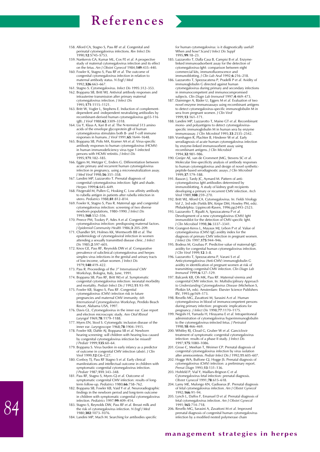- 158. Alford CA, Stagno S, Pass RF *et al.* Congenital and perinatal cytomegalovirus infections. *Rev Infect Dis* 1990;**12**:S745–S753.
- 159. Nankervis GA, Kumar ML, Cox FE *et al*. A prospective study of maternal cytomegalovirus infection and its effect on the fetus. *Am J Obstet Gynecol* 1984;**149**:435–440.
- 160. Fowler K, Stagno S, Pass RF *et al*. The outcome of congenital cytomegalovirus infection in relation to maternal antibody status. *N Engl J Med* 1992;**326**:663–667.
- 
- 161. Stagno S. Cytomegalovirus. *Infect Dis* 1995:312–353. 162. Boppana SB, Britt WJ. Antiviral antibody responses and intrauterine transmission after primary maternal cytomegalovirus infection. *J Infect Dis* 1995;**171**:1115–1121.
- 163. Britt W, Vugler L, Stephens E. Induction of complementdependent and -independent neutralizing antibodies by recombinant-derived human cytomegalovirus gp55-116
- (gB). *J Virol* 1988;**62**:3309–3318. 164. Liu Y, Klaus A, Kari B *et al*. The N-terminal 513 amino acids of the envelope glycoprotein gB of human cytomegalovirus stimulates both B- and T-cell immune responses in humans. *J Virol* 1991;**65**:1644–1648.
- 165. Boppana SB, Polis MA, Kramer AA *et al*. Virus-specific antibody responses to human cytomegalovirus (HCMV) in human immunodeficiency virus type 1-infected persons with HCMV retinitis. *J Infect Dis* 1995;**171**:182–185.
- 166. Eggers M, Metzger C, Enders G. Differentiation between acute primary and recurrent human cytomegalovirus infection in pregnancy, using a microneutralization assay. *J Med Virol* 1998;**56**:351–358.
- 167. Landini MP, Lazzarotto T. Prenatal diagnosis of congenital cytomegalovirus infection: light and shade. *Herpes* 1999;**6**:645–649.
- 168. Fitzgerald M, Pullen G, Hosking C. Low affinity antibody to rubella antigen in patients after rubella infection in utero. *Pediatrics* 1988;**81**:812–814.
- 169. Fowler K, Stagno S, Pass R. Maternal age and congenital cytomegalovirus infection: screening of two diverse newborn populations, 1980–1990. *J Infect Dis* 1993;**168**:552–556.
- 170. Preece PM, Tookey P, Ades A *et al*. Congenital cytomegalovirus infection: predisposing maternal factors. *J Epidemiol Community Health* 1986;**3**:205–209.
- 171. Chandler SH, Holmes KK, Wentworth BB *et al*. The epidemiology of cytomegaloviral infection in women attending a sexually transmitted disease clinic. *J Infect Dis* 1985;**2**:597–605.
- 172. Knox GE, Pass RF, Reynolds DW *et al*. Comparative prevalence of subclinical cytomegalovirus and herpes simplex virus infections in the genital and urinary tracts of low-income, urban women. *J Infect Dis* 1979;**140**:419–422.
- 173. Pass R. Proceedings of the *3rd International CMV Workshop*, Bologna, Italy, June, 1991. 174. Boppana SB, Pass RF, Britt WJ *et al*. Symptomatic
- congenital cytomegalovirus infection: neonatal morbidity
- and mortality. *Pediatr Infect Dis J* 1992;**11**:93–99. 175. Fowler KB, Stagno S, Pass RF. Congenital cytomegalovirus (CMV) infection risk in future pregnancies and maternal CMV immunity*. 6th International Cytomegalovirus Workshop*, Perdido Beach Resort, Alabama USA, 1997.
- 176. Davis GL. Cytomegalovirus in the inner ear. Case report and electron microscopic study. *Ann Otol Rhinol Laryngol* 1969;**78**:1179–1188.
- 177. Myers EN, Stool S. Cytomegalic inclusion disease of the
- inner ear. *Laryngoscope* 1968;**78**:1904–1915. 178. Fowler KB, Dahle AJ, Boppana SB *et al*. Newborn hearing screening: will children with hearing loss caused by congenital cytomegalovirus infection be missed? *J Pediatr* 1999;**135**:60–64.
- 179. Boppana S. Virus burden in early infancy as a predictor of outcome in congenital CMV infection (abstr). *J Clin Virol* 1999;**12**:G6–G27.
- 180. Conboy TJ, Pass RF Stagno S *et al*. Early clinical manifestations and intellectual outcome in children with symptomatic congenital cytomegalovirus infection. *J Pediatr* 1987;**111**:343–348.
- 181. Pass RF, Stagno S, Myers GJ *et al*. Outcome of symptomatic congenital CMV infection: results of long-term follow-up. *Pediatrics* 1980;**66**:758–762.
- 182. Boppana SB, Fowler KB, Vaid Y *et al*. Neuroradiographic findings in the newborn period and long-term outcome in children with symptomatic congenital cytomegalovirus infection. *Pediatrics* 1997;**99**:409–414.
- 183. Stagno S, Reynolds DW, Pass RF *et al*. Breast milk and the risk of cytomegalovirus infection. *N Engl J Med* 1980;**302**:1073–1076.
- 184. Landini MP, Mach M. Searching for antibodies specific

for human cytomegalovirus: is it diagnostically useful? When and how? *Scand J Infect Dis Suppl* 1995;**99**:18–23.

- 185. Lazzarotto T, Dalla Casa B, Campisi B *et al*. Enzymelinked immunoadsorbent assay for the detection of cytomegalovirus-IgM: comparison between eight commercial kits, immunofluorescence and immunoblotting. *J Clin Lab Anal* 1992;**6**:216–218.
- 186. Lazzarotto T, Spezzacatena P, Pradelli P *et al.* Avidity of immunoglobulin G directed against human cytomegalovirus during primary and secondary infections in immunocompetent and immunocompromised subjects. *Clin Diagn Lab Immunol* 1997;**4**:469–473.
- 187. Daiminger A, Bäder U, Eggers M *et al*. Evaluation of two novel enzyme immunoassays using recombinant antigens to detect cytomegalovirus-specific immunoglobulin M in sera from pregnant women. *J Clin Virol* 1999;**13**:161–171.
- 188. Landini MP, Lazzarotto T, Maine GT *et al*. Recombinant mono- and polyantigens to detect cytomegalovirusspecific immunoglobulin M in human sera by enzyme immunoassay. *J Clin Microbiol* 1995;**33**:2535–2542.
- 189. Vornhagen R, Plachter B, Hinderer W *et al.* Early serodiagnosis of acute human cytomegalovirus infection by enzyme-linked immunosorbent assay using recombinant antigens. *J Clin Microbiol* 1994;**32**:981–986.
- 190. Greijer AE, van de Crommert JMG, Stevens SC *et al*. Molecular fine-specificity analysis of antibody responses to human cytomegalovirus and design of novel synthetic-peptide-based serodiagnostic assays. *J Clin Microbiol* 1999;**37**:179–188.
- 191. Basson J, Tardy JC, Aymard M. Pattern of anticytomegalovirus IgM antibodies determined by immunoblotting. A study of kidney graft recipients developing a primary or recurrent CMV infection. *Arch Virol* 1989;**108**:259–270.
- 192. Britt WJ, Alford CA. Cytomegalovirus*.* In: *Fields Virology Vol 2*, 3rd edn (Fields BN, Knipe DM, Howley PM, eds).
- Philadelphia: Lippincott-Raven, 1996;pp2493–2523. 193. Lazzarotto T, Ripalti A, Spezzacatena P *et al.* Development of a new cytomegalovirus (CMV) IgM immunoblot for the detection of CMV-specific IgM.
- *J Clin Microbiol* 1998;**36**:3337–3341. 194. Grangeot-Keros L, Mayaux MJ, Lebon P *et al.* Value of cytomegalovirus (CMV) IgG avidity index for the diagnosis of primary CMV infection in pregnant women.
- *J Infect Dis* 1997;**175**:944–946. 195. Bodeus M, Goubau P. Predictive value of maternal-IgG avidity for congenital human cytomegalovirus infection. *J Clin Virol* 1999;**12**:3–8.
- 196. Lazzarotto T, Spezzacatena P, Varani S *et al.* Anticytomegalovirus (Anti-CMV) immunoglobulin G avidity in identification of pregnant women at risk of transmitting congenital CMV infection. *Clin Diagn Lab Immunol* 1999;**6**:127–129.
- 197. Balcarek KB, Oh MK, Pass RF. Maternal viremia and congenital CMV infection. In: *Multidisciplinary Approach to Understanding Cytomegalovirus Disease* (Michelson S, Plotkin SA, eds). Amsterdam: Elsevier Science Publishers BV, 1993;pp169–173.
- 198. Revello MG, Zavattoni M, Sarasini A *et al.* Human cytomegalovirus in blood of immunocompetent persons during primary infection: prognostic implications for pregnancy. *J Infect Dis* 1998;**77**:1170–1175.
- 199. Negishi H, Yamada H, Hirayama E *et al*. Intraperitoneal administration of cytomegalovirus hyperimmunoglobulin to the cytomegalovirus-infected fetus. *J Perinatol* 1998;**18**:466–469.
- 200. Whitley RJ, Cloud G, Gruber W *et al*. Ganciclovir treatment of symptomatic congenital cytomegalovirus infection: results of a phase II study. *J Infect Dis* 1997;**175**:1080–1086.
- 201. Grose C, Meehan T, Weimer CP. Prenatal diagnosis of congenital cytomegalovirus infection by virus isolation after amniocentesis. *Pediatr Infect Dis J* 1992;**11**:605–607.
- 202. Hogge WA, Buffone GJ, Hogge JS. Prenatal diagnosis of cytomegalovirus (CMV) infection: a preliminary report. *Prenat Diagn* 1993;**13**:131–136.
- 203. Hohfeld P, Vial Y, Maillars-Brignon C *et al.* Cytomegalovirus fetal infection: prenatal diagnosis. *Obstet Gynecol* 1991;**78**:615–618.
- 204. Lamy ME, Mulongo KN, Gadisseux JF. Prenatal diagnosis of fetal cytomegalovirus infection. *Am J Obstet Gynecol* 1992;**166**:91–94.
- 205. Lynch L, Daffos F, Emanuel D *et al.* Prenatal diagnosis of fetal cytomegalovirus infection. *Am J Obstet Gynecol* 1991;**165**:714–718.
- 206. Revello MG, Sarasini A, Zavattoni M *et al*. Improved prenatal diagnosis of congenital human cytomegalovirus infection by a modified nested polymerase chain

#### **management strategies in herpes**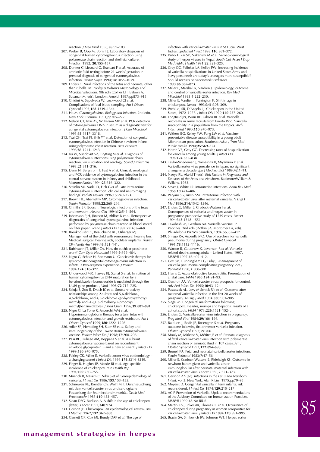reaction. *J Med Virol* 1998;**56**:99–103.

- 207. Weber B, Opp M, Born HJ. Laboratory diagnosis of congenital human cytomegalovirus infection using polymerase chain reaction and shell vial culture. *Infection* 1992; **20**:155–157.
- 208. Donner C, Liesnard C, Brancart F *et al.* Accuracy of amniotic fluid testing before 21 weeks' gestation in prenatal diagnosis of congenital cytomegalovirus infection. *Prenat Diagn* 1994;**14**:1055–1059.
- 209. Enders G. Viral infections of the fetus and neonate, other than rubella. In: *Topley & Wilson's Microbiology and Microbial Infections*, 9th edn (Collier LH, Balows A, Sussman M, eds). London: Arnold, 1997;pp873–915.
- 210. Ghidini A, Sepulveda W, Lockwood CJ *et al.* Complications of fetal blood sampling. *Am J Obstet Gynecol* 1993;**168**:1339–1344.
- 211. Ho M. *Cytomegalovirus, Biology and Infection*, 2nd edn. New York: Plenum, 1991;pp205–227.
- 212. Nelson CT, Istas AS, Wilkerson MK *et al*. PCR detection of cytomegalovirus DNA in serum as a diagnostic test for congenital cytomegalovirus infection. *J Clin Microbiol* 1995;**33**:3317–3318.
- 213. Tsai CH, Tsai FJ, Shih YT *et al*. Detection of congenital cytomegalovirus infection in Chinese newborn infants using polymerase chain reaction. *Acta Paediatr* 1996;**85**:1241–1243.
- 214. Xu W, Sundqvist VA, Brytting M *et al*. Diagnosis of cytomegalovirus infections using polymerase chain reaction, virus isolation and serology. *Scand J Infect Dis* 1993;**25**:311–316.
- 215. Darin N, Bergstrom T, Fast A *et al*. Clinical, serological and PCR evidence of cytomegalovirus infection in the central nervous system in infancy and childhood. *Neuropediatrics* 1994;**25**:316–322.
- 216. Steinlin MI, Nadal D, Eich G *et al*. Late intrauterine cytomegalovirus infection: clinical and neuroimaging findings. *Pediatr Neurol* 1996;**15**:249–253.
- 217. Brown HL, Abernathy MP. Cytomegalovirus infection. *Semin Perinatol* 1998;**22**:260–266.
- 218. Griffiths BP, Booss J. Neurologic infections of the fetus and newborn. *Neurol Clin* 1994;**12**:541–564.
- 219. Johansson PJH, Jönsson M, Ahlfors K *et al*. Retrospective diagnostics of congenital cytomegalovirus infection performed by polymerase chain reaction in blood stored on filter paper. *Scand J Infect Dis* 1997;**29**:465–468.
- 220. Brookhouser PE, Beauchaine KL, Osberger MJ. Management of the child with sensorineural hearing loss. Medical, surgical, hearing aids, cochlear implants. *Pediatr Clin North Am* 1999;**46**:121–141.
- 221. Rubinstein JT, Miller CA. How do cochlear prostheses work? *Curr Opin Neurobiol* 1999;**9**:399–404.
- 222. Nigro G, Scholz H, Bartmann U. Ganciclovir therapy for symptomatic congenital cytomegalovirus infection in infants: a two-regimen experience. *J Pediat* 1994;**124**:318–322.
- 223. Underwood MR, Harvey RJ, Stanat S *et al*. Inhibition of human cytomegalovirus DNA maturation by a benzimidazole ribonucleoside is mediated through the
- UL89 gene product. *J Virol* 1998;**72**:717–725. 224. Saluja S, Zou R, Drach JC *et al*. Structure-activity relationships among 2-substituted 5,6-dichloro-4,6-dichloro-, and 4,5-dichloro-1-[(2-hydroxyethoxy) methyl]- and -1-[(1,3-dihydroxy-2-propoxy) methyl]benzimidazoles. *J Med Chem* 1996;**39**:881–891.
- 225. Nigro G, La Torre R, Anceschi MM *et al*. Hyperimmunoglobulin therapy for a twin fetus with cytomegalovirus infection and growth restriction*. Am J Obstet Gynecol* 1999;**180**:1222–1226.
- 226. Adler SP, Hempling SH, Starr SE *et al*. Safety and immunogenicity of the Towne strain cytomegalovirus vaccine. *Pediatr Infect Dis J* 1998;**17**:200–206.
- 227. Pass RF, Duliege AM, Boppana S *et al*. A subunit cytomegalovirus vaccine based on recombinant envelope glycoprotein B and a new adjuvant. *J Infect Dis* 1999;**180**:970–975.
- 228. Fairley CK, Miller E. Varicella-zoster virus epidemiology –
- a changing scene? *J Infect Dis* 1996;**174**:S314–S319. 229. Finger R, Hughes JP, Meade BJ *et al*. Age-specific incidence of chickenpox. *Pub Health Rep* 1994;**109**:750–755.
- 230. Muench R, Nassim C, Niku S *et al*. Seroepidemiology of varicella. *J Infect Dis* 1986;**153**:153–155.
- 231. Schneweis KE, Krentler Ch, Wolff MH. Durchseuschung mit dem varicella-zoster virus und serologische Feststellung der Erstinfectionsimmunität. *Dtsch Med Wochenschr* 1985;**110**:453–457.
- 232. Sloan DSG, Burlison A. A shift in the age of chickenpox [letter]. *Lancet* 1992;**340**:974.
- 233. Gordon JE. Chickenpox: an epidemiological review. *Am J Med Sci* 1962;**132**:362–388.
- 234. Garnett GP, Cox MJ, Bundy DAP *et al*. The age of

infection with varicella-zoster virus in St Lucia, West Indies. *Epidemiol Infect* 1993;**110**:361–372.

- 235. Kubo T, Rai SK, Nakanishi M *et al*. Seroepidemiological study of herpes viruses in Nepal. *South East Asian J Trop Med Public Health* 1991;**22**:323–325. 236. Gray GC, Palinkas LA, Kelley PW. Increasing incidence
- of varicella hospitalizations in United States Army and Navy personnel: are today's teenagers more susceptible? Should recruits be vaccinated? *Pediatrics* 1990;**86**:867–873.
- 237. Miller E, Marshall R, Vardien J. Epidemiology, outcome and control of varicella-zoster infection. *Rev Med Microbiol* 1993;**4**:222–230.
- 238. Miller E, Vardien J, Farrington P. Shift in age in
- chickenpox. *Lancet* 1993;**341**:308–309. 239. Preblud, SR, D'Angelo LJ. Chickenpox in the United States, 1972–1977. *J Infect Dis* 1979;**140**:257–260.
- 240. Longfield JN, Winn RE, Gibson RL *et al*. Varicella outbreaks in Army recruits from Puerto Rico. Varicella susceptibility in a population from the tropics. *Arch Intern Med* 1990;**150**:970–973.
- 241. Withers BG, Kelley PW, Pang LW *et al*. Vaccinepreventable disease susceptibility in a young adult Micronesian population. *Southeast Asian J Trop Med Public Health* 1994;**25**:569–574.
- 242. Herrin VE, Gray GC. Decreasing rates of hospitalization for varicella among young adults. *J Infect Dis* 1996;**174**:835–838.
- 243. Taylor-Wiedeman J, Yamashita K, Miyamura K *et al*. Varicella-zoster virus prevalence in Japan: no significant change in a decade. *Jpn J Med Sci Biol* 1989;**42**:1–11.
- 244. Naeye RL, Alarid T (eds). *Risk Factors in Pregnancy and Diseases of the Fetus and Newborn*. Baltimore:William & Wilkins, 1983.
- 245. Sever J, White LR. intrauterine infections. *Annu Rev Med* 1968;**19**:471–486.
- 246. Paryani SG, Arvin AM. intrauterine infection with varicella-zoster virus after maternal varicella. *N Engl J Med* 1986;**314**:1542–1546.
- 247. Enders G, Miller E, Cradock-Watson J *et al*. Consequences of varicella and herpes zoster in pregnancy: prospective study of 1739 cases. *Lancet* 1994;**343**:1548–1551.
- 248. Takahashi M, Gershon AA. Varicella vaccine. In: *Vaccines*. 2nd edn (Plotkin SA, Mortomer EA, eds). Philadelphia PA:WB Saunders, 1994;pp387–417.
- 249. Smego RA, Asperilla MO. Use of acyclovir for varicella pneumonia during pregnancy. *Obstet Gynecol* 1991;**78**:1112–1116.
- 250. Watson B, Goodnow K, Levenson R *et al*. Varicellarelated deaths among adults – United States, 1997.
- *MMWR* 1997;**46**:409–412. 251. Cox SM, Cunningham FG, Luby J. Management of varicella pneumonia complicating pregnancy. *Am J Perinatol* 1990;**7**:300–301.
- 252. Harris C. Acute obstructive bronchiolitis. Presentation of a fatal case. *JAMA* 1965;**194**:91–93.
- 253. Gershon AA. Varicella-zoster virus: prospects for control. *Adv Ped Infect Dis* 1995;**10**:93–124. 254. Pastuszak AL, Levy M Schick RN *et al*. Outcome after
- maternal varicella infection in the first 20 weeks of pregnancy. *N Engl J Med* 1994;**330**:901–905.
- 255. Siegel M. Congenital malformations following chickenpox, measles, mumps and hepatitis: results of a cohort study. *JAMA* 1973;**226**:1521–1524.
- 256. Enders G. Varicella-zoster virus infection in pregnancy. *Prog Med Virol* 1984;**29**:166–196.
- 257. Balducci J, Rodis JF, Rosengren S *et al*. Pregnancy outcome following first trimester varicella infection. *Obstet Gynecol* 1992;**79**:506.
- 258. Mouly M, Mirlesse V, Méritet JF *et al*. Prenatal diagnosis of fetal varicella-zoster virus infection with polymerase chain reaction of amniotic fluid in 107 cases. *Am J Obstet Gynecol* 1997;**177**:894–898.
- 259. Brunell PA. Fetal and neonatal varicella-zoster infections. *Semin Perinatol* 1983;**7**:47–56.
- 260. Miller E, Cradock-Watson JE, Ridehalgh KS. Outcome in newborn babies given anti-varicella-zoster immunoglobulin after perinatal maternal infection with varicella-zoster virus. *Lancet* 1989;**2**:371–373.
- 261. Gershon AA (ed). *Infections in the Fetus and Newborn Infant*, vol 3. New York: Alan R Liss, 1975;pp79–95. 262. Meyers JD. Congenital varicella in term infants: risk
- reconsidered. *J Infect Dis* 1974;**129**:215–217.
- 263. ACIP Prevention of Varicella. Update recommendations of the Advisory Committee on Immunization Practices. *MMWR* 1999;**48**:No RR-6.
- 264. Martin KA, Junker AK, Thomas EE *et al*. Occurrence of chickenpox during pregnancy in women seropositive for varicella-zoster virus. *J Infect Dis* 1994;**170**:991–995.
- 265. Brazin SA, Simkovich JW, Johnson WT. Herpes zoster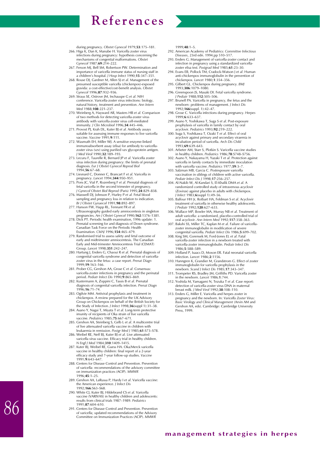

- infections during pregnancy: hypothesis concerning the mechanisms of congential malformations. *Obstet Gynecol* 1987;**69**:214–222.
- 267. Ferson MJ, Bell SM, Robertson PW. Determination and importance of varicella immune status of nursing staff in a children's hospital. *J Hosp Infect* 1990;**15**:347–351.
- 268. Rouse DJ, Gardner M, Allen SJ *et al*. Management of the presumed susceptible varicella (chickenpox)-exposed gravida: a cost-effective/cost-benefit analysis. *Obstet Gynecol* 1996;**87**:932–936.
- 269. Straus SE, Ostrove JM, Inchauspe G *et al*. NIH conference. Varicella-zoster virus infections: biology, natural history, treatment and prevention. *Ann Intern Med* 1988;**108**:221–237.
- 270. Weinberg A, Hayward AR, Masters HB *et al.* Comparison of two methods for detecting varicella-zoster virus antibody with varicella-zoster virus cell-mediated immunity. *J Clin Microbiol* 1996;**34**:445–446.
- 271. Provost PJ, Krah DL, Kuter BJ et al. Antibody assays suitable for assessing immune responses to live varicella vaccine. *Vaccine* 1991;**9**:111.
- 272. Wasmuth EH, Miller WJ. A sensitive enzyme-linked immunoabsorbent assay (elisa) for antibody to varicellazoster virus (vzv) using purified vzv glycoprotein antigen. *J Med Virol* 1990;**32**:189–193.
- 273. Lecuru F, Taurelle R, Bernard JP *et al*. Varicella zoster virus infection during pregnancy: the limits of prenatal diagnosis. *Eur J Obstet Gynecol Reprod Biol* 1994;**56**:67–68.
- 274. Liesnard C, Donner C, Brancart F *et al*. Varicella in pregnancy. *Lancet* 1994;**344**:950–951.
- 275. Pons JC, Vial P, Rozenberg F *et al*. Prenatal diagnosis of fetal varicella in the second trimester of pregnancy.
- *J Gynecol Obstet Biol Reprod* (Paris) 1995;**24**:829–838. 276. Maxwell DJ, Johnson P, Hurley P *et al.* Fetal blood sampling and pregnancy loss in relation to indication. *Br J Obstet Gynaecol* 1991;**98**:892–897.
- 277. Hanson FW, Happ RL, Tennant FR *et al.* Ultrasonography guided early amniocentesis in singleton pregnancies. *Am J Obstet Gynecol* 1990;**162**:1376–1381.
- 278. Dick PT. Periodic health examination, 1996 update: 1. Prenatal screening for and diagnosis of Down syndrome. Canadian Task Force on the Periodic Health Examination. *CMAJ* 1996;**154**:465–479.
- 279. Randomised trial to assess safety and fetal outcome of early and midtrimester amniocentesis. The Canadian Early and Mid-trimester Amniocentesis Trial (CEMAT) Group. *Lancet* 1998;**351**:242–247.
- 280. Hartung J, Enders G, Chaoui R *et al*. Prenatal diagnosis of congenital varicella syndrome and detection of varicellazoster virus in the fetus: a case report. *Prenat Diagn* 1999;**19**:163–166.
- 281. Prober CG, Gershon AA, Grose C *et al*. Consensus: varicella-zoster infections in pregnancy and the perinatal period. *Pediatr Infect Dis* 1990;**9**:865–869.
- 282. Kustermann A, Zoppini C, Tassis B *et al*. Prenatal diagnosis of congenital varicella infection. *Prenat Diagn* 1996;**16**:71–74.
- 283. Ogilvie MM. Antiviral prophylaxis and treatment in chickenpox. A review prepared for the UK Advisory Group on Chickenpox on behalf of the British Society for the Study of Infection. *J Infect* 1998;**36**(suppl 1):31–38.
- 284. Asano Y, Nagai T, Miyata T *et al*. Long-term protective imunity of recipients of Oka strain of live varicella vaccine. *Pediatrics* 1985;**75**:667–671.
- 285. Gershon AA, Steinberg S, Gelb L *et al*. A multicentre trial of live attenuated varicella vaccine in children with leukaemia in remission. *Postgr Med J* 1985;**61**:S73–S78.
- 286. Weibel RE, Neff BJ, Kuter BJ *et al*. Live attenuated varicella virus vaccine. Efficacy trial in healthy children. *N Engl J Med* 1984;**310**:1409–1415.
- 287. Kuter BJ, Weibel RE, Guess HA. Oka/Merck varicella vaccine in healthy children: final report of a 2-year efficacy study and 7-year follow-up studies. *Vaccine* 1991;**9**:643–647.
- 288. Centers for Disease Control and Prevention. Prevention of varicella: recommendations of the advisory committee on immunization practices (ACIP). *MMWR* 1996;**45**:1–25.
- 289. Gershon AA, LaRussa P, Hardy I *et al*. Varicella vaccine: the American experience. *J Infect Dis* 1992;**166**:S63–S68.
- 290. White CJ, Kuter BJ, Hildebrand CS *et al*. Varicella vaccine (VARIVAX) in healthy children and adolescents: results from clinical trials 1987–1989. *Pediatrics* 1991;**87**:604–610.
- 291. Centers for Disease Control and Prevention. Prevention of varicella; updated recommendations of the Advisory Committee on Immunization Practices (ACIP). *MMWR*

1999;**48**:1–5.

- 292. American Academy of Pediatrics: *Committee Infectious Diseases*, 23rd edn. 1994;pp 510–517.
- 293. Enders G. Management of varicella-zoster contact and infection in pregnancy using a standardized varicella-zoster elisa test. *Postgrad Med* 1985;**61**:23–30.
- 294. Evans EB, Pollock TM, Cradock-Watson J *et al*. Human anti-chickenpox immunoglobulin in the prevention of chickenpox. *Lancet* 1980;**1**:354–356.
- 295. Gilbert GL. Chickenpox during pregnancy. *BMJ* 1993;**306**:1079–1080.
- 296. Greenspoon JS, Masaki DI. Fetal varicella syndrome. *J Pediatr* 1988;**112**:505–506.
- 297. Brunell PA. Varicella in pregnancy, the fetus and the newborn: problems of management. *J Infect Dis* 1992;**166**(suppl. 1):42–47.
- 298. Grose C. Varicella infections during pregnancy. *Herpes* 1999;**6**:633–637.
- 299. Asano Y, Yoshikawa T, Suga S *et al*. Post-exposure prophylaxis of varicella in family contact by oral acyclovir. *Pediatrics* 1993;**92**:219–222. 300. Suga S, Yoshikawa T, Ozaki T *et al*. Effect of oral
- acyclovir against primary and secondary viraemia in incubation period of varicella. *Arch Dis Child* 1993;**69**:639–643.
- 301. Arbeter AM, Starr S, Plotkin S. Varicella vaccine studies in healthy children. *Pediatrics* 1986;**78**:S748–S756.
- 302. Asano Y, Nakayama H, Yazaki T *et al*. Protection against varicella in family contacts by immediate inoculation with varicella vaccine. *Pediatrics* 1977;**59**:3–7.
- 303. Salzman MB, Garcia C. Postexposure varicella vaccination in siblings of children with active varicella.
- *Pediatr Infect Dis J* 1998;**17**:256–257. 304. Al-Nakib W, Al-Kandari S, El-Khalik DMA *et al*. A randomized controlled study of intravenous acyclovir (Zovirax) against placebo in adults with chickenpox.
- *J Infect* 1983;**6**(suppl 1):49–56. 305. Balfour HH Jr, Rotbart HA, Feldman S *et al*. Acyclovir treatment of varicella in otherwise healthy adolescents. *J Pediatr* 1992;**120**:627–633.
- 306. Wallace MP, Bowler MA, Murray NB *et al*. Treatment of adult varicella: a randomised, placebo-controlled trial of oral acyclovir. *Ann Intern Med* 1992;**117**:358–363.
- 307. Bakshi SS, Miller TC, Kaplan M *et al*. Failure of varicella-zoster immunoglobulin in modification of severe congenital varicella. *Pediatr Infect Dis* 1986;**5**:699–702.
- 308. King SM, Gorensek M, Ford-Jones EL *et al*. Fatal varicella-zoster infection in a newborn treated with varicella-zoster immunoglobulin. *Pediatr Infect Dis* 1986;**5**:588–589.
- 309. Holland P, Isaacs D, Moxon ER. Fatal neonatal varicella
- infection. *Lancet* 1986;**2**:1156. 310. Hanngren K, Grandier M, Grandstrom G. Effect of zoster immunoglobulin for varicella prophylaxis in the newborn. *Scand J Infect Dis* 1985;**17**:343–347.
- 311. Trompeter RS, Bradley JM, Griffiths PD. Varicella zoster in the newborn. *Lancet* 1986*;***1**:744.
- 312. Yoshida M, Yamagami N, Tezuka T *et al*. Case report: detection of varicella-zoster virus DNA in maternal breast milk. *J Med Virol* 1992;**38**:108–110.
- 313. Enders G, Miller E. Varicella and herpes zoster in pregnancy and the newborn. In: *Varicella Zoster Virus: Basic Virology and Clinical Management* (Arvin AM and Gershon AA, eds). Cambridge: Cambridge University Press, 1999.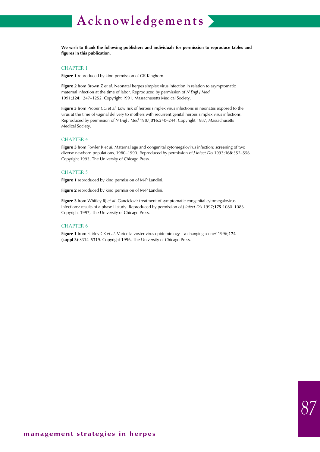# **Acknowledgements**

**We wish to thank the following publishers and individuals for permission to reproduce tables and figures in this publication.**

#### CHAPTER 1

**Figure 1** reproduced by kind permission of GR Kinghorn.

**Figure 2** from Brown Z *et al*. Neonatal herpes simplex virus infection in relation to asymptomatic maternal infection at the time of labor. Reproduced by permission of *N Engl J Med* 1991;**324**:1247–1252*.* Copyright 1991, Massachusetts Medical Society.

**Figure 3** from Prober CG *et al*. Low risk of herpes simplex virus infections in neonates exposed to the virus at the time of vaginal delivery to mothers with recurrent genital herpes simplex virus infections. Reproduced by permission of *N Engl J Med* 1987;**316**:240–244. Copyright 1987, Massachusetts Medical Society.

#### CHAPTER 4

**Figure 3** from Fowler K *et al*. Maternal age and congenital cytomegalovirus infection: screening of two diverse newborn populations, 1980–1990. Reproduced by permission of *J Infect Dis* 1993;**168**:552–556. Copyright 1993, The University of Chicago Press.

#### CHAPTER 5

**Figure 1** reproduced by kind permission of M-P Landini.

**Figure 2** reproduced by kind permission of M-P Landini.

**Figure 3** from Whitley RJ *et al*. Ganciclovir treatment of symptomatic congenital cytomegalovirus infections: results of a phase II study. Reproduced by permission of *J Infect Dis* 1997;**175**:1080–1086. Copyright 1997, The University of Chicago Press.

#### CHAPTER 6

**Figure 1** from Fairley CK *et al*. Varicella-zoster virus epidemiology – a changing scene? 1996;**174 (suppl 3)**:S314–S319. Copyright 1996, The University of Chicago Press.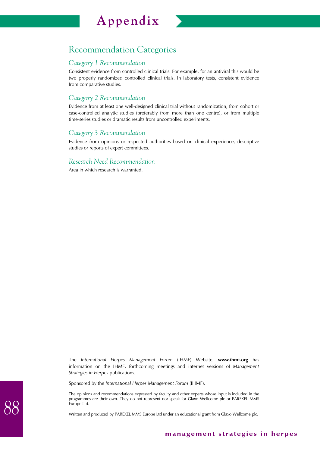# **Appendix**



# Recommendation Categories

## *Category 1 Recommendation*

Consistent evidence from controlled clinical trials. For example, for an antiviral this would be two properly randomized controlled clinical trials. In laboratory tests, consistent evidence from comparative studies.

## *Category 2 Recommendation*

Evidence from at least one well-designed clinical trial without randomization, from cohort or case-controlled analytic studies (preferably from more than one centre), or from multiple time-series studies or dramatic results from uncontrolled experiments.

### *Category 3 Recommendation*

Evidence from opinions or respected authorities based on clinical experience, descriptive studies or reports of expert committees.

### *Research Need Recommendation*

Area in which research is warranted.

The *International Herpes Management Forum* (IHMF) Website, **www.ihmf.org** has information on the IHMF, forthcoming meetings and internet versions of *Management Strategies in Herpes* publications*.*

Sponsored by the *International Herpes Management Forum* (IHMF).

The opinions and recommendations expressed by faculty and other experts whose input is included in the programmes are their own. They do not represent nor speak for Glaxo Wellcome plc or PAREXEL MMS Europe Ltd.

Written and produced by PAREXEL MMS Europe Ltd under an educational grant from Glaxo Wellcome plc.